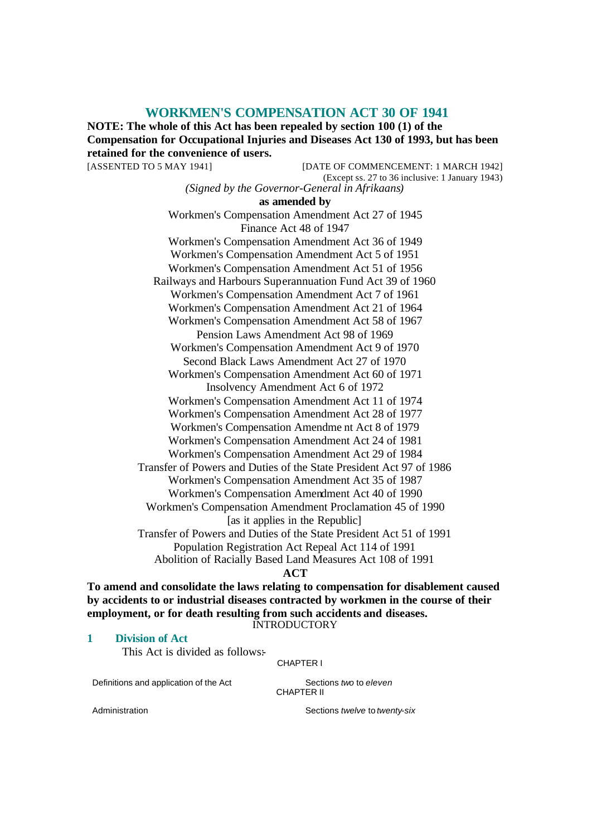# **WORKMEN'S COMPENSATION ACT 30 OF 1941**

**NOTE: The whole of this Act has been repealed by section 100 (1) of the Compensation for Occupational Injuries and Diseases Act 130 of 1993, but has been retained for the convenience of users.**

[ASSENTED TO 5 MAY 1941] [DATE OF COMMENCEMENT: 1 MARCH 1942] (Except ss. 27 to 36 inclusive: 1 January 1943) *(Signed by the Governor-General in Afrikaans)* **as amended by** Workmen's Compensation Amendment Act 27 of 1945 Finance Act 48 of 1947 Workmen's Compensation Amendment Act 36 of 1949 Workmen's Compensation Amendment Act 5 of 1951 Workmen's Compensation Amendment Act 51 of 1956 Railways and Harbours Superannuation Fund Act 39 of 1960 Workmen's Compensation Amendment Act 7 of 1961 Workmen's Compensation Amendment Act 21 of 1964 Workmen's Compensation Amendment Act 58 of 1967 Pension Laws Amendment Act 98 of 1969 Workmen's Compensation Amendment Act 9 of 1970 Second Black Laws Amendment Act 27 of 1970 Workmen's Compensation Amendment Act 60 of 1971 Insolvency Amendment Act 6 of 1972 Workmen's Compensation Amendment Act 11 of 1974 Workmen's Compensation Amendment Act 28 of 1977 Workmen's Compensation Amendme nt Act 8 of 1979 Workmen's Compensation Amendment Act 24 of 1981 Workmen's Compensation Amendment Act 29 of 1984 Transfer of Powers and Duties of the State President Act 97 of 1986 Workmen's Compensation Amendment Act 35 of 1987 Workmen's Compensation Amendment Act 40 of 1990 Workmen's Compensation Amendment Proclamation 45 of 1990 [as it applies in the Republic] Transfer of Powers and Duties of the State President Act 51 of 1991 Population Registration Act Repeal Act 114 of 1991 Abolition of Racially Based Land Measures Act 108 of 1991 **ACT**

**To amend and consolidate the laws relating to compensation for disablement caused by accidents to or industrial diseases contracted by workmen in the course of their employment, or for death resulting from such accidents and diseases. INTRODUCTORY** 

#### **1 Division of Act**

This Act is divided as follows:

CHAPTER I

Definitions and application of the Act Sections *two* to *eleven* 

CHAPTER II

Administration **Administration** Sections *twelve* to *twenty-six*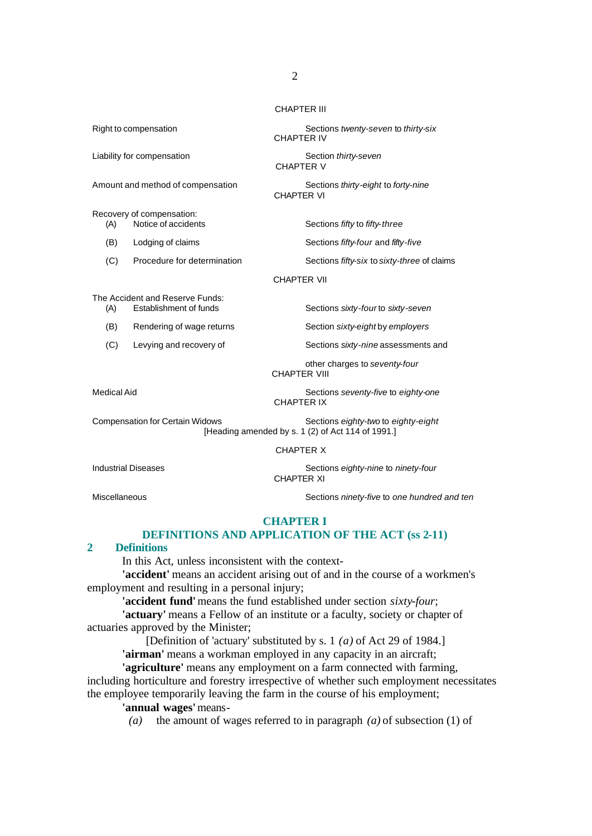CHAPTER III

Recovery of compensation:<br>(A) Notice of accidents

CHAPTER VII

The Accident and Reserve Funds: (A) Establishment of funds Sections *sixty-four* to *sixty-seven*

(B) Rendering of wage returns Section *sixty-eight* by *employers*

(C) Levying and recovery of Sections *sixty-nine* assessments and

Medical Aid Sections *seventy-five* to *eighty-one* CHAPTER IX

other charges to *seventy-four*

Compensation for Certain Widows Sections *eighty-two* to *eighty-eight* [Heading amended by s. 1 (2) of Act 114 of 1991.]

CHAPTER X

CHAPTER VIII

Industrial Diseases Sections *eighty-nine* to *ninety-four*

CHAPTER XI

Miscellaneous Sections *ninety-five* to *one hundred and ten*

# **CHAPTER I**

# **DEFINITIONS AND APPLICATION OF THE ACT (ss 2-11)**

#### **2 Definitions**

In this Act, unless inconsistent with the context-

**'accident'** means an accident arising out of and in the course of a workmen's employment and resulting in a personal injury;

**'accident fund'** means the fund established under section *sixty-four*;

**'actuary'** means a Fellow of an institute or a faculty, society or chapter of actuaries approved by the Minister;

[Definition of 'actuary' substituted by s. 1 *(a)* of Act 29 of 1984.]

**'airman'** means a workman employed in any capacity in an aircraft;

**'agriculture'** means any employment on a farm connected with farming, including horticulture and forestry irrespective of whether such employment necessitates the employee temporarily leaving the farm in the course of his employment;

**'annual wages'** means-

*(a)* the amount of wages referred to in paragraph *(a)* of subsection (1) of

Right to compensation **Sections** *twenty-seven* to *thirty-six* Sections *twenty-seven* to *thirty-six* CHAPTER IV

Liability for compensation **Section** Section *thirty-seven* CHAPTER V

Amount and method of compensation Sections *thirty-eight* to *forty-nine* CHAPTER VI

(A) Notice of accidents Sections *fifty* to *fifty-three*

(B) Lodging of claims Sections *fifty-four* and *fifty-five*

(C) Procedure for determination Sections *fifty-six* to *sixty-three* of claims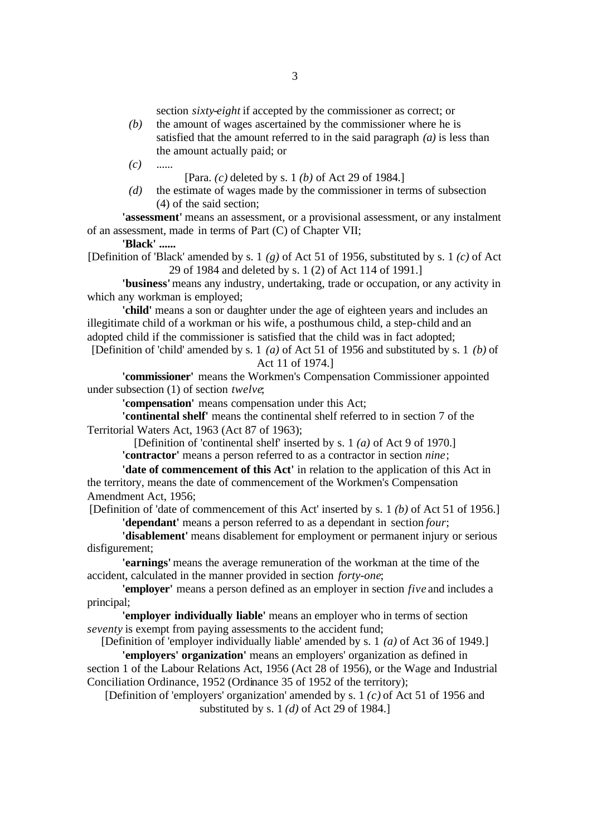section *sixty-eight* if accepted by the commissioner as correct; or

*(b)* the amount of wages ascertained by the commissioner where he is satisfied that the amount referred to in the said paragraph *(a)* is less than the amount actually paid; or

*(c)* ......

[Para. *(c)* deleted by s. 1 *(b)* of Act 29 of 1984.]

*(d)* the estimate of wages made by the commissioner in terms of subsection (4) of the said section;

**'assessment'** means an assessment, or a provisional assessment, or any instalment of an assessment, made in terms of Part (C) of Chapter VII;

**'Black' ......**

[Definition of 'Black' amended by s. 1 *(g)* of Act 51 of 1956, substituted by s. 1 *(c)* of Act 29 of 1984 and deleted by s. 1 (2) of Act 114 of 1991.]

**'business'** means any industry, undertaking, trade or occupation, or any activity in which any workman is employed;

**'child'** means a son or daughter under the age of eighteen years and includes an illegitimate child of a workman or his wife, a posthumous child, a step-child and an adopted child if the commissioner is satisfied that the child was in fact adopted;

[Definition of 'child' amended by s. 1 *(a)* of Act 51 of 1956 and substituted by s. 1 *(b)* of Act 11 of 1974.]

**'commissioner'** means the Workmen's Compensation Commissioner appointed under subsection (1) of section *twelve*;

**'compensation'** means compensation under this Act;

**'continental shelf'** means the continental shelf referred to in section 7 of the Territorial Waters Act, 1963 (Act 87 of 1963);

[Definition of 'continental shelf' inserted by s. 1 *(a)* of Act 9 of 1970.]

**'contractor'** means a person referred to as a contractor in section *nine*;

**'date of commencement of this Act'** in relation to the application of this Act in the territory, means the date of commencement of the Workmen's Compensation Amendment Act, 1956;

[Definition of 'date of commencement of this Act' inserted by s. 1 *(b)* of Act 51 of 1956.] **'dependant'** means a person referred to as a dependant in section *four*;

**'disablement'** means disablement for employment or permanent injury or serious disfigurement;

**'earnings'** means the average remuneration of the workman at the time of the accident, calculated in the manner provided in section *forty-one*;

**'employer'** means a person defined as an employer in section *five* and includes a principal;

**'employer individually liable'** means an employer who in terms of section *seventy* is exempt from paying assessments to the accident fund;

[Definition of 'employer individually liable' amended by s. 1 *(a)* of Act 36 of 1949.]

**'employers' organization'** means an employers' organization as defined in section 1 of the Labour Relations Act, 1956 (Act 28 of 1956), or the Wage and Industrial Conciliation Ordinance, 1952 (Ordinance 35 of 1952 of the territory);

[Definition of 'employers' organization' amended by s. 1 *(c)* of Act 51 of 1956 and substituted by s. 1 *(d)* of Act 29 of 1984.]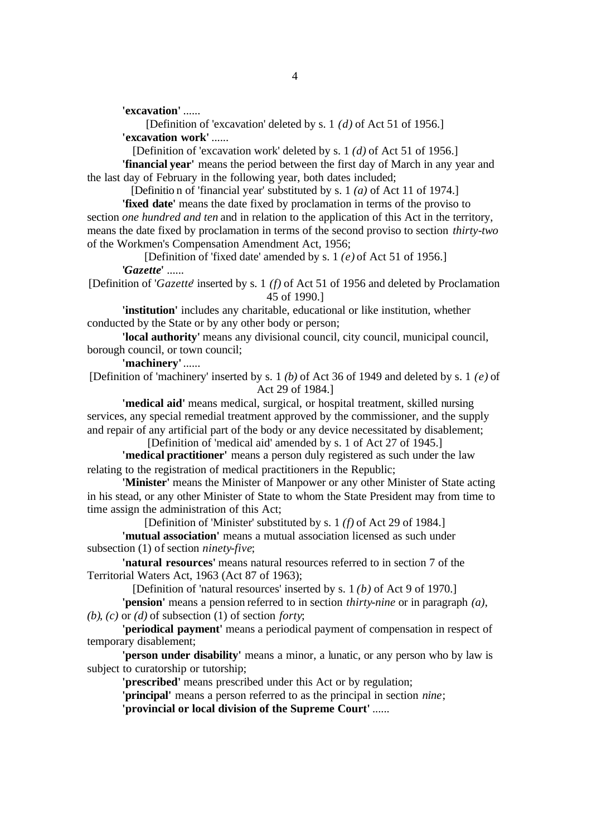**'excavation'** ......

[Definition of 'excavation' deleted by s. 1 *(d)* of Act 51 of 1956.] **'excavation work'** ......

[Definition of 'excavation work' deleted by s. 1 *(d)* of Act 51 of 1956.]

**'financial year'** means the period between the first day of March in any year and the last day of February in the following year, both dates included;

[Definitio n of 'financial year' substituted by s. 1 *(a)* of Act 11 of 1974.]

**'fixed date'** means the date fixed by proclamation in terms of the proviso to section *one hundred and ten* and in relation to the application of this Act in the territory, means the date fixed by proclamation in terms of the second proviso to section *thirty-two* of the Workmen's Compensation Amendment Act, 1956;

[Definition of 'fixed date' amended by s. 1 *(e)* of Act 51 of 1956.] **'***Gazette***'** ......

[Definition of '*Gazette*' inserted by s. 1 *(f)* of Act 51 of 1956 and deleted by Proclamation 45 of 1990.]

**'institution'** includes any charitable, educational or like institution, whether conducted by the State or by any other body or person;

**'local authority'** means any divisional council, city council, municipal council, borough council, or town council;

**'machinery'** ......

[Definition of 'machinery' inserted by s. 1 *(b)* of Act 36 of 1949 and deleted by s. 1 *(e)* of Act 29 of 1984.]

**'medical aid'** means medical, surgical, or hospital treatment, skilled nursing services, any special remedial treatment approved by the commissioner, and the supply and repair of any artificial part of the body or any device necessitated by disablement;

[Definition of 'medical aid' amended by s. 1 of Act 27 of 1945.]

**'medical practitioner'** means a person duly registered as such under the law relating to the registration of medical practitioners in the Republic;

**'Minister'** means the Minister of Manpower or any other Minister of State acting in his stead, or any other Minister of State to whom the State President may from time to time assign the administration of this Act;

[Definition of 'Minister' substituted by s. 1 *(f)* of Act 29 of 1984.] **'mutual association'** means a mutual association licensed as such under subsection (1) of section *ninety-five*;

**'natural resources'** means natural resources referred to in section 7 of the Territorial Waters Act, 1963 (Act 87 of 1963);

[Definition of 'natural resources' inserted by s. 1 *(b)* of Act 9 of 1970.]

**'pension'** means a pension referred to in section *thirty-nine* or in paragraph *(a)*, *(b)*, *(c)* or *(d)* of subsection (1) of section *forty*;

**'periodical payment'** means a periodical payment of compensation in respect of temporary disablement;

**'person under disability'** means a minor, a lunatic, or any person who by law is subject to curatorship or tutorship;

**'prescribed'** means prescribed under this Act or by regulation;

**'principal'** means a person referred to as the principal in section *nine*;

**'provincial or local division of the Supreme Court'** ......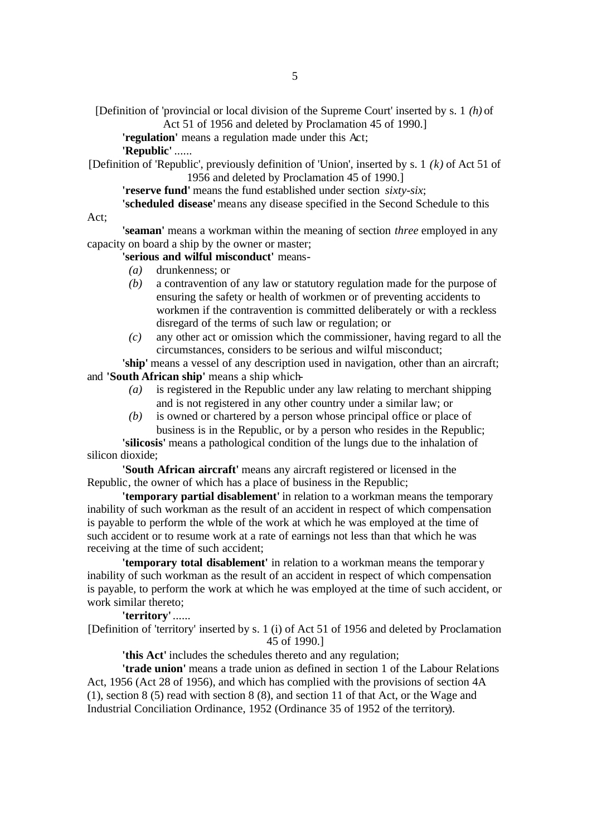[Definition of 'provincial or local division of the Supreme Court' inserted by s. 1 *(h)* of Act 51 of 1956 and deleted by Proclamation 45 of 1990.]

**'regulation'** means a regulation made under this Act;

**'Republic'** ......

Act;

[Definition of 'Republic', previously definition of 'Union', inserted by s. 1 *(k)* of Act 51 of 1956 and deleted by Proclamation 45 of 1990.]

**'reserve fund'** means the fund established under section *sixty-six*;

**'scheduled disease'** means any disease specified in the Second Schedule to this

**'seaman'** means a workman within the meaning of section *three* employed in any capacity on board a ship by the owner or master;

**'serious and wilful misconduct'** means-

- *(a)* drunkenness; or
- *(b)* a contravention of any law or statutory regulation made for the purpose of ensuring the safety or health of workmen or of preventing accidents to workmen if the contravention is committed deliberately or with a reckless disregard of the terms of such law or regulation; or
- *(c)* any other act or omission which the commissioner, having regard to all the circumstances, considers to be serious and wilful misconduct;

**'ship'** means a vessel of any description used in navigation, other than an aircraft; and **'South African ship'** means a ship which-

- *(a)* is registered in the Republic under any law relating to merchant shipping and is not registered in any other country under a similar law; or
- *(b)* is owned or chartered by a person whose principal office or place of business is in the Republic, or by a person who resides in the Republic;

**'silicosis'** means a pathological condition of the lungs due to the inhalation of silicon dioxide;

**'South African aircraft'** means any aircraft registered or licensed in the Republic, the owner of which has a place of business in the Republic;

**'temporary partial disablement'** in relation to a workman means the temporary inability of such workman as the result of an accident in respect of which compensation is payable to perform the whole of the work at which he was employed at the time of such accident or to resume work at a rate of earnings not less than that which he was receiving at the time of such accident;

**'temporary total disablement'** in relation to a workman means the temporary inability of such workman as the result of an accident in respect of which compensation is payable, to perform the work at which he was employed at the time of such accident, or work similar thereto;

**'territory'** ...... [Definition of 'territory' inserted by s. 1 (i) of Act 51 of 1956 and deleted by Proclamation 45 of 1990.]

**'this Act'** includes the schedules thereto and any regulation;

**'trade union'** means a trade union as defined in section 1 of the Labour Relations Act, 1956 (Act 28 of 1956), and which has complied with the provisions of section 4A (1), section 8 (5) read with section 8 (8), and section 11 of that Act, or the Wage and Industrial Conciliation Ordinance, 1952 (Ordinance 35 of 1952 of the territory).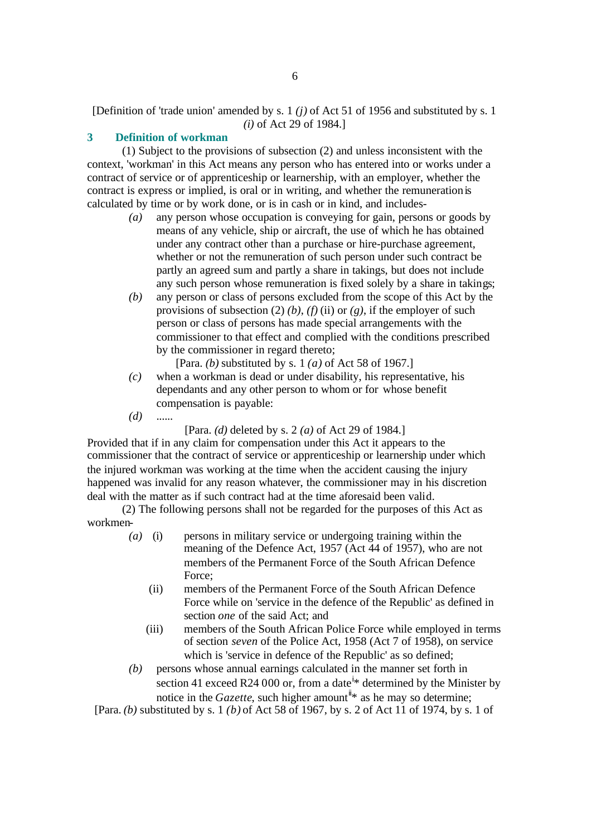# [Definition of 'trade union' amended by s. 1 *(j)* of Act 51 of 1956 and substituted by s. 1 *(i)* of Act 29 of 1984.]

# **3 Definition of workman**

(1) Subject to the provisions of subsection (2) and unless inconsistent with the context, 'workman' in this Act means any person who has entered into or works under a contract of service or of apprenticeship or learnership, with an employer, whether the contract is express or implied, is oral or in writing, and whether the remuneration is calculated by time or by work done, or is in cash or in kind, and includes-

- *(a)* any person whose occupation is conveying for gain, persons or goods by means of any vehicle, ship or aircraft, the use of which he has obtained under any contract other than a purchase or hire-purchase agreement, whether or not the remuneration of such person under such contract be partly an agreed sum and partly a share in takings, but does not include any such person whose remuneration is fixed solely by a share in takings;
- *(b)* any person or class of persons excluded from the scope of this Act by the provisions of subsection (2) *(b)*, *(f)* (ii) or *(g)*, if the employer of such person or class of persons has made special arrangements with the commissioner to that effect and complied with the conditions prescribed by the commissioner in regard thereto;

[Para. *(b)* substituted by s. 1 *(a)* of Act 58 of 1967.]

- *(c)* when a workman is dead or under disability, his representative, his dependants and any other person to whom or for whose benefit compensation is payable:
- *(d)* ......

[Para. *(d)* deleted by s. 2 *(a)* of Act 29 of 1984.]

Provided that if in any claim for compensation under this Act it appears to the commissioner that the contract of service or apprenticeship or learnership under which the injured workman was working at the time when the accident causing the injury happened was invalid for any reason whatever, the commissioner may in his discretion deal with the matter as if such contract had at the time aforesaid been valid.

(2) The following persons shall not be regarded for the purposes of this Act as workmen-

- *(a)* (i) persons in military service or undergoing training within the meaning of the Defence Act, 1957 (Act 44 of 1957), who are not members of the Permanent Force of the South African Defence Force;
	- (ii) members of the Permanent Force of the South African Defence Force while on 'service in the defence of the Republic' as defined in section *one* of the said Act; and
	- (iii) members of the South African Police Force while employed in terms of section *seven* of the Police Act, 1958 (Act 7 of 1958), on service which is 'service in defence of the Republic' as so defined;
- *(b)* persons whose annual earnings calculated in the manner set forth in section 41 exceed R24 000 or, from a date  $\frac{1}{x}$  determined by the Minister by notice in the *Gazette*, such higher amount<sup> $\ddot{u}$ \* as he may so determine;</sup>

[Para. *(b)* substituted by s. 1 *(b)* of Act 58 of 1967, by s. 2 of Act 11 of 1974, by s. 1 of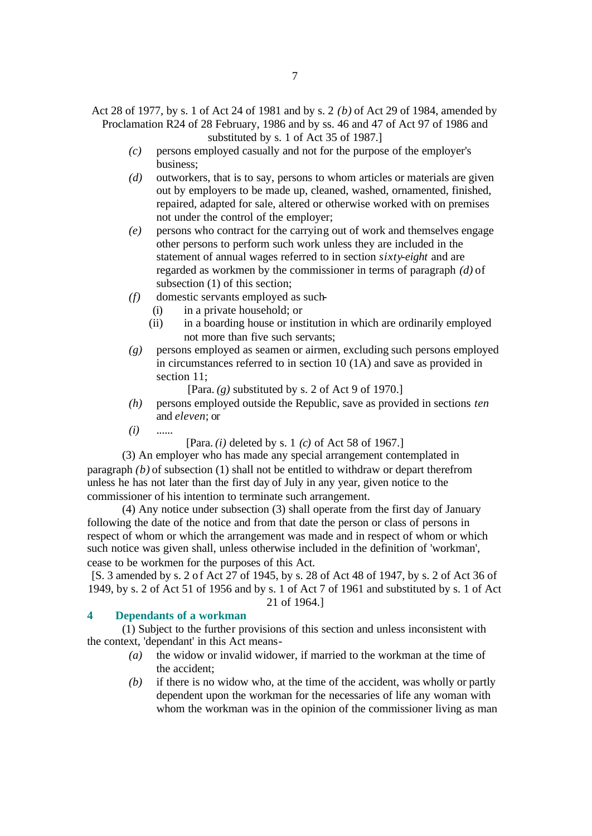Act 28 of 1977, by s. 1 of Act 24 of 1981 and by s. 2 *(b)* of Act 29 of 1984, amended by Proclamation R24 of 28 February, 1986 and by ss. 46 and 47 of Act 97 of 1986 and substituted by s. 1 of Act 35 of 1987.]

- *(c)* persons employed casually and not for the purpose of the employer's business;
- *(d)* outworkers, that is to say, persons to whom articles or materials are given out by employers to be made up, cleaned, washed, ornamented, finished, repaired, adapted for sale, altered or otherwise worked with on premises not under the control of the employer;
- *(e)* persons who contract for the carrying out of work and themselves engage other persons to perform such work unless they are included in the statement of annual wages referred to in section *sixty-eight* and are regarded as workmen by the commissioner in terms of paragraph *(d)* of subsection (1) of this section;
- *(f)* domestic servants employed as such-
	- (i) in a private household; or
	- (ii) in a boarding house or institution in which are ordinarily employed not more than five such servants;
- *(g)* persons employed as seamen or airmen, excluding such persons employed in circumstances referred to in section 10 (1A) and save as provided in section 11:

[Para. *(g)* substituted by s. 2 of Act 9 of 1970.]

- *(h)* persons employed outside the Republic, save as provided in sections *ten* and *eleven*; or
- *(i)* ......

[Para. *(i)* deleted by s. 1 *(c)* of Act 58 of 1967.]

(3) An employer who has made any special arrangement contemplated in paragraph *(b)* of subsection (1) shall not be entitled to withdraw or depart therefrom unless he has not later than the first day of July in any year, given notice to the commissioner of his intention to terminate such arrangement.

(4) Any notice under subsection (3) shall operate from the first day of January following the date of the notice and from that date the person or class of persons in respect of whom or which the arrangement was made and in respect of whom or which such notice was given shall, unless otherwise included in the definition of 'workman', cease to be workmen for the purposes of this Act.

[S. 3 amended by s. 2 of Act 27 of 1945, by s. 28 of Act 48 of 1947, by s. 2 of Act 36 of 1949, by s. 2 of Act 51 of 1956 and by s. 1 of Act 7 of 1961 and substituted by s. 1 of Act 21 of 1964.]

# **4 Dependants of a workman**

(1) Subject to the further provisions of this section and unless inconsistent with the context, 'dependant' in this Act means-

- *(a)* the widow or invalid widower, if married to the workman at the time of the accident;
- *(b)* if there is no widow who, at the time of the accident, was wholly or partly dependent upon the workman for the necessaries of life any woman with whom the workman was in the opinion of the commissioner living as man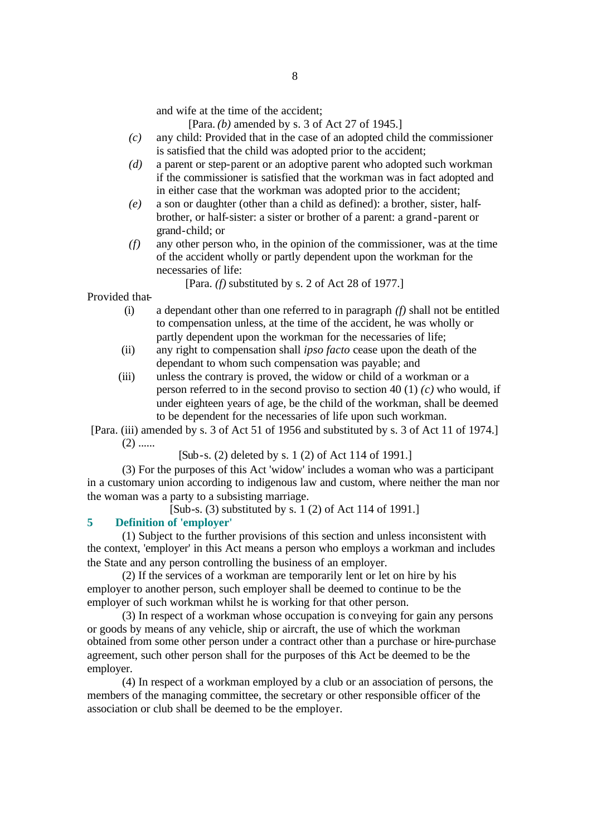and wife at the time of the accident;

[Para. *(b)* amended by s. 3 of Act 27 of 1945.]

- *(c)* any child: Provided that in the case of an adopted child the commissioner is satisfied that the child was adopted prior to the accident;
- *(d)* a parent or step-parent or an adoptive parent who adopted such workman if the commissioner is satisfied that the workman was in fact adopted and in either case that the workman was adopted prior to the accident;
- *(e)* a son or daughter (other than a child as defined): a brother, sister, halfbrother, or half-sister: a sister or brother of a parent: a grand-parent or grand-child; or
- *(f)* any other person who, in the opinion of the commissioner, was at the time of the accident wholly or partly dependent upon the workman for the necessaries of life:

[Para. *(f)* substituted by s. 2 of Act 28 of 1977.]

Provided that-

- (i) a dependant other than one referred to in paragraph *(f)* shall not be entitled to compensation unless, at the time of the accident, he was wholly or partly dependent upon the workman for the necessaries of life;
- (ii) any right to compensation shall *ipso facto* cease upon the death of the dependant to whom such compensation was payable; and
- (iii) unless the contrary is proved, the widow or child of a workman or a person referred to in the second proviso to section 40 (1) *(c)* who would, if under eighteen years of age, be the child of the workman, shall be deemed to be dependent for the necessaries of life upon such workman.

[Para. (iii) amended by s. 3 of Act 51 of 1956 and substituted by s. 3 of Act 11 of 1974.]  $(2)$  ......

[Sub-s. (2) deleted by s. 1 (2) of Act 114 of 1991.]

(3) For the purposes of this Act 'widow' includes a woman who was a participant in a customary union according to indigenous law and custom, where neither the man nor the woman was a party to a subsisting marriage.

[Sub-s. (3) substituted by s. 1 (2) of Act 114 of 1991.]

# **5 Definition of 'employer'**

(1) Subject to the further provisions of this section and unless inconsistent with the context, 'employer' in this Act means a person who employs a workman and includes the State and any person controlling the business of an employer.

(2) If the services of a workman are temporarily lent or let on hire by his employer to another person, such employer shall be deemed to continue to be the employer of such workman whilst he is working for that other person.

(3) In respect of a workman whose occupation is conveying for gain any persons or goods by means of any vehicle, ship or aircraft, the use of which the workman obtained from some other person under a contract other than a purchase or hire-purchase agreement, such other person shall for the purposes of this Act be deemed to be the employer.

(4) In respect of a workman employed by a club or an association of persons, the members of the managing committee, the secretary or other responsible officer of the association or club shall be deemed to be the employer.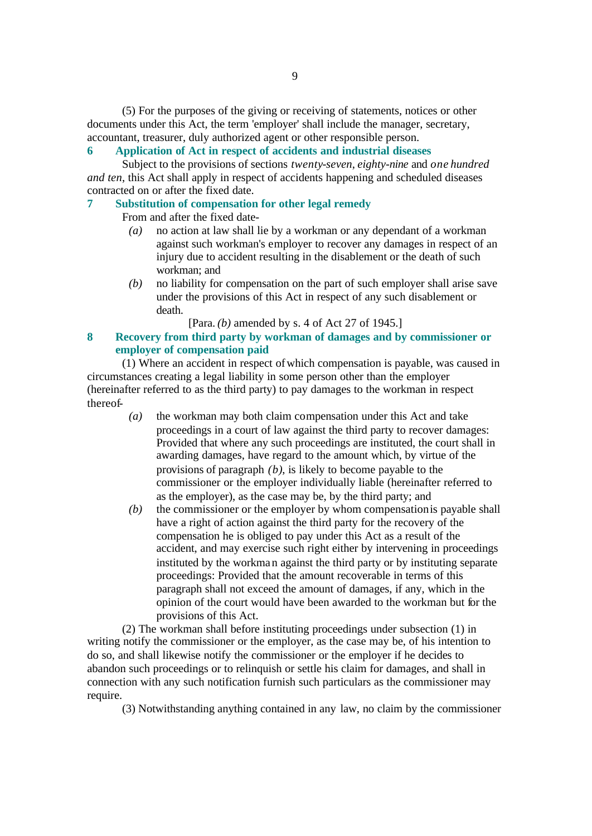(5) For the purposes of the giving or receiving of statements, notices or other documents under this Act, the term 'employer' shall include the manager, secretary, accountant, treasurer, duly authorized agent or other responsible person.

# **6 Application of Act in respect of accidents and industrial diseases**

Subject to the provisions of sections *twenty-seven*, *eighty-nine* and *one hundred and ten*, this Act shall apply in respect of accidents happening and scheduled diseases contracted on or after the fixed date.

# **7 Substitution of compensation for other legal remedy**

From and after the fixed date-

- *(a)* no action at law shall lie by a workman or any dependant of a workman against such workman's employer to recover any damages in respect of an injury due to accident resulting in the disablement or the death of such workman; and
- *(b)* no liability for compensation on the part of such employer shall arise save under the provisions of this Act in respect of any such disablement or death.

[Para. *(b)* amended by s. 4 of Act 27 of 1945.]

# **8 Recovery from third party by workman of damages and by commissioner or employer of compensation paid**

(1) Where an accident in respect of which compensation is payable, was caused in circumstances creating a legal liability in some person other than the employer (hereinafter referred to as the third party) to pay damages to the workman in respect thereof-

- *(a)* the workman may both claim compensation under this Act and take proceedings in a court of law against the third party to recover damages: Provided that where any such proceedings are instituted, the court shall in awarding damages, have regard to the amount which, by virtue of the provisions of paragraph *(b)*, is likely to become payable to the commissioner or the employer individually liable (hereinafter referred to as the employer), as the case may be, by the third party; and
- *(b)* the commissioner or the employer by whom compensation is payable shall have a right of action against the third party for the recovery of the compensation he is obliged to pay under this Act as a result of the accident, and may exercise such right either by intervening in proceedings instituted by the workman against the third party or by instituting separate proceedings: Provided that the amount recoverable in terms of this paragraph shall not exceed the amount of damages, if any, which in the opinion of the court would have been awarded to the workman but for the provisions of this Act.

(2) The workman shall before instituting proceedings under subsection (1) in writing notify the commissioner or the employer, as the case may be, of his intention to do so, and shall likewise notify the commissioner or the employer if he decides to abandon such proceedings or to relinquish or settle his claim for damages, and shall in connection with any such notification furnish such particulars as the commissioner may require.

(3) Notwithstanding anything contained in any law, no claim by the commissioner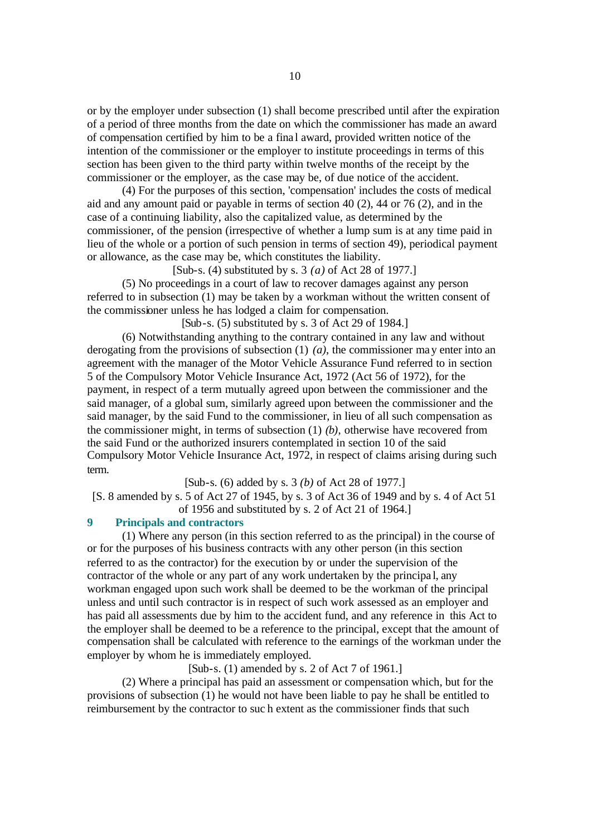or by the employer under subsection (1) shall become prescribed until after the expiration of a period of three months from the date on which the commissioner has made an award of compensation certified by him to be a fina l award, provided written notice of the intention of the commissioner or the employer to institute proceedings in terms of this section has been given to the third party within twelve months of the receipt by the commissioner or the employer, as the case may be, of due notice of the accident.

(4) For the purposes of this section, 'compensation' includes the costs of medical aid and any amount paid or payable in terms of section 40 (2), 44 or 76 (2), and in the case of a continuing liability, also the capitalized value, as determined by the commissioner, of the pension (irrespective of whether a lump sum is at any time paid in lieu of the whole or a portion of such pension in terms of section 49), periodical payment or allowance, as the case may be, which constitutes the liability.

[Sub-s. (4) substituted by s. 3 *(a)* of Act 28 of 1977.]

(5) No proceedings in a court of law to recover damages against any person referred to in subsection (1) may be taken by a workman without the written consent of the commissioner unless he has lodged a claim for compensation.

[Sub-s. (5) substituted by s. 3 of Act 29 of 1984.]

(6) Notwithstanding anything to the contrary contained in any law and without derogating from the provisions of subsection (1) *(a)*, the commissioner may enter into an agreement with the manager of the Motor Vehicle Assurance Fund referred to in section 5 of the Compulsory Motor Vehicle Insurance Act, 1972 (Act 56 of 1972), for the payment, in respect of a term mutually agreed upon between the commissioner and the said manager, of a global sum, similarly agreed upon between the commissioner and the said manager, by the said Fund to the commissioner, in lieu of all such compensation as the commissioner might, in terms of subsection (1) *(b)*, otherwise have recovered from the said Fund or the authorized insurers contemplated in section 10 of the said Compulsory Motor Vehicle Insurance Act, 1972, in respect of claims arising during such term.

[Sub-s. (6) added by s. 3 *(b)* of Act 28 of 1977.]

[S. 8 amended by s. 5 of Act 27 of 1945, by s. 3 of Act 36 of 1949 and by s. 4 of Act 51 of 1956 and substituted by s. 2 of Act 21 of 1964.]

# **9 Principals and contractors**

(1) Where any person (in this section referred to as the principal) in the course of or for the purposes of his business contracts with any other person (in this section referred to as the contractor) for the execution by or under the supervision of the contractor of the whole or any part of any work undertaken by the principa l, any workman engaged upon such work shall be deemed to be the workman of the principal unless and until such contractor is in respect of such work assessed as an employer and has paid all assessments due by him to the accident fund, and any reference in this Act to the employer shall be deemed to be a reference to the principal, except that the amount of compensation shall be calculated with reference to the earnings of the workman under the employer by whom he is immediately employed.

[Sub-s. (1) amended by s. 2 of Act 7 of 1961.]

(2) Where a principal has paid an assessment or compensation which, but for the provisions of subsection (1) he would not have been liable to pay he shall be entitled to reimbursement by the contractor to suc h extent as the commissioner finds that such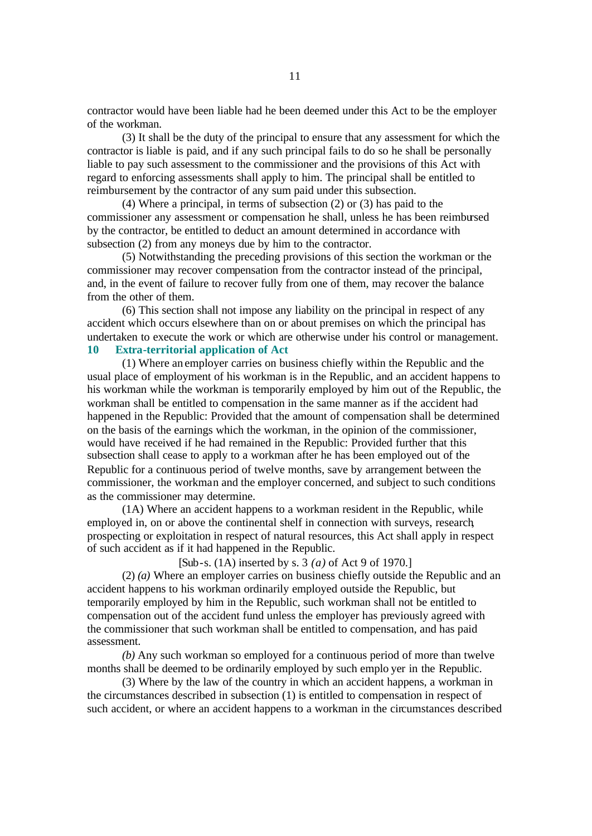contractor would have been liable had he been deemed under this Act to be the employer of the workman.

(3) It shall be the duty of the principal to ensure that any assessment for which the contractor is liable is paid, and if any such principal fails to do so he shall be personally liable to pay such assessment to the commissioner and the provisions of this Act with regard to enforcing assessments shall apply to him. The principal shall be entitled to reimbursement by the contractor of any sum paid under this subsection.

(4) Where a principal, in terms of subsection (2) or (3) has paid to the commissioner any assessment or compensation he shall, unless he has been reimbursed by the contractor, be entitled to deduct an amount determined in accordance with subsection (2) from any moneys due by him to the contractor.

(5) Notwithstanding the preceding provisions of this section the workman or the commissioner may recover compensation from the contractor instead of the principal, and, in the event of failure to recover fully from one of them, may recover the balance from the other of them.

(6) This section shall not impose any liability on the principal in respect of any accident which occurs elsewhere than on or about premises on which the principal has undertaken to execute the work or which are otherwise under his control or management. **10 Extra-territorial application of Act**

(1) Where an employer carries on business chiefly within the Republic and the usual place of employment of his workman is in the Republic, and an accident happens to his workman while the workman is temporarily employed by him out of the Republic, the workman shall be entitled to compensation in the same manner as if the accident had happened in the Republic: Provided that the amount of compensation shall be determined on the basis of the earnings which the workman, in the opinion of the commissioner, would have received if he had remained in the Republic: Provided further that this subsection shall cease to apply to a workman after he has been employed out of the Republic for a continuous period of twelve months, save by arrangement between the commissioner, the workman and the employer concerned, and subject to such conditions as the commissioner may determine.

(1A) Where an accident happens to a workman resident in the Republic, while employed in, on or above the continental shelf in connection with surveys, research, prospecting or exploitation in respect of natural resources, this Act shall apply in respect of such accident as if it had happened in the Republic.

[Sub-s. (1A) inserted by s. 3 *(a)* of Act 9 of 1970.]

(2) *(a)* Where an employer carries on business chiefly outside the Republic and an accident happens to his workman ordinarily employed outside the Republic, but temporarily employed by him in the Republic, such workman shall not be entitled to compensation out of the accident fund unless the employer has previously agreed with the commissioner that such workman shall be entitled to compensation, and has paid assessment.

*(b)* Any such workman so employed for a continuous period of more than twelve months shall be deemed to be ordinarily employed by such emplo yer in the Republic.

(3) Where by the law of the country in which an accident happens, a workman in the circumstances described in subsection (1) is entitled to compensation in respect of such accident, or where an accident happens to a workman in the circumstances described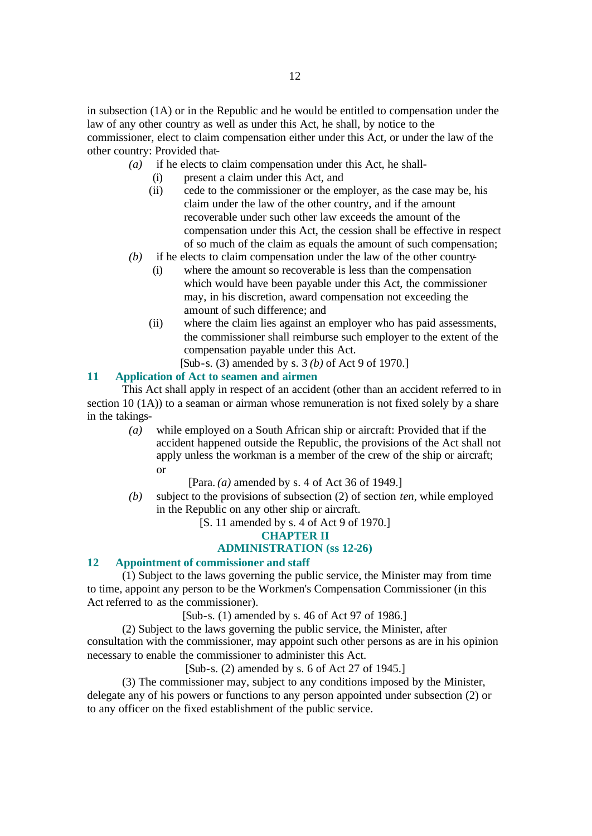in subsection (1A) or in the Republic and he would be entitled to compensation under the law of any other country as well as under this Act, he shall, by notice to the commissioner, elect to claim compensation either under this Act, or under the law of the other country: Provided that-

- *(a)* if he elects to claim compensation under this Act, he shall-
	- (i) present a claim under this Act, and
	- (ii) cede to the commissioner or the employer, as the case may be, his claim under the law of the other country, and if the amount recoverable under such other law exceeds the amount of the compensation under this Act, the cession shall be effective in respect of so much of the claim as equals the amount of such compensation;
- *(b)* if he elects to claim compensation under the law of the other country-
	- (i) where the amount so recoverable is less than the compensation which would have been payable under this Act, the commissioner may, in his discretion, award compensation not exceeding the amount of such difference; and
	- (ii) where the claim lies against an employer who has paid assessments, the commissioner shall reimburse such employer to the extent of the compensation payable under this Act.

[Sub-s. (3) amended by s. 3 *(b)* of Act 9 of 1970.]

#### **11 Application of Act to seamen and airmen**

This Act shall apply in respect of an accident (other than an accident referred to in section 10 (1A)) to a seaman or airman whose remuneration is not fixed solely by a share in the takings-

*(a)* while employed on a South African ship or aircraft: Provided that if the accident happened outside the Republic, the provisions of the Act shall not apply unless the workman is a member of the crew of the ship or aircraft; or

[Para. *(a)* amended by s. 4 of Act 36 of 1949.]

*(b)* subject to the provisions of subsection (2) of section *ten*, while employed in the Republic on any other ship or aircraft.

[S. 11 amended by s. 4 of Act 9 of 1970.]

**CHAPTER II**

#### **ADMINISTRATION (ss 12-26)**

#### **12 Appointment of commissioner and staff**

(1) Subject to the laws governing the public service, the Minister may from time to time, appoint any person to be the Workmen's Compensation Commissioner (in this Act referred to as the commissioner).

[Sub-s. (1) amended by s. 46 of Act 97 of 1986.]

(2) Subject to the laws governing the public service, the Minister, after consultation with the commissioner, may appoint such other persons as are in his opinion necessary to enable the commissioner to administer this Act.

[Sub-s. (2) amended by s. 6 of Act 27 of 1945.]

(3) The commissioner may, subject to any conditions imposed by the Minister, delegate any of his powers or functions to any person appointed under subsection (2) or to any officer on the fixed establishment of the public service.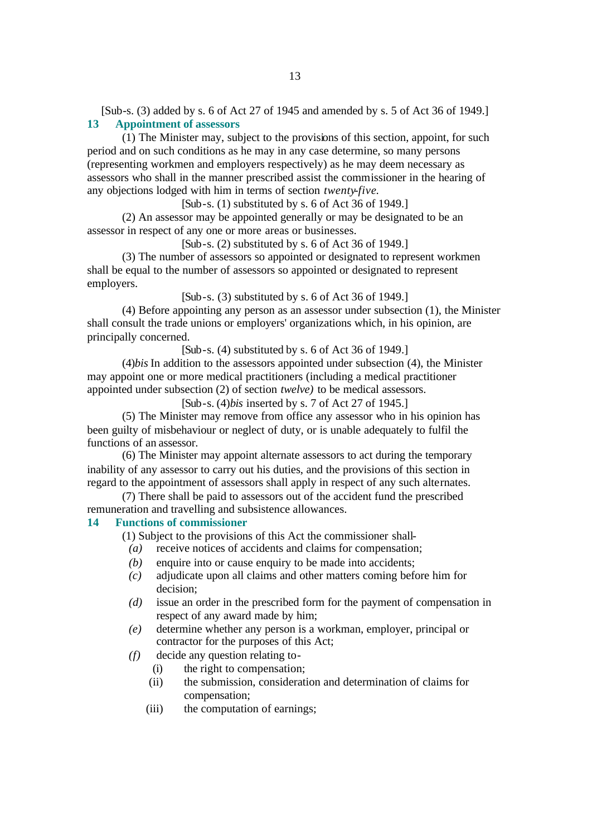[Sub-s. (3) added by s. 6 of Act 27 of 1945 and amended by s. 5 of Act 36 of 1949.] **13 Appointment of assessors**

(1) The Minister may, subject to the provisions of this section, appoint, for such period and on such conditions as he may in any case determine, so many persons (representing workmen and employers respectively) as he may deem necessary as assessors who shall in the manner prescribed assist the commissioner in the hearing of any objections lodged with him in terms of section *twenty-five*.

[Sub-s. (1) substituted by s. 6 of Act 36 of 1949.]

(2) An assessor may be appointed generally or may be designated to be an assessor in respect of any one or more areas or businesses.

[Sub-s. (2) substituted by s. 6 of Act 36 of 1949.]

(3) The number of assessors so appointed or designated to represent workmen shall be equal to the number of assessors so appointed or designated to represent employers.

[Sub-s. (3) substituted by s. 6 of Act 36 of 1949.]

(4) Before appointing any person as an assessor under subsection (1), the Minister shall consult the trade unions or employers' organizations which, in his opinion, are principally concerned.

[Sub-s. (4) substituted by s. 6 of Act 36 of 1949.]

(4)*bis* In addition to the assessors appointed under subsection (4), the Minister may appoint one or more medical practitioners (including a medical practitioner appointed under subsection (2) of section *twelve)* to be medical assessors.

[Sub-s. (4)*bis* inserted by s. 7 of Act 27 of 1945.]

(5) The Minister may remove from office any assessor who in his opinion has been guilty of misbehaviour or neglect of duty, or is unable adequately to fulfil the functions of an assessor.

(6) The Minister may appoint alternate assessors to act during the temporary inability of any assessor to carry out his duties, and the provisions of this section in regard to the appointment of assessors shall apply in respect of any such alternates.

(7) There shall be paid to assessors out of the accident fund the prescribed remuneration and travelling and subsistence allowances.

# **14 Functions of commissioner**

- (1) Subject to the provisions of this Act the commissioner shall-
	- *(a)* receive notices of accidents and claims for compensation;
	- *(b)* enquire into or cause enquiry to be made into accidents;
	- *(c)* adjudicate upon all claims and other matters coming before him for decision;
	- *(d)* issue an order in the prescribed form for the payment of compensation in respect of any award made by him;
	- *(e)* determine whether any person is a workman, employer, principal or contractor for the purposes of this Act;
	- *(f)* decide any question relating to-
		- (i) the right to compensation;
		- (ii) the submission, consideration and determination of claims for compensation;
		- (iii) the computation of earnings;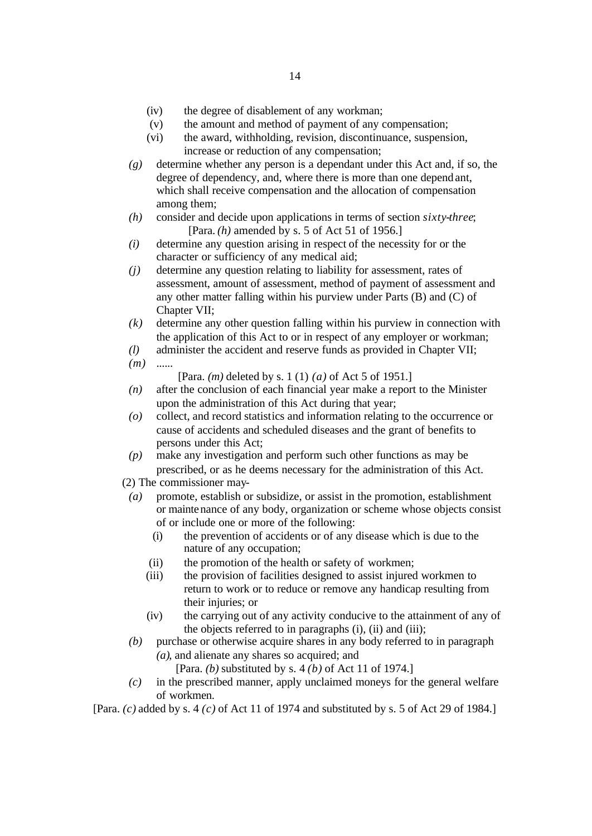- (iv) the degree of disablement of any workman;
- (v) the amount and method of payment of any compensation;
- (vi) the award, withholding, revision, discontinuance, suspension, increase or reduction of any compensation;
- *(g)* determine whether any person is a dependant under this Act and, if so, the degree of dependency, and, where there is more than one dependant, which shall receive compensation and the allocation of compensation among them;
- *(h)* consider and decide upon applications in terms of section *sixty-three*; [Para. *(h)* amended by s. 5 of Act 51 of 1956.]
- *(i)* determine any question arising in respect of the necessity for or the character or sufficiency of any medical aid;
- *(j)* determine any question relating to liability for assessment, rates of assessment, amount of assessment, method of payment of assessment and any other matter falling within his purview under Parts (B) and (C) of Chapter VII:
- *(k)* determine any other question falling within his purview in connection with the application of this Act to or in respect of any employer or workman;
- *(l)* administer the accident and reserve funds as provided in Chapter VII;
- *(m)* ......
	- [Para. *(m)* deleted by s. 1 (1) *(a)* of Act 5 of 1951.]
- *(n)* after the conclusion of each financial year make a report to the Minister upon the administration of this Act during that year;
- *(o)* collect, and record statistics and information relating to the occurrence or cause of accidents and scheduled diseases and the grant of benefits to persons under this Act;
- *(p)* make any investigation and perform such other functions as may be prescribed, or as he deems necessary for the administration of this Act.
- (2) The commissioner may-
- *(a)* promote, establish or subsidize, or assist in the promotion, establishment or maintenance of any body, organization or scheme whose objects consist of or include one or more of the following:
	- (i) the prevention of accidents or of any disease which is due to the nature of any occupation;
	- (ii) the promotion of the health or safety of workmen;
	- (iii) the provision of facilities designed to assist injured workmen to return to work or to reduce or remove any handicap resulting from their injuries; or
	- (iv) the carrying out of any activity conducive to the attainment of any of the objects referred to in paragraphs (i), (ii) and (iii);
- *(b)* purchase or otherwise acquire shares in any body referred to in paragraph *(a)*, and alienate any shares so acquired; and
	- [Para. *(b)* substituted by s. 4 *(b)* of Act 11 of 1974.]
- *(c)* in the prescribed manner, apply unclaimed moneys for the general welfare of workmen.

[Para. *(c)* added by s. 4 *(c)* of Act 11 of 1974 and substituted by s. 5 of Act 29 of 1984.]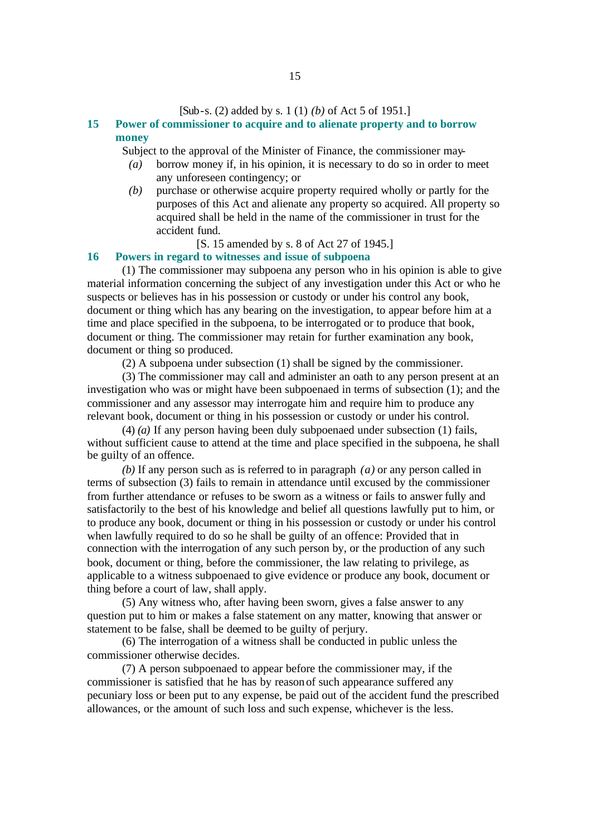#### [Sub-s. (2) added by s. 1 (1) *(b)* of Act 5 of 1951.]

# **15 Power of commissioner to acquire and to alienate property and to borrow money**

Subject to the approval of the Minister of Finance, the commissioner may-

- *(a)* borrow money if, in his opinion, it is necessary to do so in order to meet any unforeseen contingency; or
- *(b)* purchase or otherwise acquire property required wholly or partly for the purposes of this Act and alienate any property so acquired. All property so acquired shall be held in the name of the commissioner in trust for the accident fund.
	- [S. 15 amended by s. 8 of Act 27 of 1945.]

# **16 Powers in regard to witnesses and issue of subpoena**

(1) The commissioner may subpoena any person who in his opinion is able to give material information concerning the subject of any investigation under this Act or who he suspects or believes has in his possession or custody or under his control any book, document or thing which has any bearing on the investigation, to appear before him at a time and place specified in the subpoena, to be interrogated or to produce that book, document or thing. The commissioner may retain for further examination any book, document or thing so produced.

(2) A subpoena under subsection (1) shall be signed by the commissioner.

(3) The commissioner may call and administer an oath to any person present at an investigation who was or might have been subpoenaed in terms of subsection (1); and the commissioner and any assessor may interrogate him and require him to produce any relevant book, document or thing in his possession or custody or under his control.

(4) *(a)* If any person having been duly subpoenaed under subsection (1) fails, without sufficient cause to attend at the time and place specified in the subpoena, he shall be guilty of an offence.

*(b)* If any person such as is referred to in paragraph *(a)* or any person called in terms of subsection (3) fails to remain in attendance until excused by the commissioner from further attendance or refuses to be sworn as a witness or fails to answer fully and satisfactorily to the best of his knowledge and belief all questions lawfully put to him, or to produce any book, document or thing in his possession or custody or under his control when lawfully required to do so he shall be guilty of an offence: Provided that in connection with the interrogation of any such person by, or the production of any such book, document or thing, before the commissioner, the law relating to privilege, as applicable to a witness subpoenaed to give evidence or produce any book, document or thing before a court of law, shall apply.

(5) Any witness who, after having been sworn, gives a false answer to any question put to him or makes a false statement on any matter, knowing that answer or statement to be false, shall be deemed to be guilty of perjury.

(6) The interrogation of a witness shall be conducted in public unless the commissioner otherwise decides.

(7) A person subpoenaed to appear before the commissioner may, if the commissioner is satisfied that he has by reason of such appearance suffered any pecuniary loss or been put to any expense, be paid out of the accident fund the prescribed allowances, or the amount of such loss and such expense, whichever is the less.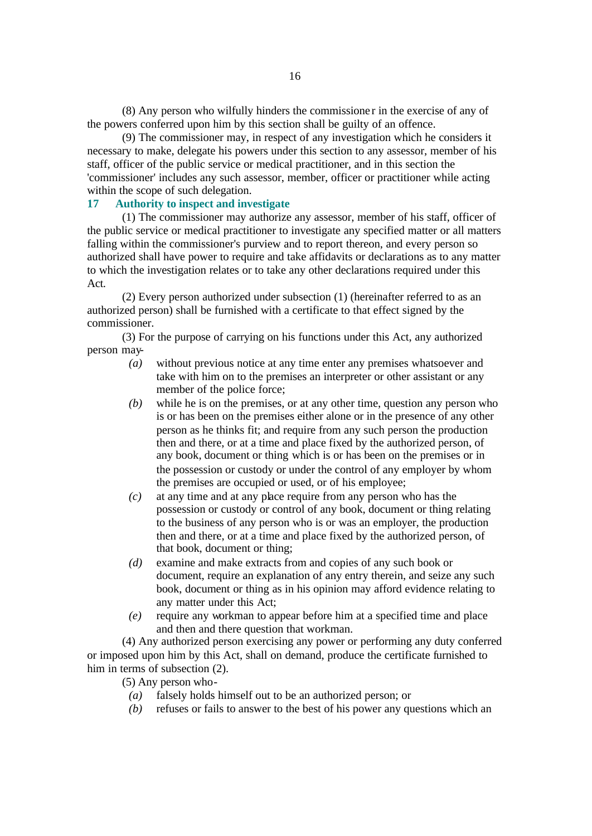(8) Any person who wilfully hinders the commissione r in the exercise of any of the powers conferred upon him by this section shall be guilty of an offence.

(9) The commissioner may, in respect of any investigation which he considers it necessary to make, delegate his powers under this section to any assessor, member of his staff, officer of the public service or medical practitioner, and in this section the 'commissioner' includes any such assessor, member, officer or practitioner while acting within the scope of such delegation.

# **17 Authority to inspect and investigate**

(1) The commissioner may authorize any assessor, member of his staff, officer of the public service or medical practitioner to investigate any specified matter or all matters falling within the commissioner's purview and to report thereon, and every person so authorized shall have power to require and take affidavits or declarations as to any matter to which the investigation relates or to take any other declarations required under this Act.

(2) Every person authorized under subsection (1) (hereinafter referred to as an authorized person) shall be furnished with a certificate to that effect signed by the commissioner.

(3) For the purpose of carrying on his functions under this Act, any authorized person may-

- *(a)* without previous notice at any time enter any premises whatsoever and take with him on to the premises an interpreter or other assistant or any member of the police force;
- *(b)* while he is on the premises, or at any other time, question any person who is or has been on the premises either alone or in the presence of any other person as he thinks fit; and require from any such person the production then and there, or at a time and place fixed by the authorized person, of any book, document or thing which is or has been on the premises or in the possession or custody or under the control of any employer by whom the premises are occupied or used, or of his employee;
- *(c)* at any time and at any place require from any person who has the possession or custody or control of any book, document or thing relating to the business of any person who is or was an employer, the production then and there, or at a time and place fixed by the authorized person, of that book, document or thing;
- *(d)* examine and make extracts from and copies of any such book or document, require an explanation of any entry therein, and seize any such book, document or thing as in his opinion may afford evidence relating to any matter under this Act;
- *(e)* require any workman to appear before him at a specified time and place and then and there question that workman.

(4) Any authorized person exercising any power or performing any duty conferred or imposed upon him by this Act, shall on demand, produce the certificate furnished to him in terms of subsection (2).

(5) Any person who-

- *(a)* falsely holds himself out to be an authorized person; or
- *(b)* refuses or fails to answer to the best of his power any questions which an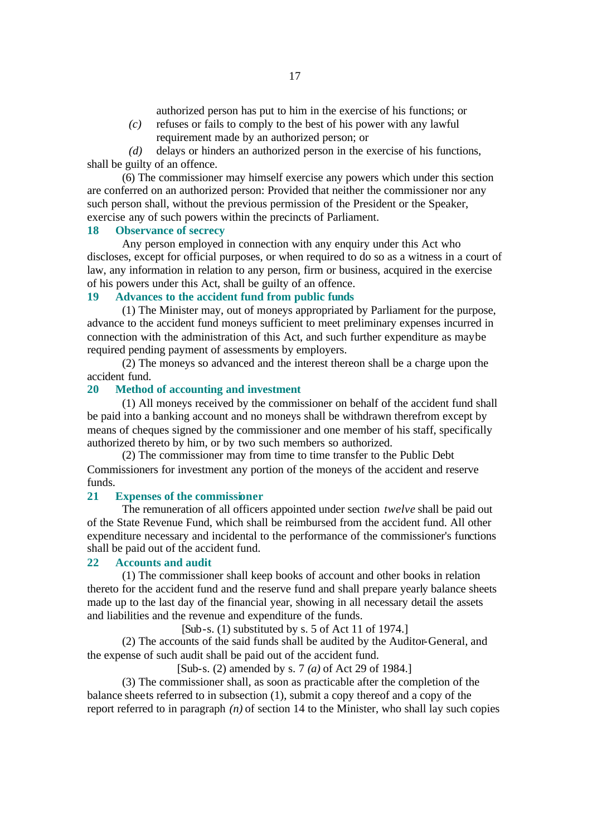authorized person has put to him in the exercise of his functions; or

*(c)* refuses or fails to comply to the best of his power with any lawful requirement made by an authorized person; or

*(d)* delays or hinders an authorized person in the exercise of his functions, shall be guilty of an offence.

(6) The commissioner may himself exercise any powers which under this section are conferred on an authorized person: Provided that neither the commissioner nor any such person shall, without the previous permission of the President or the Speaker, exercise any of such powers within the precincts of Parliament.

### **18 Observance of secrecy**

Any person employed in connection with any enquiry under this Act who discloses, except for official purposes, or when required to do so as a witness in a court of law, any information in relation to any person, firm or business, acquired in the exercise of his powers under this Act, shall be guilty of an offence.

# **19 Advances to the accident fund from public funds**

(1) The Minister may, out of moneys appropriated by Parliament for the purpose, advance to the accident fund moneys sufficient to meet preliminary expenses incurred in connection with the administration of this Act, and such further expenditure as may be required pending payment of assessments by employers.

(2) The moneys so advanced and the interest thereon shall be a charge upon the accident fund.

#### **20 Method of accounting and investment**

(1) All moneys received by the commissioner on behalf of the accident fund shall be paid into a banking account and no moneys shall be withdrawn therefrom except by means of cheques signed by the commissioner and one member of his staff, specifically authorized thereto by him, or by two such members so authorized.

(2) The commissioner may from time to time transfer to the Public Debt Commissioners for investment any portion of the moneys of the accident and reserve funds.

#### **21 Expenses of the commissioner**

The remuneration of all officers appointed under section *twelve* shall be paid out of the State Revenue Fund, which shall be reimbursed from the accident fund. All other expenditure necessary and incidental to the performance of the commissioner's functions shall be paid out of the accident fund.

#### **22 Accounts and audit**

(1) The commissioner shall keep books of account and other books in relation thereto for the accident fund and the reserve fund and shall prepare yearly balance sheets made up to the last day of the financial year, showing in all necessary detail the assets and liabilities and the revenue and expenditure of the funds.

 $[Sub-s. (1)$  substituted by s. 5 of Act 11 of 1974.]

(2) The accounts of the said funds shall be audited by the Auditor-General, and the expense of such audit shall be paid out of the accident fund.

[Sub-s. (2) amended by s. 7 *(a)* of Act 29 of 1984.]

(3) The commissioner shall, as soon as practicable after the completion of the balance sheets referred to in subsection (1), submit a copy thereof and a copy of the report referred to in paragraph *(n)* of section 14 to the Minister, who shall lay such copies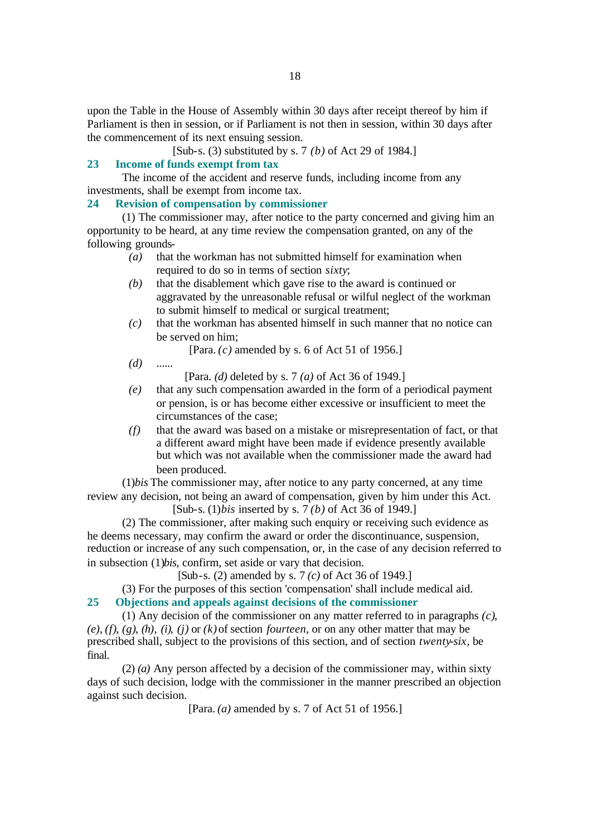upon the Table in the House of Assembly within 30 days after receipt thereof by him if Parliament is then in session, or if Parliament is not then in session, within 30 days after the commencement of its next ensuing session.

[Sub-s. (3) substituted by s. 7 *(b)* of Act 29 of 1984.]

# **23 Income of funds exempt from tax**

The income of the accident and reserve funds, including income from any investments, shall be exempt from income tax.

## **24 Revision of compensation by commissioner**

(1) The commissioner may, after notice to the party concerned and giving him an opportunity to be heard, at any time review the compensation granted, on any of the following grounds-

- *(a)* that the workman has not submitted himself for examination when required to do so in terms of section *sixty*;
- *(b)* that the disablement which gave rise to the award is continued or aggravated by the unreasonable refusal or wilful neglect of the workman to submit himself to medical or surgical treatment;
- *(c)* that the workman has absented himself in such manner that no notice can be served on him;

[Para. *(c)* amended by s. 6 of Act 51 of 1956.]

*(d)* ......

[Para. *(d)* deleted by s. 7 *(a)* of Act 36 of 1949.]

- *(e)* that any such compensation awarded in the form of a periodical payment or pension, is or has become either excessive or insufficient to meet the circumstances of the case;
- *(f)* that the award was based on a mistake or misrepresentation of fact, or that a different award might have been made if evidence presently available but which was not available when the commissioner made the award had been produced.

(1)*bis* The commissioner may, after notice to any party concerned, at any time review any decision, not being an award of compensation, given by him under this Act.

[Sub-s. (1)*bis* inserted by s. 7 *(b)* of Act 36 of 1949.]

(2) The commissioner, after making such enquiry or receiving such evidence as he deems necessary, may confirm the award or order the discontinuance, suspension, reduction or increase of any such compensation, or, in the case of any decision referred to in subsection (1)*bis*, confirm, set aside or vary that decision.

[Sub-s. (2) amended by s. 7 *(c)* of Act 36 of 1949.]

(3) For the purposes of this section 'compensation' shall include medical aid.

# **25 Objections and appeals against decisions of the commissioner**

(1) Any decision of the commissioner on any matter referred to in paragraphs *(c)*, *(e)*, *(f)*, *(g)*, *(h)*, *(i)*, *(j)* or *(k)* of section *fourteen*, or on any other matter that may be prescribed shall, subject to the provisions of this section, and of section *twenty-six*, be final.

(2) *(a)* Any person affected by a decision of the commissioner may, within sixty days of such decision, lodge with the commissioner in the manner prescribed an objection against such decision.

[Para. *(a)* amended by s. 7 of Act 51 of 1956.]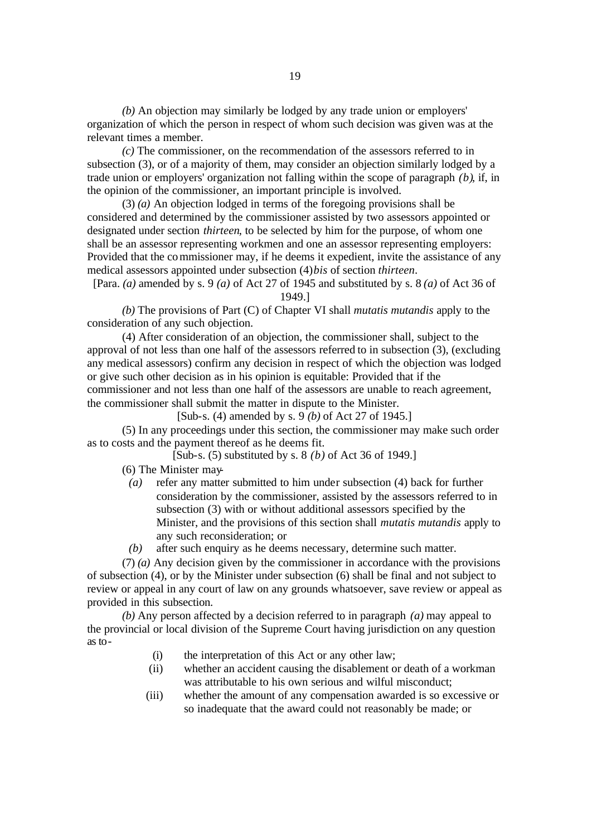*(b)* An objection may similarly be lodged by any trade union or employers' organization of which the person in respect of whom such decision was given was at the relevant times a member.

*(c)* The commissioner, on the recommendation of the assessors referred to in subsection (3), or of a majority of them, may consider an objection similarly lodged by a trade union or employers' organization not falling within the scope of paragraph *(b)*, if, in the opinion of the commissioner, an important principle is involved.

(3) *(a)* An objection lodged in terms of the foregoing provisions shall be considered and determined by the commissioner assisted by two assessors appointed or designated under section *thirteen*, to be selected by him for the purpose, of whom one shall be an assessor representing workmen and one an assessor representing employers: Provided that the commissioner may, if he deems it expedient, invite the assistance of any medical assessors appointed under subsection (4)*bis* of section *thirteen*.

[Para. *(a)* amended by s. 9 *(a)* of Act 27 of 1945 and substituted by s. 8 *(a)* of Act 36 of 1949.]

*(b)* The provisions of Part (C) of Chapter VI shall *mutatis mutandis* apply to the consideration of any such objection.

(4) After consideration of an objection, the commissioner shall, subject to the approval of not less than one half of the assessors referred to in subsection (3), (excluding any medical assessors) confirm any decision in respect of which the objection was lodged or give such other decision as in his opinion is equitable: Provided that if the commissioner and not less than one half of the assessors are unable to reach agreement, the commissioner shall submit the matter in dispute to the Minister.

[Sub-s. (4) amended by s. 9 *(b)* of Act 27 of 1945.]

(5) In any proceedings under this section, the commissioner may make such order as to costs and the payment thereof as he deems fit.

[Sub-s. (5) substituted by s. 8 *(b)* of Act 36 of 1949.]

(6) The Minister may-

- *(a)* refer any matter submitted to him under subsection (4) back for further consideration by the commissioner, assisted by the assessors referred to in subsection (3) with or without additional assessors specified by the Minister, and the provisions of this section shall *mutatis mutandis* apply to any such reconsideration; or
- *(b)* after such enquiry as he deems necessary, determine such matter.

(7) *(a)* Any decision given by the commissioner in accordance with the provisions of subsection (4), or by the Minister under subsection (6) shall be final and not subject to review or appeal in any court of law on any grounds whatsoever, save review or appeal as provided in this subsection.

*(b)* Any person affected by a decision referred to in paragraph *(a)* may appeal to the provincial or local division of the Supreme Court having jurisdiction on any question as to-

- (i) the interpretation of this Act or any other law;
- (ii) whether an accident causing the disablement or death of a workman was attributable to his own serious and wilful misconduct;
- (iii) whether the amount of any compensation awarded is so excessive or so inadequate that the award could not reasonably be made; or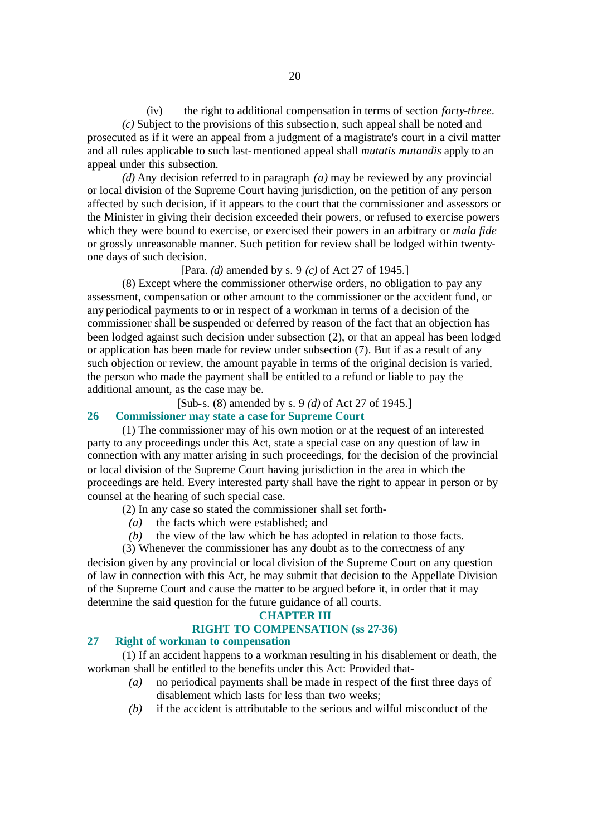(iv) the right to additional compensation in terms of section *forty-three*. *(c)* Subject to the provisions of this subsectio n, such appeal shall be noted and prosecuted as if it were an appeal from a judgment of a magistrate's court in a civil matter and all rules applicable to such last-mentioned appeal shall *mutatis mutandis* apply to an appeal under this subsection.

*(d)* Any decision referred to in paragraph *(a)* may be reviewed by any provincial or local division of the Supreme Court having jurisdiction, on the petition of any person affected by such decision, if it appears to the court that the commissioner and assessors or the Minister in giving their decision exceeded their powers, or refused to exercise powers which they were bound to exercise, or exercised their powers in an arbitrary or *mala fide* or grossly unreasonable manner. Such petition for review shall be lodged within twentyone days of such decision.

#### [Para. *(d)* amended by s. 9 *(c)* of Act 27 of 1945.]

(8) Except where the commissioner otherwise orders, no obligation to pay any assessment, compensation or other amount to the commissioner or the accident fund, or any periodical payments to or in respect of a workman in terms of a decision of the commissioner shall be suspended or deferred by reason of the fact that an objection has been lodged against such decision under subsection (2), or that an appeal has been lodged or application has been made for review under subsection (7). But if as a result of any such objection or review, the amount payable in terms of the original decision is varied, the person who made the payment shall be entitled to a refund or liable to pay the additional amount, as the case may be.

[Sub-s. (8) amended by s. 9 *(d)* of Act 27 of 1945.]

# **26 Commissioner may state a case for Supreme Court**

(1) The commissioner may of his own motion or at the request of an interested party to any proceedings under this Act, state a special case on any question of law in connection with any matter arising in such proceedings, for the decision of the provincial or local division of the Supreme Court having jurisdiction in the area in which the proceedings are held. Every interested party shall have the right to appear in person or by counsel at the hearing of such special case.

(2) In any case so stated the commissioner shall set forth-

- *(a)* the facts which were established; and
- *(b)* the view of the law which he has adopted in relation to those facts.

(3) Whenever the commissioner has any doubt as to the correctness of any

decision given by any provincial or local division of the Supreme Court on any question of law in connection with this Act, he may submit that decision to the Appellate Division of the Supreme Court and cause the matter to be argued before it, in order that it may determine the said question for the future guidance of all courts.

#### **CHAPTER III**

# **RIGHT TO COMPENSATION (ss 27-36)**

# **27 Right of workman to compensation**

(1) If an accident happens to a workman resulting in his disablement or death, the workman shall be entitled to the benefits under this Act: Provided that-

- *(a)* no periodical payments shall be made in respect of the first three days of disablement which lasts for less than two weeks;
- *(b)* if the accident is attributable to the serious and wilful misconduct of the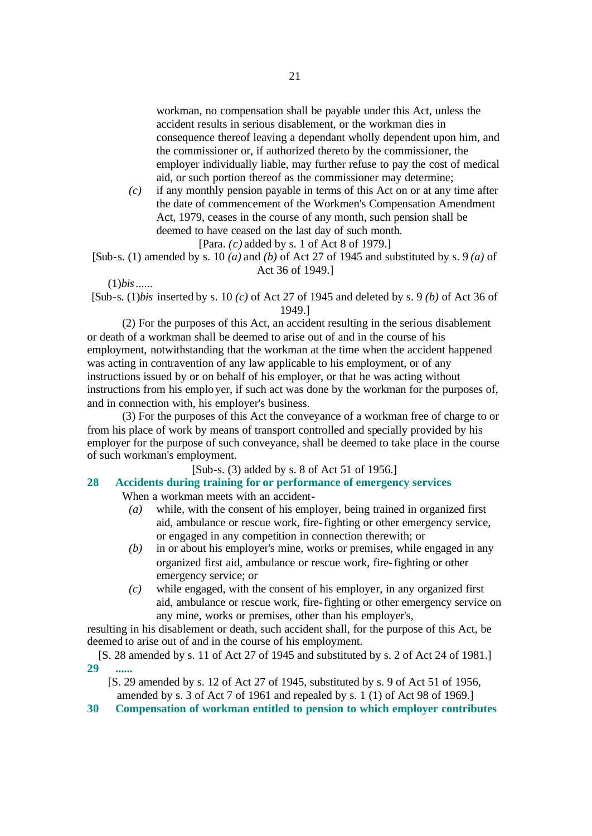workman, no compensation shall be payable under this Act, unless the accident results in serious disablement, or the workman dies in consequence thereof leaving a dependant wholly dependent upon him, and the commissioner or, if authorized thereto by the commissioner, the employer individually liable, may further refuse to pay the cost of medical aid, or such portion thereof as the commissioner may determine;

- *(c)* if any monthly pension payable in terms of this Act on or at any time after the date of commencement of the Workmen's Compensation Amendment Act, 1979, ceases in the course of any month, such pension shall be deemed to have ceased on the last day of such month.
	- [Para. *(c)* added by s. 1 of Act 8 of 1979.]

[Sub-s. (1) amended by s. 10 *(a)* and *(b)* of Act 27 of 1945 and substituted by s. 9 *(a)* of Act 36 of 1949.]

(1)*bis*......

[Sub-s. (1)*bis* inserted by s. 10 *(c)* of Act 27 of 1945 and deleted by s. 9 *(b)* of Act 36 of 1949.]

(2) For the purposes of this Act, an accident resulting in the serious disablement or death of a workman shall be deemed to arise out of and in the course of his employment, notwithstanding that the workman at the time when the accident happened was acting in contravention of any law applicable to his employment, or of any instructions issued by or on behalf of his employer, or that he was acting without instructions from his employer, if such act was done by the workman for the purposes of, and in connection with, his employer's business.

(3) For the purposes of this Act the conveyance of a workman free of charge to or from his place of work by means of transport controlled and specially provided by his employer for the purpose of such conveyance, shall be deemed to take place in the course of such workman's employment.

[Sub-s. (3) added by s. 8 of Act 51 of 1956.]

#### **28 Accidents during training for or performance of emergency services** When a workman meets with an accident-

- *(a)* while, with the consent of his employer, being trained in organized first aid, ambulance or rescue work, fire-fighting or other emergency service, or engaged in any competition in connection therewith; or
- *(b)* in or about his employer's mine, works or premises, while engaged in any organized first aid, ambulance or rescue work, fire-fighting or other emergency service; or
- *(c)* while engaged, with the consent of his employer, in any organized first aid, ambulance or rescue work, fire-fighting or other emergency service on any mine, works or premises, other than his employer's,

resulting in his disablement or death, such accident shall, for the purpose of this Act, be deemed to arise out of and in the course of his employment.

[S. 28 amended by s. 11 of Act 27 of 1945 and substituted by s. 2 of Act 24 of 1981.] **29 ......**

[S. 29 amended by s. 12 of Act 27 of 1945, substituted by s. 9 of Act 51 of 1956, amended by s. 3 of Act 7 of 1961 and repealed by s. 1 (1) of Act 98 of 1969.]

**30 Compensation of workman entitled to pension to which employer contributes**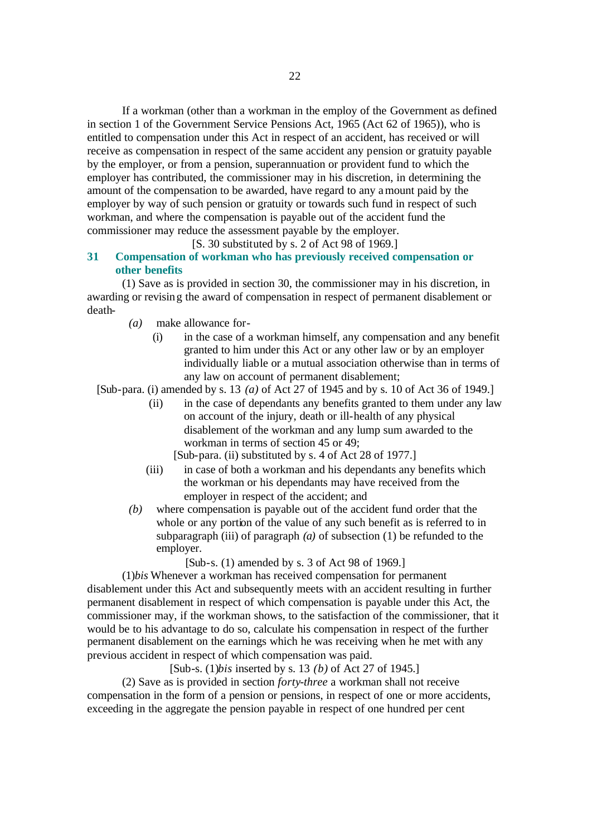If a workman (other than a workman in the employ of the Government as defined in section 1 of the Government Service Pensions Act, 1965 (Act 62 of 1965)), who is entitled to compensation under this Act in respect of an accident, has received or will receive as compensation in respect of the same accident any pension or gratuity payable by the employer, or from a pension, superannuation or provident fund to which the employer has contributed, the commissioner may in his discretion, in determining the amount of the compensation to be awarded, have regard to any amount paid by the employer by way of such pension or gratuity or towards such fund in respect of such workman, and where the compensation is payable out of the accident fund the commissioner may reduce the assessment payable by the employer.

### [S. 30 substituted by s. 2 of Act 98 of 1969.]

# **31 Compensation of workman who has previously received compensation or other benefits**

(1) Save as is provided in section 30, the commissioner may in his discretion, in awarding or revising the award of compensation in respect of permanent disablement or death-

- *(a)* make allowance for-
	- (i) in the case of a workman himself, any compensation and any benefit granted to him under this Act or any other law or by an employer individually liable or a mutual association otherwise than in terms of any law on account of permanent disablement;

[Sub-para. (i) amended by s. 13 *(a)* of Act 27 of 1945 and by s. 10 of Act 36 of 1949.]

- (ii) in the case of dependants any benefits granted to them under any law on account of the injury, death or ill-health of any physical disablement of the workman and any lump sum awarded to the workman in terms of section 45 or 49;
	- [Sub-para. (ii) substituted by s. 4 of Act 28 of 1977.]
- (iii) in case of both a workman and his dependants any benefits which the workman or his dependants may have received from the employer in respect of the accident; and
- *(b)* where compensation is payable out of the accident fund order that the whole or any portion of the value of any such benefit as is referred to in subparagraph (iii) of paragraph  $(a)$  of subsection  $(1)$  be refunded to the employer.

[Sub-s. (1) amended by s. 3 of Act 98 of 1969.]

(1)*bis* Whenever a workman has received compensation for permanent disablement under this Act and subsequently meets with an accident resulting in further permanent disablement in respect of which compensation is payable under this Act, the commissioner may, if the workman shows, to the satisfaction of the commissioner, that it would be to his advantage to do so, calculate his compensation in respect of the further permanent disablement on the earnings which he was receiving when he met with any previous accident in respect of which compensation was paid.

[Sub-s. (1)*bis* inserted by s. 13 *(b)* of Act 27 of 1945.]

(2) Save as is provided in section *forty-three* a workman shall not receive compensation in the form of a pension or pensions, in respect of one or more accidents, exceeding in the aggregate the pension payable in respect of one hundred per cent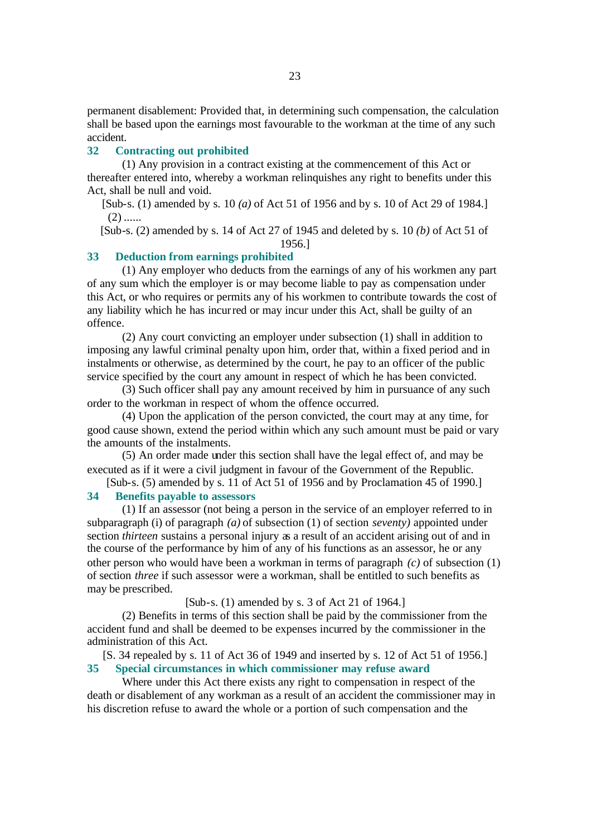permanent disablement: Provided that, in determining such compensation, the calculation shall be based upon the earnings most favourable to the workman at the time of any such accident.

#### **32 Contracting out prohibited**

(1) Any provision in a contract existing at the commencement of this Act or thereafter entered into, whereby a workman relinquishes any right to benefits under this Act, shall be null and void.

[Sub-s. (1) amended by s. 10 *(a)* of Act 51 of 1956 and by s. 10 of Act 29 of 1984.]  $(2)$  ......

[Sub-s. (2) amended by s. 14 of Act 27 of 1945 and deleted by s. 10 *(b)* of Act 51 of

# 1956.]

# **33 Deduction from earnings prohibited** (1) Any employer who deducts from the earnings of any of his workmen any part

of any sum which the employer is or may become liable to pay as compensation under this Act, or who requires or permits any of his workmen to contribute towards the cost of any liability which he has incurred or may incur under this Act, shall be guilty of an offence.

(2) Any court convicting an employer under subsection (1) shall in addition to imposing any lawful criminal penalty upon him, order that, within a fixed period and in instalments or otherwise, as determined by the court, he pay to an officer of the public service specified by the court any amount in respect of which he has been convicted.

(3) Such officer shall pay any amount received by him in pursuance of any such order to the workman in respect of whom the offence occurred.

(4) Upon the application of the person convicted, the court may at any time, for good cause shown, extend the period within which any such amount must be paid or vary the amounts of the instalments.

(5) An order made under this section shall have the legal effect of, and may be executed as if it were a civil judgment in favour of the Government of the Republic.

[Sub-s. (5) amended by s. 11 of Act 51 of 1956 and by Proclamation 45 of 1990.] **34 Benefits payable to assessors**

(1) If an assessor (not being a person in the service of an employer referred to in subparagraph (i) of paragraph *(a)* of subsection (1) of section *seventy)* appointed under section *thirteen* sustains a personal injury as a result of an accident arising out of and in the course of the performance by him of any of his functions as an assessor, he or any other person who would have been a workman in terms of paragraph *(c)* of subsection (1) of section *three* if such assessor were a workman, shall be entitled to such benefits as may be prescribed.

# [Sub-s. (1) amended by s. 3 of Act 21 of 1964.]

(2) Benefits in terms of this section shall be paid by the commissioner from the accident fund and shall be deemed to be expenses incurred by the commissioner in the administration of this Act.

[S. 34 repealed by s. 11 of Act 36 of 1949 and inserted by s. 12 of Act 51 of 1956.] **35 Special circumstances in which commissioner may refuse award**

Where under this Act there exists any right to compensation in respect of the death or disablement of any workman as a result of an accident the commissioner may in his discretion refuse to award the whole or a portion of such compensation and the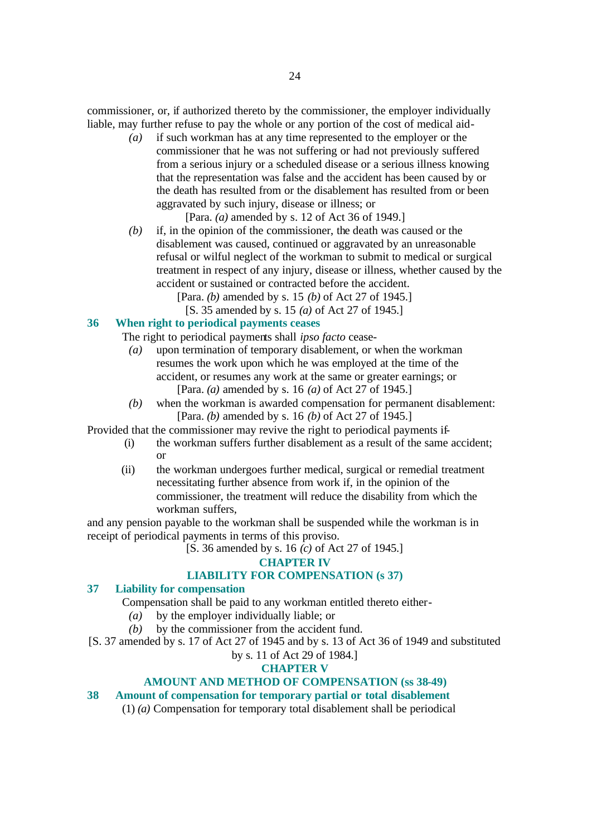commissioner, or, if authorized thereto by the commissioner, the employer individually liable, may further refuse to pay the whole or any portion of the cost of medical aid-

*(a)* if such workman has at any time represented to the employer or the commissioner that he was not suffering or had not previously suffered from a serious injury or a scheduled disease or a serious illness knowing that the representation was false and the accident has been caused by or the death has resulted from or the disablement has resulted from or been aggravated by such injury, disease or illness; or

[Para. *(a)* amended by s. 12 of Act 36 of 1949.]

*(b)* if, in the opinion of the commissioner, the death was caused or the disablement was caused, continued or aggravated by an unreasonable refusal or wilful neglect of the workman to submit to medical or surgical treatment in respect of any injury, disease or illness, whether caused by the accident or sustained or contracted before the accident.

[Para. *(b)* amended by s. 15 *(b)* of Act 27 of 1945.]

[S. 35 amended by s. 15 *(a)* of Act 27 of 1945.]

# **36 When right to periodical payments ceases**

The right to periodical payments shall *ipso facto* cease-

- *(a)* upon termination of temporary disablement, or when the workman resumes the work upon which he was employed at the time of the accident, or resumes any work at the same or greater earnings; or [Para. *(a)* amended by s. 16 *(a)* of Act 27 of 1945.]
- *(b)* when the workman is awarded compensation for permanent disablement: [Para. *(b)* amended by s. 16 *(b)* of Act 27 of 1945.]

Provided that the commissioner may revive the right to periodical payments if-

- (i) the workman suffers further disablement as a result of the same accident; or
- (ii) the workman undergoes further medical, surgical or remedial treatment necessitating further absence from work if, in the opinion of the commissioner, the treatment will reduce the disability from which the workman suffers,

and any pension payable to the workman shall be suspended while the workman is in receipt of periodical payments in terms of this proviso.

[S. 36 amended by s. 16 *(c)* of Act 27 of 1945.]

# **CHAPTER IV**

# **LIABILITY FOR COMPENSATION (s 37)**

# **37 Liability for compensation**

Compensation shall be paid to any workman entitled thereto either-

- *(a)* by the employer individually liable; or
- *(b)* by the commissioner from the accident fund.
- [S. 37 amended by s. 17 of Act 27 of 1945 and by s. 13 of Act 36 of 1949 and substituted

# by s. 11 of Act 29 of 1984.]

# **CHAPTER V**

# **AMOUNT AND METHOD OF COMPENSATION (ss 38-49)**

# **38 Amount of compensation for temporary partial or total disablement**

(1) *(a)* Compensation for temporary total disablement shall be periodical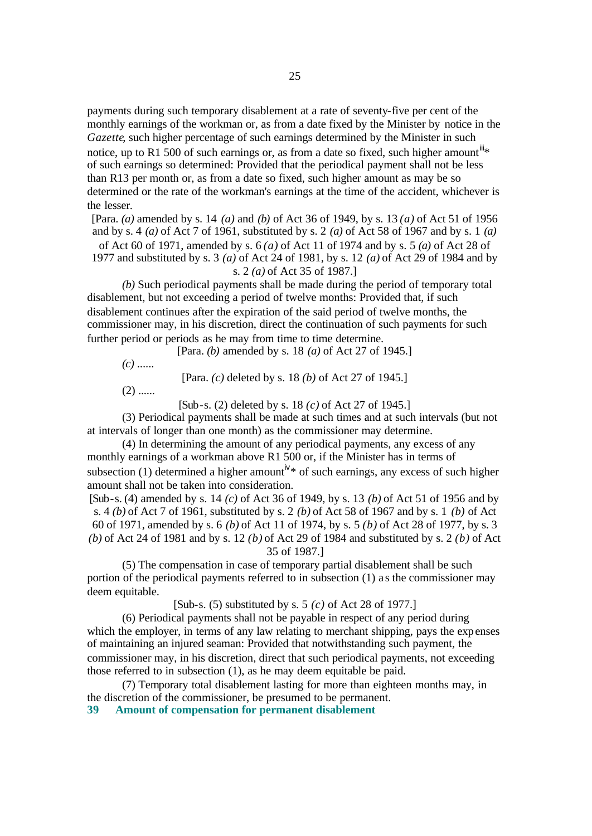payments during such temporary disablement at a rate of seventy-five per cent of the monthly earnings of the workman or, as from a date fixed by the Minister by notice in the *Gazette*, such higher percentage of such earnings determined by the Minister in such notice, up to R1 500 of such earnings or, as from a date so fixed, such higher amount<sup>III\*</sup> of such earnings so determined: Provided that the periodical payment shall not be less than R13 per month or, as from a date so fixed, such higher amount as may be so determined or the rate of the workman's earnings at the time of the accident, whichever is the lesser.

[Para. *(a)* amended by s. 14 *(a)* and *(b)* of Act 36 of 1949, by s. 13 *(a)* of Act 51 of 1956 and by s. 4 *(a)* of Act 7 of 1961, substituted by s. 2 *(a)* of Act 58 of 1967 and by s. 1 *(a)* of Act 60 of 1971, amended by s. 6 *(a)* of Act 11 of 1974 and by s. 5 *(a)* of Act 28 of

1977 and substituted by s. 3 *(a)* of Act 24 of 1981, by s. 12 *(a)* of Act 29 of 1984 and by s. 2 *(a)* of Act 35 of 1987.]

*(b)* Such periodical payments shall be made during the period of temporary total disablement, but not exceeding a period of twelve months: Provided that, if such disablement continues after the expiration of the said period of twelve months, the commissioner may, in his discretion, direct the continuation of such payments for such further period or periods as he may from time to time determine.

[Para. *(b)* amended by s. 18 *(a)* of Act 27 of 1945.]

*(c)* ......

[Para. *(c)* deleted by s. 18 *(b)* of Act 27 of 1945.]

 $(2)$  ......

[Sub-s. (2) deleted by s. 18 *(c)* of Act 27 of 1945.]

(3) Periodical payments shall be made at such times and at such intervals (but not at intervals of longer than one month) as the commissioner may determine.

(4) In determining the amount of any periodical payments, any excess of any monthly earnings of a workman above R1 500 or, if the Minister has in terms of subsection (1) determined a higher amount<sup>iv\*</sup> of such earnings, any excess of such higher amount shall not be taken into consideration.

[Sub-s. (4) amended by s. 14 *(c)* of Act 36 of 1949, by s. 13 *(b)* of Act 51 of 1956 and by s. 4 *(b)* of Act 7 of 1961, substituted by s. 2 *(b)* of Act 58 of 1967 and by s. 1 *(b)* of Act 60 of 1971, amended by s. 6 *(b)* of Act 11 of 1974, by s. 5 *(b)* of Act 28 of 1977, by s. 3 *(b)* of Act 24 of 1981 and by s. 12 *(b)* of Act 29 of 1984 and substituted by s. 2 *(b)* of Act 35 of 1987.]

(5) The compensation in case of temporary partial disablement shall be such portion of the periodical payments referred to in subsection (1) as the commissioner may deem equitable.

[Sub-s. (5) substituted by s. 5 *(c)* of Act 28 of 1977.]

(6) Periodical payments shall not be payable in respect of any period during which the employer, in terms of any law relating to merchant shipping, pays the expenses of maintaining an injured seaman: Provided that notwithstanding such payment, the commissioner may, in his discretion, direct that such periodical payments, not exceeding those referred to in subsection (1), as he may deem equitable be paid.

(7) Temporary total disablement lasting for more than eighteen months may, in the discretion of the commissioner, be presumed to be permanent.

**39 Amount of compensation for permanent disablement**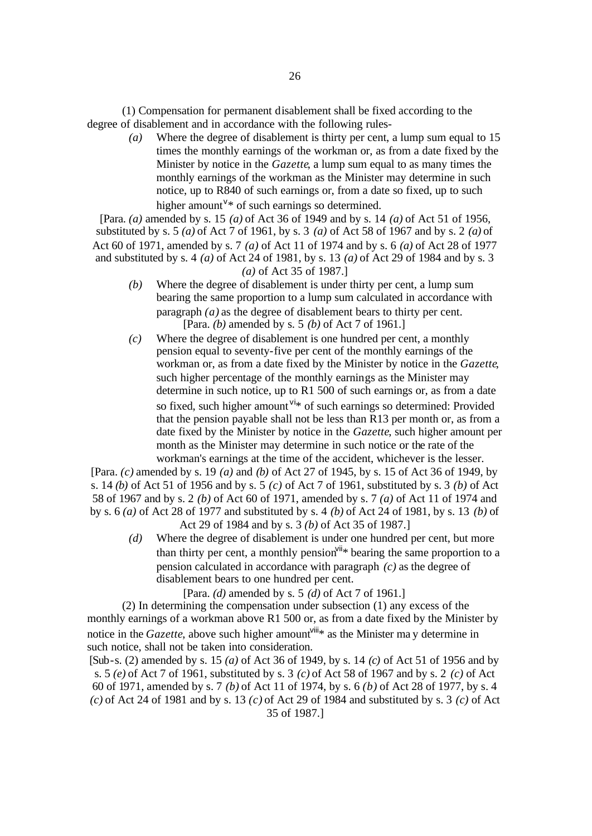(1) Compensation for permanent disablement shall be fixed according to the degree of disablement and in accordance with the following rules-

> *(a)* Where the degree of disablement is thirty per cent, a lump sum equal to 15 times the monthly earnings of the workman or, as from a date fixed by the Minister by notice in the *Gazette*, a lump sum equal to as many times the monthly earnings of the workman as the Minister may determine in such notice, up to R840 of such earnings or, from a date so fixed, up to such higher amount<sup>v\*</sup> of such earnings so determined.

[Para. *(a)* amended by s. 15 *(a)* of Act 36 of 1949 and by s. 14 *(a)* of Act 51 of 1956, substituted by s. 5 *(a)* of Act 7 of 1961, by s. 3 *(a)* of Act 58 of 1967 and by s. 2 *(a)* of Act 60 of 1971, amended by s. 7 *(a)* of Act 11 of 1974 and by s. 6 *(a)* of Act 28 of 1977 and substituted by s. 4 *(a)* of Act 24 of 1981, by s. 13 *(a)* of Act 29 of 1984 and by s. 3 *(a)* of Act 35 of 1987.]

- *(b)* Where the degree of disablement is under thirty per cent, a lump sum bearing the same proportion to a lump sum calculated in accordance with paragraph *(a)* as the degree of disablement bears to thirty per cent. [Para. *(b)* amended by s. 5 *(b)* of Act 7 of 1961.]
- *(c)* Where the degree of disablement is one hundred per cent, a monthly pension equal to seventy-five per cent of the monthly earnings of the workman or, as from a date fixed by the Minister by notice in the *Gazette*, such higher percentage of the monthly earnings as the Minister may determine in such notice, up to R1 500 of such earnings or, as from a date so fixed, such higher amount vi<sup>\*</sup> of such earnings so determined: Provided that the pension payable shall not be less than R13 per month or, as from a date fixed by the Minister by notice in the *Gazette*, such higher amount per month as the Minister may determine in such notice or the rate of the workman's earnings at the time of the accident, whichever is the lesser.

[Para. *(c)* amended by s. 19 *(a)* and *(b)* of Act 27 of 1945, by s. 15 of Act 36 of 1949, by s. 14 *(b)* of Act 51 of 1956 and by s. 5 *(c)* of Act 7 of 1961, substituted by s. 3 *(b)* of Act 58 of 1967 and by s. 2 *(b)* of Act 60 of 1971, amended by s. 7 *(a)* of Act 11 of 1974 and by s. 6 *(a)* of Act 28 of 1977 and substituted by s. 4 *(b)* of Act 24 of 1981, by s. 13 *(b)* of Act 29 of 1984 and by s. 3 *(b)* of Act 35 of 1987.]

*(d)* Where the degree of disablement is under one hundred per cent, but more than thirty per cent, a monthly pension  $\sinh^{\theta}$  bearing the same proportion to a pension calculated in accordance with paragraph *(c)* as the degree of disablement bears to one hundred per cent.

[Para. *(d)* amended by s. 5 *(d)* of Act 7 of 1961.]

(2) In determining the compensation under subsection (1) any excess of the monthly earnings of a workman above R1 500 or, as from a date fixed by the Minister by notice in the *Gazette*, above such higher amount<sup> $V^{\text{iii}}$ \* as the Minister ma y determine in</sup> such notice, shall not be taken into consideration.

[Sub-s. (2) amended by s. 15 *(a)* of Act 36 of 1949, by s. 14 *(c)* of Act 51 of 1956 and by s. 5 *(e)* of Act 7 of 1961, substituted by s. 3 *(c)* of Act 58 of 1967 and by s. 2 *(c)* of Act 60 of 1971, amended by s. 7 *(b)* of Act 11 of 1974, by s. 6 *(b)* of Act 28 of 1977, by s. 4 *(c)* of Act 24 of 1981 and by s. 13 *(c)* of Act 29 of 1984 and substituted by s. 3 *(c)* of Act 35 of 1987.]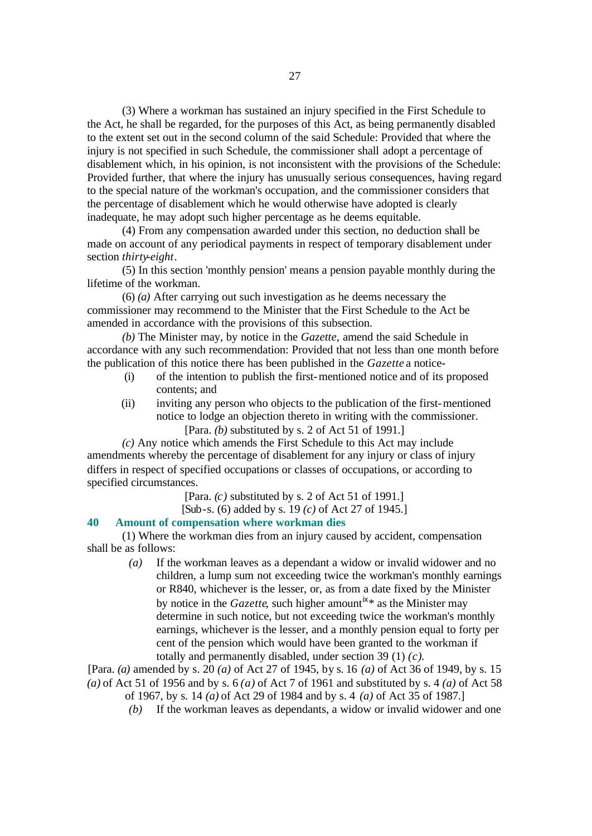(3) Where a workman has sustained an injury specified in the First Schedule to the Act, he shall be regarded, for the purposes of this Act, as being permanently disabled to the extent set out in the second column of the said Schedule: Provided that where the injury is not specified in such Schedule, the commissioner shall adopt a percentage of disablement which, in his opinion, is not inconsistent with the provisions of the Schedule: Provided further, that where the injury has unusually serious consequences, having regard to the special nature of the workman's occupation, and the commissioner considers that the percentage of disablement which he would otherwise have adopted is clearly inadequate, he may adopt such higher percentage as he deems equitable.

(4) From any compensation awarded under this section, no deduction shall be made on account of any periodical payments in respect of temporary disablement under section *thirty-eight*.

(5) In this section 'monthly pension' means a pension payable monthly during the lifetime of the workman.

(6) *(a)* After carrying out such investigation as he deems necessary the commissioner may recommend to the Minister that the First Schedule to the Act be amended in accordance with the provisions of this subsection.

*(b)* The Minister may, by notice in the *Gazette*, amend the said Schedule in accordance with any such recommendation: Provided that not less than one month before the publication of this notice there has been published in the *Gazette* a notice-

- (i) of the intention to publish the first-mentioned notice and of its proposed contents; and
- (ii) inviting any person who objects to the publication of the first-mentioned notice to lodge an objection thereto in writing with the commissioner.

[Para. *(b)* substituted by s. 2 of Act 51 of 1991.]

*(c)* Any notice which amends the First Schedule to this Act may include amendments whereby the percentage of disablement for any injury or class of injury differs in respect of specified occupations or classes of occupations, or according to specified circumstances.

[Para. *(c)* substituted by s. 2 of Act 51 of 1991.]

[Sub-s. (6) added by s. 19 *(c)* of Act 27 of 1945.]

# **40 Amount of compensation where workman dies**

(1) Where the workman dies from an injury caused by accident, compensation shall be as follows:

> *(a)* If the workman leaves as a dependant a widow or invalid widower and no children, a lump sum not exceeding twice the workman's monthly earnings or R840, whichever is the lesser, or, as from a date fixed by the Minister by notice in the *Gazette*, such higher amount  $x^*$  as the Minister may determine in such notice, but not exceeding twice the workman's monthly earnings, whichever is the lesser, and a monthly pension equal to forty per cent of the pension which would have been granted to the workman if totally and permanently disabled, under section 39 (1) *(c)*.

[Para. *(a)* amended by s. 20 *(a)* of Act 27 of 1945, by s. 16 *(a)* of Act 36 of 1949, by s. 15 *(a)* of Act 51 of 1956 and by s. 6 *(a)* of Act 7 of 1961 and substituted by s. 4 *(a)* of Act 58

- of 1967, by s. 14 *(a)* of Act 29 of 1984 and by s. 4 *(a)* of Act 35 of 1987.]
- *(b)* If the workman leaves as dependants, a widow or invalid widower and one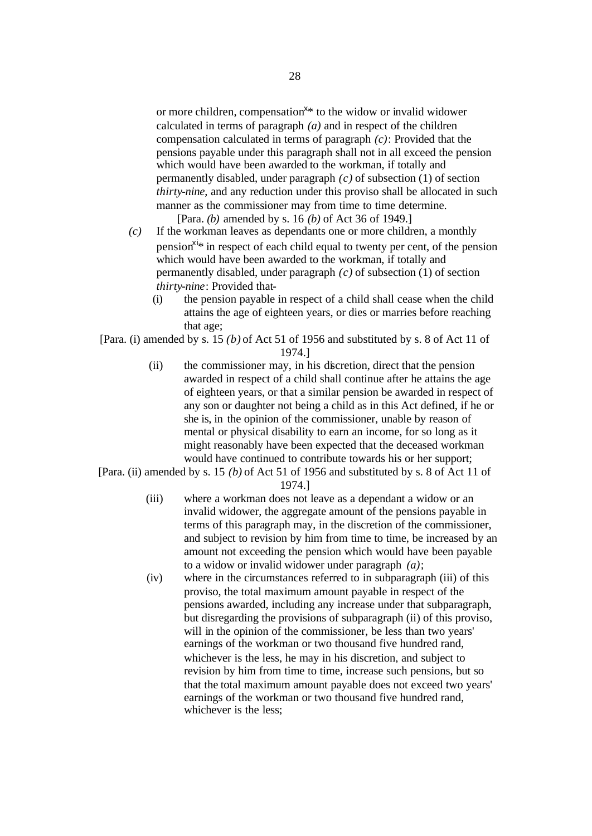or more children, compensation<sup>x\*</sup> to the widow or invalid widower calculated in terms of paragraph *(a)* and in respect of the children compensation calculated in terms of paragraph *(c)*: Provided that the pensions payable under this paragraph shall not in all exceed the pension which would have been awarded to the workman, if totally and permanently disabled, under paragraph *(c)* of subsection (1) of section *thirty-nine*, and any reduction under this proviso shall be allocated in such manner as the commissioner may from time to time determine.

[Para. *(b)* amended by s. 16 *(b)* of Act 36 of 1949.]

- *(c)* If the workman leaves as dependants one or more children, a monthly pension<sup> $x_i$ </sup> in respect of each child equal to twenty per cent, of the pension which would have been awarded to the workman, if totally and permanently disabled, under paragraph *(c)* of subsection (1) of section *thirty-nine*: Provided that-
	- (i) the pension payable in respect of a child shall cease when the child attains the age of eighteen years, or dies or marries before reaching that age;

[Para. (i) amended by s. 15 *(b)* of Act 51 of 1956 and substituted by s. 8 of Act 11 of 1974.]

- (ii) the commissioner may, in his discretion, direct that the pension awarded in respect of a child shall continue after he attains the age of eighteen years, or that a similar pension be awarded in respect of any son or daughter not being a child as in this Act defined, if he or she is, in the opinion of the commissioner, unable by reason of mental or physical disability to earn an income, for so long as it might reasonably have been expected that the deceased workman would have continued to contribute towards his or her support;
- [Para. (ii) amended by s. 15 *(b)* of Act 51 of 1956 and substituted by s. 8 of Act 11 of 1974.]
	- (iii) where a workman does not leave as a dependant a widow or an invalid widower, the aggregate amount of the pensions payable in terms of this paragraph may, in the discretion of the commissioner, and subject to revision by him from time to time, be increased by an amount not exceeding the pension which would have been payable to a widow or invalid widower under paragraph *(a)*;
	- (iv) where in the circumstances referred to in subparagraph (iii) of this proviso, the total maximum amount payable in respect of the pensions awarded, including any increase under that subparagraph, but disregarding the provisions of subparagraph (ii) of this proviso, will in the opinion of the commissioner, be less than two years' earnings of the workman or two thousand five hundred rand, whichever is the less, he may in his discretion, and subject to revision by him from time to time, increase such pensions, but so that the total maximum amount payable does not exceed two years' earnings of the workman or two thousand five hundred rand, whichever is the less;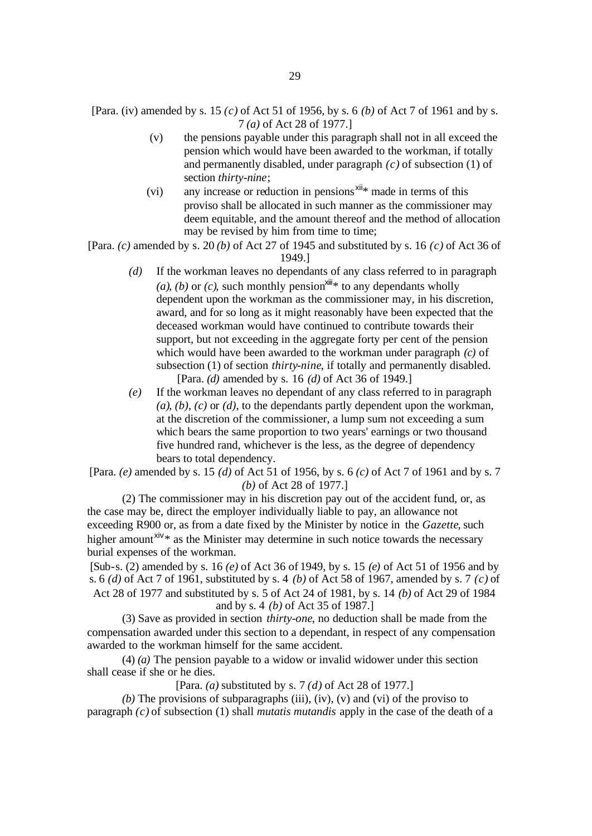- [Para. (iv) amended by s. 15 *(c)* of Act 51 of 1956, by s. 6 *(b)* of Act 7 of 1961 and by s. 7 *(a)* of Act 28 of 1977.]
	- (v) the pensions payable under this paragraph shall not in all exceed the pension which would have been awarded to the workman, if totally and permanently disabled, under paragraph *(c)* of subsection (1) of section *thirty-nine*;
	- (vi) any increase or reduction in pensions  $x^{iii}$  made in terms of this proviso shall be allocated in such manner as the commissioner may deem equitable, and the amount thereof and the method of allocation may be revised by him from time to time;

[Para. *(c)* amended by s. 20 *(b)* of Act 27 of 1945 and substituted by s. 16 *(c)* of Act 36 of 1949.]

- *(d)* If the workman leaves no dependants of any class referred to in paragraph *(a)*, *(b)* or *(c)*, such monthly pension<sup> $xiii#$ </sup> to any dependants wholly dependent upon the workman as the commissioner may, in his discretion, award, and for so long as it might reasonably have been expected that the deceased workman would have continued to contribute towards their support, but not exceeding in the aggregate forty per cent of the pension which would have been awarded to the workman under paragraph *(c)* of subsection (1) of section *thirty-nine*, if totally and permanently disabled. [Para. *(d)* amended by s. 16 *(d)* of Act 36 of 1949.]
- *(e)* If the workman leaves no dependant of any class referred to in paragraph *(a)*, *(b)*, *(c)* or *(d)*, to the dependants partly dependent upon the workman, at the discretion of the commissioner, a lump sum not exceeding a sum which bears the same proportion to two years' earnings or two thousand five hundred rand, whichever is the less, as the degree of dependency bears to total dependency.

[Para. *(e)* amended by s. 15 *(d)* of Act 51 of 1956, by s. 6 *(c)* of Act 7 of 1961 and by s. 7 *(b)* of Act 28 of 1977.]

(2) The commissioner may in his discretion pay out of the accident fund, or, as the case may be, direct the employer individually liable to pay, an allowance not exceeding R900 or, as from a date fixed by the Minister by notice in the *Gazette*, such higher amount<sup>xiv<sub>\*</sub></sup> as the Minister may determine in such notice towards the necessary burial expenses of the workman.

[Sub-s. (2) amended by s. 16 *(e)* of Act 36 of 1949, by s. 15 *(e)* of Act 51 of 1956 and by s. 6 *(d)* of Act 7 of 1961, substituted by s. 4 *(b)* of Act 58 of 1967, amended by s. 7 *(c)* of Act 28 of 1977 and substituted by s. 5 of Act 24 of 1981, by s. 14 *(b)* of Act 29 of 1984 and by s. 4 *(b)* of Act 35 of 1987.]

(3) Save as provided in section *thirty-one*, no deduction shall be made from the compensation awarded under this section to a dependant, in respect of any compensation awarded to the workman himself for the same accident.

(4) *(a)* The pension payable to a widow or invalid widower under this section shall cease if she or he dies.

[Para. *(a)* substituted by s. 7 *(d)* of Act 28 of 1977.]

*(b)* The provisions of subparagraphs (iii), (iv), (v) and (vi) of the proviso to paragraph *(c)* of subsection (1) shall *mutatis mutandis* apply in the case of the death of a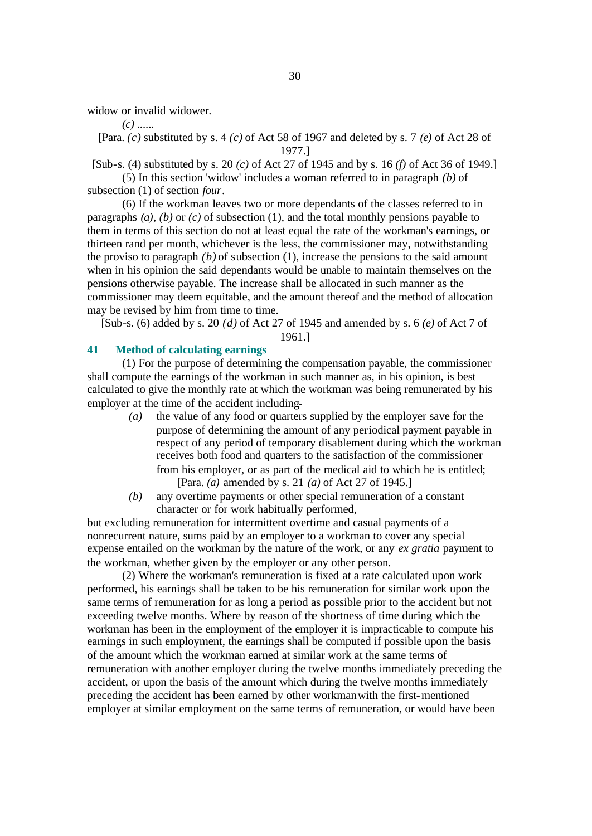widow or invalid widower.

*(c)* ......

[Para. *(c)* substituted by s. 4 *(c)* of Act 58 of 1967 and deleted by s. 7 *(e)* of Act 28 of 1977.]

[Sub-s. (4) substituted by s. 20 *(c)* of Act 27 of 1945 and by s. 16 *(f)* of Act 36 of 1949.]

(5) In this section 'widow' includes a woman referred to in paragraph *(b)* of subsection (1) of section *four*.

(6) If the workman leaves two or more dependants of the classes referred to in paragraphs *(a)*, *(b)* or *(c)* of subsection (1), and the total monthly pensions payable to them in terms of this section do not at least equal the rate of the workman's earnings, or thirteen rand per month, whichever is the less, the commissioner may, notwithstanding the proviso to paragraph *(b)* of subsection (1), increase the pensions to the said amount when in his opinion the said dependants would be unable to maintain themselves on the pensions otherwise payable. The increase shall be allocated in such manner as the commissioner may deem equitable, and the amount thereof and the method of allocation may be revised by him from time to time.

[Sub-s. (6) added by s. 20 *(d)* of Act 27 of 1945 and amended by s. 6 *(e)* of Act 7 of 1961.]

# **41 Method of calculating earnings**

(1) For the purpose of determining the compensation payable, the commissioner shall compute the earnings of the workman in such manner as, in his opinion, is best calculated to give the monthly rate at which the workman was being remunerated by his employer at the time of the accident including-

- *(a)* the value of any food or quarters supplied by the employer save for the purpose of determining the amount of any periodical payment payable in respect of any period of temporary disablement during which the workman receives both food and quarters to the satisfaction of the commissioner from his employer, or as part of the medical aid to which he is entitled; [Para. *(a)* amended by s. 21 *(a)* of Act 27 of 1945.]
- *(b)* any overtime payments or other special remuneration of a constant character or for work habitually performed,

but excluding remuneration for intermittent overtime and casual payments of a nonrecurrent nature, sums paid by an employer to a workman to cover any special expense entailed on the workman by the nature of the work, or any *ex gratia* payment to the workman, whether given by the employer or any other person.

(2) Where the workman's remuneration is fixed at a rate calculated upon work performed, his earnings shall be taken to be his remuneration for similar work upon the same terms of remuneration for as long a period as possible prior to the accident but not exceeding twelve months. Where by reason of the shortness of time during which the workman has been in the employment of the employer it is impracticable to compute his earnings in such employment, the earnings shall be computed if possible upon the basis of the amount which the workman earned at similar work at the same terms of remuneration with another employer during the twelve months immediately preceding the accident, or upon the basis of the amount which during the twelve months immediately preceding the accident has been earned by other workman with the first-mentioned employer at similar employment on the same terms of remuneration, or would have been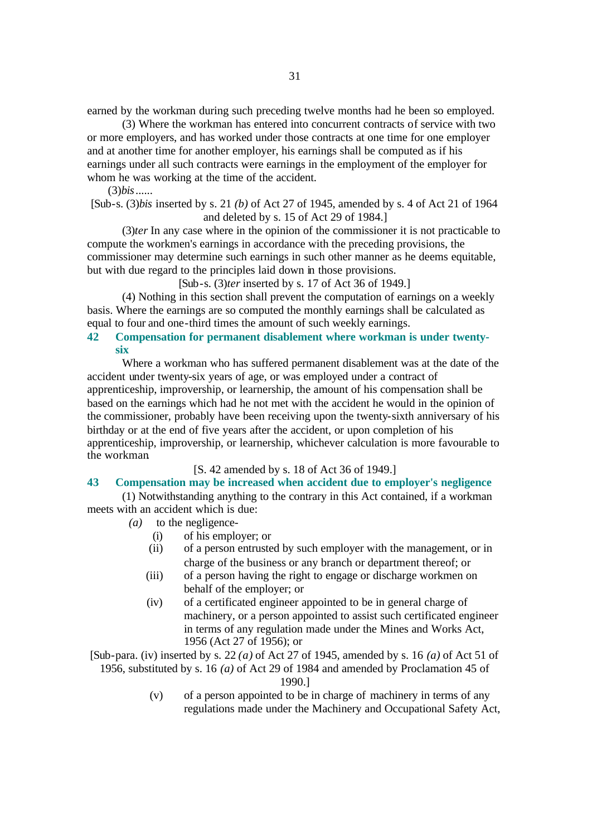earned by the workman during such preceding twelve months had he been so employed.

(3) Where the workman has entered into concurrent contracts of service with two or more employers, and has worked under those contracts at one time for one employer and at another time for another employer, his earnings shall be computed as if his earnings under all such contracts were earnings in the employment of the employer for whom he was working at the time of the accident.

(3)*bis*......

[Sub-s. (3)*bis* inserted by s. 21 *(b)* of Act 27 of 1945, amended by s. 4 of Act 21 of 1964 and deleted by s. 15 of Act 29 of 1984.]

(3)*ter* In any case where in the opinion of the commissioner it is not practicable to compute the workmen's earnings in accordance with the preceding provisions, the commissioner may determine such earnings in such other manner as he deems equitable, but with due regard to the principles laid down in those provisions.

[Sub-s. (3)*ter* inserted by s. 17 of Act 36 of 1949.]

(4) Nothing in this section shall prevent the computation of earnings on a weekly basis. Where the earnings are so computed the monthly earnings shall be calculated as equal to four and one-third times the amount of such weekly earnings.

# **42 Compensation for permanent disablement where workman is under twentysix**

Where a workman who has suffered permanent disablement was at the date of the accident under twenty-six years of age, or was employed under a contract of apprenticeship, improvership, or learnership, the amount of his compensation shall be based on the earnings which had he not met with the accident he would in the opinion of the commissioner, probably have been receiving upon the twenty-sixth anniversary of his birthday or at the end of five years after the accident, or upon completion of his apprenticeship, improvership, or learnership, whichever calculation is more favourable to the workman.

[S. 42 amended by s. 18 of Act 36 of 1949.]

## **43 Compensation may be increased when accident due to employer's negligence**

(1) Notwithstanding anything to the contrary in this Act contained, if a workman meets with an accident which is due:

- *(a)* to the negligence-
	- (i) of his employer; or
	- (ii) of a person entrusted by such employer with the management, or in charge of the business or any branch or department thereof; or
	- (iii) of a person having the right to engage or discharge workmen on behalf of the employer; or
	- (iv) of a certificated engineer appointed to be in general charge of machinery, or a person appointed to assist such certificated engineer in terms of any regulation made under the Mines and Works Act, 1956 (Act 27 of 1956); or

[Sub-para. (iv) inserted by s. 22 *(a)* of Act 27 of 1945, amended by s. 16 *(a)* of Act 51 of 1956, substituted by s. 16 *(a)* of Act 29 of 1984 and amended by Proclamation 45 of

1990.]

(v) of a person appointed to be in charge of machinery in terms of any regulations made under the Machinery and Occupational Safety Act,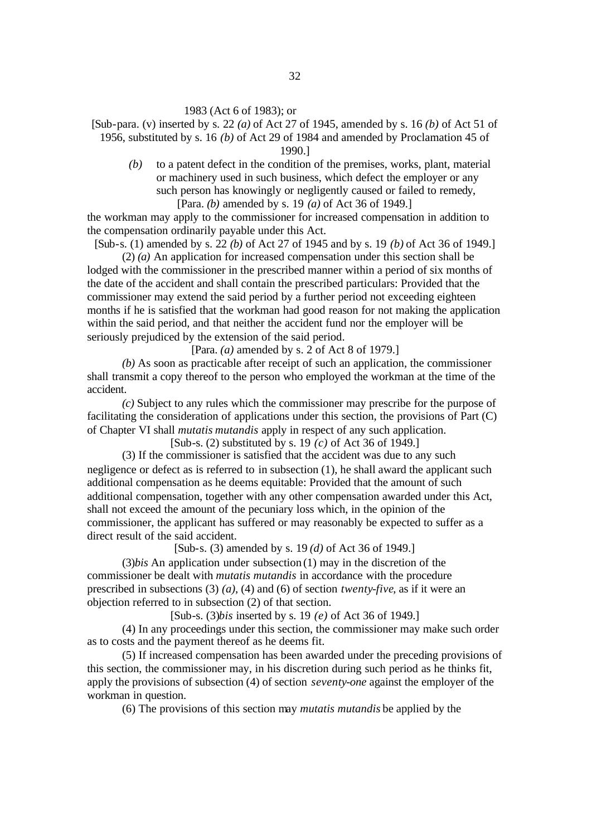#### 1983 (Act 6 of 1983); or

[Sub-para. (v) inserted by s. 22 *(a)* of Act 27 of 1945, amended by s. 16 *(b)* of Act 51 of 1956, substituted by s. 16 *(b)* of Act 29 of 1984 and amended by Proclamation 45 of

1990.]

*(b)* to a patent defect in the condition of the premises, works, plant, material or machinery used in such business, which defect the employer or any such person has knowingly or negligently caused or failed to remedy, [Para. *(b)* amended by s. 19 *(a)* of Act 36 of 1949.]

the workman may apply to the commissioner for increased compensation in addition to the compensation ordinarily payable under this Act.

[Sub-s. (1) amended by s. 22 *(b)* of Act 27 of 1945 and by s. 19 *(b)* of Act 36 of 1949.] (2) *(a)* An application for increased compensation under this section shall be

lodged with the commissioner in the prescribed manner within a period of six months of the date of the accident and shall contain the prescribed particulars: Provided that the commissioner may extend the said period by a further period not exceeding eighteen months if he is satisfied that the workman had good reason for not making the application within the said period, and that neither the accident fund nor the employer will be seriously prejudiced by the extension of the said period.

[Para. *(a)* amended by s. 2 of Act 8 of 1979.]

*(b)* As soon as practicable after receipt of such an application, the commissioner shall transmit a copy thereof to the person who employed the workman at the time of the accident.

*(c)* Subject to any rules which the commissioner may prescribe for the purpose of facilitating the consideration of applications under this section, the provisions of Part (C) of Chapter VI shall *mutatis mutandis* apply in respect of any such application.

[Sub-s. (2) substituted by s. 19 *(c)* of Act 36 of 1949.]

(3) If the commissioner is satisfied that the accident was due to any such negligence or defect as is referred to in subsection (1), he shall award the applicant such additional compensation as he deems equitable: Provided that the amount of such additional compensation, together with any other compensation awarded under this Act, shall not exceed the amount of the pecuniary loss which, in the opinion of the commissioner, the applicant has suffered or may reasonably be expected to suffer as a direct result of the said accident.

[Sub-s. (3) amended by s. 19 *(d)* of Act 36 of 1949.]

(3)*bis* An application under subsection (1) may in the discretion of the commissioner be dealt with *mutatis mutandis* in accordance with the procedure prescribed in subsections (3) *(a)*, (4) and (6) of section *twenty-five*, as if it were an objection referred to in subsection (2) of that section.

[Sub-s. (3)*bis* inserted by s. 19 *(e)* of Act 36 of 1949.]

(4) In any proceedings under this section, the commissioner may make such order as to costs and the payment thereof as he deems fit.

(5) If increased compensation has been awarded under the preceding provisions of this section, the commissioner may, in his discretion during such period as he thinks fit, apply the provisions of subsection (4) of section *seventy-one* against the employer of the workman in question.

(6) The provisions of this section may *mutatis mutandis* be applied by the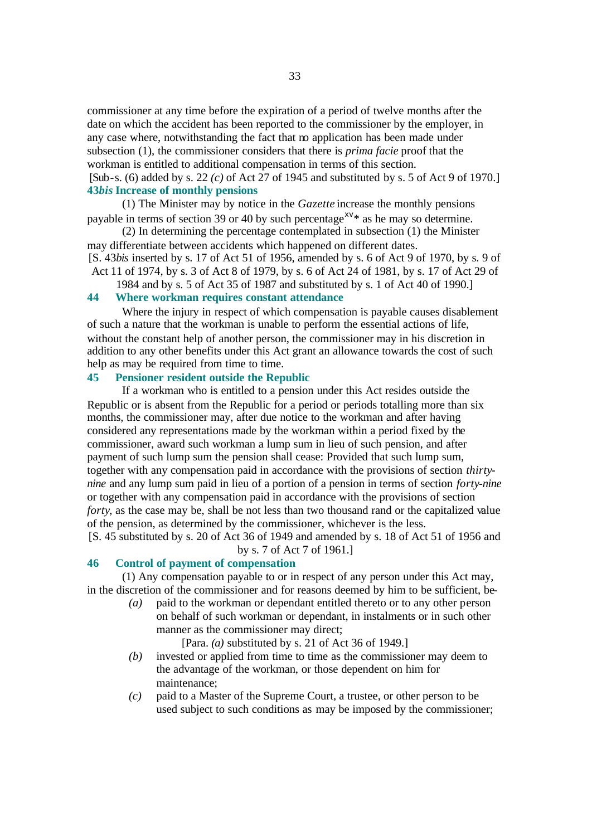commissioner at any time before the expiration of a period of twelve months after the date on which the accident has been reported to the commissioner by the employer, in any case where, notwithstanding the fact that no application has been made under subsection (1), the commissioner considers that there is *prima facie* proof that the workman is entitled to additional compensation in terms of this section.

[Sub-s. (6) added by s. 22 *(c)* of Act 27 of 1945 and substituted by s. 5 of Act 9 of 1970.] **43***bis* **Increase of monthly pensions**

(1) The Minister may by notice in the *Gazette* increase the monthly pensions payable in terms of section 39 or 40 by such percentage<sup> $xy$ \*</sup> as he may so determine.

(2) In determining the percentage contemplated in subsection (1) the Minister may differentiate between accidents which happened on different dates.

[S. 43*bis* inserted by s. 17 of Act 51 of 1956, amended by s. 6 of Act 9 of 1970, by s. 9 of Act 11 of 1974, by s. 3 of Act 8 of 1979, by s. 6 of Act 24 of 1981, by s. 17 of Act 29 of

1984 and by s. 5 of Act 35 of 1987 and substituted by s. 1 of Act 40 of 1990.] **44 Where workman requires constant attendance**

Where the injury in respect of which compensation is payable causes disablement of such a nature that the workman is unable to perform the essential actions of life, without the constant help of another person, the commissioner may in his discretion in addition to any other benefits under this Act grant an allowance towards the cost of such help as may be required from time to time.

# **45 Pensioner resident outside the Republic**

If a workman who is entitled to a pension under this Act resides outside the Republic or is absent from the Republic for a period or periods totalling more than six months, the commissioner may, after due notice to the workman and after having considered any representations made by the workman within a period fixed by the commissioner, award such workman a lump sum in lieu of such pension, and after payment of such lump sum the pension shall cease: Provided that such lump sum, together with any compensation paid in accordance with the provisions of section *thirtynine* and any lump sum paid in lieu of a portion of a pension in terms of section *forty-nine* or together with any compensation paid in accordance with the provisions of section *forty*, as the case may be, shall be not less than two thousand rand or the capitalized value of the pension, as determined by the commissioner, whichever is the less.

[S. 45 substituted by s. 20 of Act 36 of 1949 and amended by s. 18 of Act 51 of 1956 and by s. 7 of Act 7 of 1961.]

#### **46 Control of payment of compensation**

(1) Any compensation payable to or in respect of any person under this Act may, in the discretion of the commissioner and for reasons deemed by him to be sufficient, be-

*(a)* paid to the workman or dependant entitled thereto or to any other person on behalf of such workman or dependant, in instalments or in such other manner as the commissioner may direct;

[Para. *(a)* substituted by s. 21 of Act 36 of 1949.]

- *(b)* invested or applied from time to time as the commissioner may deem to the advantage of the workman, or those dependent on him for maintenance;
- *(c)* paid to a Master of the Supreme Court, a trustee, or other person to be used subject to such conditions as may be imposed by the commissioner;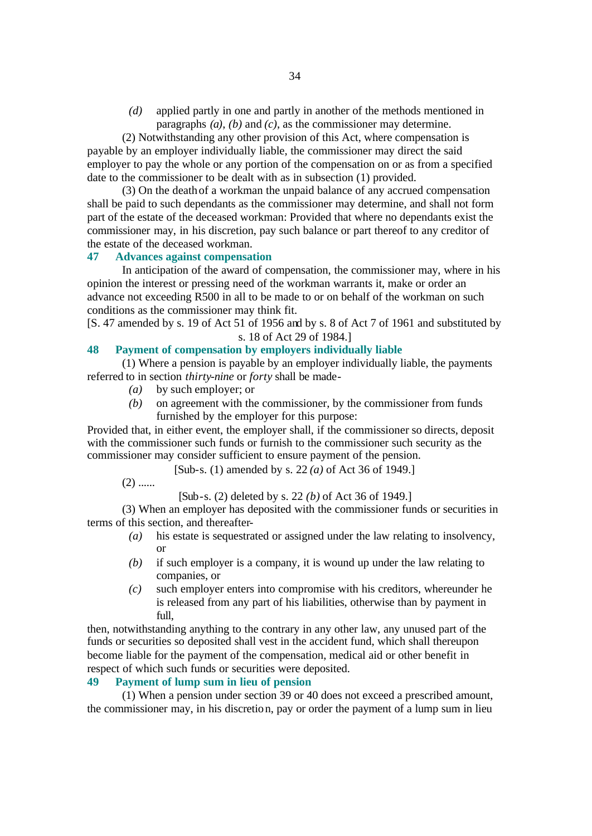*(d)* applied partly in one and partly in another of the methods mentioned in paragraphs *(a)*, *(b)* and *(c)*, as the commissioner may determine.

(2) Notwithstanding any other provision of this Act, where compensation is payable by an employer individually liable, the commissioner may direct the said employer to pay the whole or any portion of the compensation on or as from a specified date to the commissioner to be dealt with as in subsection (1) provided.

(3) On the death of a workman the unpaid balance of any accrued compensation shall be paid to such dependants as the commissioner may determine, and shall not form part of the estate of the deceased workman: Provided that where no dependants exist the commissioner may, in his discretion, pay such balance or part thereof to any creditor of the estate of the deceased workman.

# **47 Advances against compensation**

In anticipation of the award of compensation, the commissioner may, where in his opinion the interest or pressing need of the workman warrants it, make or order an advance not exceeding R500 in all to be made to or on behalf of the workman on such conditions as the commissioner may think fit.

[S. 47 amended by s. 19 of Act 51 of 1956 and by s. 8 of Act 7 of 1961 and substituted by s. 18 of Act 29 of 1984.]

# **48 Payment of compensation by employers individually liable**

(1) Where a pension is payable by an employer individually liable, the payments referred to in section *thirty-nine* or *forty* shall be made-

- *(a)* by such employer; or
- *(b)* on agreement with the commissioner, by the commissioner from funds furnished by the employer for this purpose:

Provided that, in either event, the employer shall, if the commissioner so directs, deposit with the commissioner such funds or furnish to the commissioner such security as the commissioner may consider sufficient to ensure payment of the pension.

[Sub-s. (1) amended by s. 22 *(a)* of Act 36 of 1949.]

 $(2)$  ......

[Sub-s. (2) deleted by s. 22 *(b)* of Act 36 of 1949.]

(3) When an employer has deposited with the commissioner funds or securities in terms of this section, and thereafter-

- *(a)* his estate is sequestrated or assigned under the law relating to insolvency, or
- *(b)* if such employer is a company, it is wound up under the law relating to companies, or
- *(c)* such employer enters into compromise with his creditors, whereunder he is released from any part of his liabilities, otherwise than by payment in full.

then, notwithstanding anything to the contrary in any other law, any unused part of the funds or securities so deposited shall vest in the accident fund, which shall thereupon become liable for the payment of the compensation, medical aid or other benefit in respect of which such funds or securities were deposited.

# **49 Payment of lump sum in lieu of pension**

(1) When a pension under section 39 or 40 does not exceed a prescribed amount, the commissioner may, in his discretion, pay or order the payment of a lump sum in lieu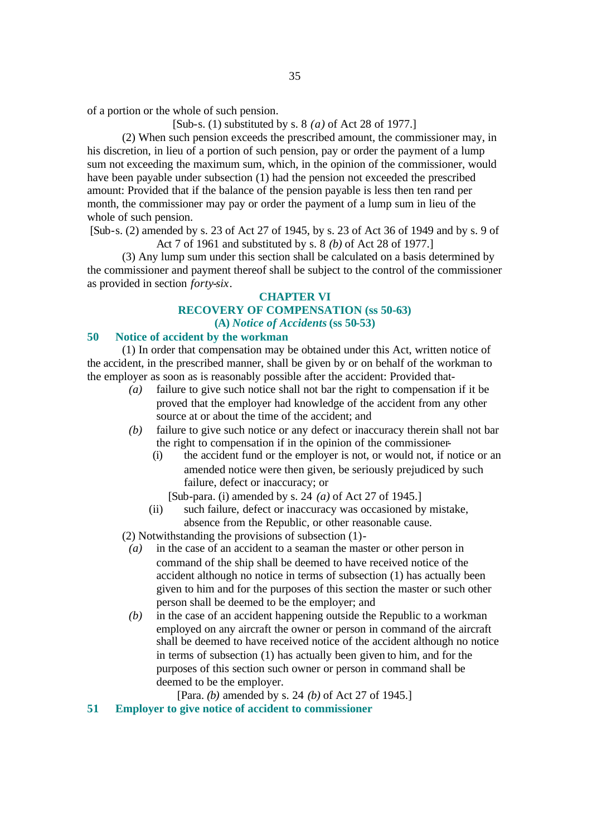of a portion or the whole of such pension.

[Sub-s. (1) substituted by s. 8 *(a)* of Act 28 of 1977.]

(2) When such pension exceeds the prescribed amount, the commissioner may, in his discretion, in lieu of a portion of such pension, pay or order the payment of a lump sum not exceeding the maximum sum, which, in the opinion of the commissioner, would have been payable under subsection (1) had the pension not exceeded the prescribed amount: Provided that if the balance of the pension payable is less then ten rand per month, the commissioner may pay or order the payment of a lump sum in lieu of the whole of such pension.

[Sub-s. (2) amended by s. 23 of Act 27 of 1945, by s. 23 of Act 36 of 1949 and by s. 9 of Act 7 of 1961 and substituted by s. 8 *(b)* of Act 28 of 1977.]

(3) Any lump sum under this section shall be calculated on a basis determined by the commissioner and payment thereof shall be subject to the control of the commissioner as provided in section *forty-six*.

# **CHAPTER VI**

# **RECOVERY OF COMPENSATION (ss 50-63) (A)** *Notice of Accidents* **(ss 50-53)**

#### **50 Notice of accident by the workman**

(1) In order that compensation may be obtained under this Act, written notice of the accident, in the prescribed manner, shall be given by or on behalf of the workman to the employer as soon as is reasonably possible after the accident: Provided that-

- *(a)* failure to give such notice shall not bar the right to compensation if it be proved that the employer had knowledge of the accident from any other source at or about the time of the accident; and
- *(b)* failure to give such notice or any defect or inaccuracy therein shall not bar the right to compensation if in the opinion of the commissioner-
	- (i) the accident fund or the employer is not, or would not, if notice or an amended notice were then given, be seriously prejudiced by such failure, defect or inaccuracy; or

[Sub-para. (i) amended by s. 24 *(a)* of Act 27 of 1945.]

(ii) such failure, defect or inaccuracy was occasioned by mistake, absence from the Republic, or other reasonable cause.

(2) Notwithstanding the provisions of subsection (1)-

- *(a)* in the case of an accident to a seaman the master or other person in command of the ship shall be deemed to have received notice of the accident although no notice in terms of subsection (1) has actually been given to him and for the purposes of this section the master or such other person shall be deemed to be the employer; and
- *(b)* in the case of an accident happening outside the Republic to a workman employed on any aircraft the owner or person in command of the aircraft shall be deemed to have received notice of the accident although no notice in terms of subsection (1) has actually been given to him, and for the purposes of this section such owner or person in command shall be deemed to be the employer.

[Para. *(b)* amended by s. 24 *(b)* of Act 27 of 1945.]

**51 Employer to give notice of accident to commissioner**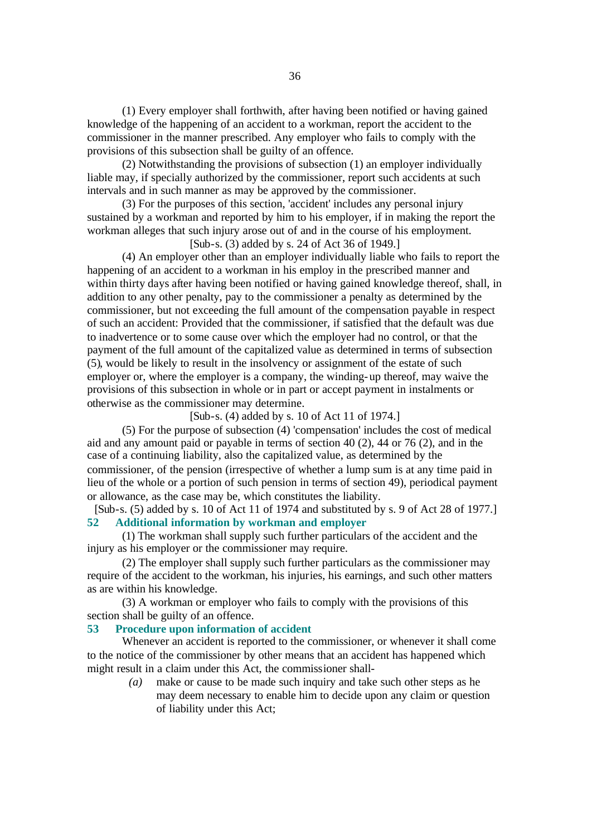(1) Every employer shall forthwith, after having been notified or having gained knowledge of the happening of an accident to a workman, report the accident to the commissioner in the manner prescribed. Any employer who fails to comply with the provisions of this subsection shall be guilty of an offence.

(2) Notwithstanding the provisions of subsection (1) an employer individually liable may, if specially authorized by the commissioner, report such accidents at such intervals and in such manner as may be approved by the commissioner.

(3) For the purposes of this section, 'accident' includes any personal injury sustained by a workman and reported by him to his employer, if in making the report the workman alleges that such injury arose out of and in the course of his employment.

[Sub-s. (3) added by s. 24 of Act 36 of 1949.]

(4) An employer other than an employer individually liable who fails to report the happening of an accident to a workman in his employ in the prescribed manner and within thirty days after having been notified or having gained knowledge thereof, shall, in addition to any other penalty, pay to the commissioner a penalty as determined by the commissioner, but not exceeding the full amount of the compensation payable in respect of such an accident: Provided that the commissioner, if satisfied that the default was due to inadvertence or to some cause over which the employer had no control, or that the payment of the full amount of the capitalized value as determined in terms of subsection (5), would be likely to result in the insolvency or assignment of the estate of such employer or, where the employer is a company, the winding-up thereof, may waive the provisions of this subsection in whole or in part or accept payment in instalments or otherwise as the commissioner may determine.

[Sub-s. (4) added by s. 10 of Act 11 of 1974.]

(5) For the purpose of subsection (4) 'compensation' includes the cost of medical aid and any amount paid or payable in terms of section 40 (2), 44 or 76 (2), and in the case of a continuing liability, also the capitalized value, as determined by the commissioner, of the pension (irrespective of whether a lump sum is at any time paid in lieu of the whole or a portion of such pension in terms of section 49), periodical payment or allowance, as the case may be, which constitutes the liability.

[Sub-s. (5) added by s. 10 of Act 11 of 1974 and substituted by s. 9 of Act 28 of 1977.] **52 Additional information by workman and employer**

(1) The workman shall supply such further particulars of the accident and the injury as his employer or the commissioner may require.

(2) The employer shall supply such further particulars as the commissioner may require of the accident to the workman, his injuries, his earnings, and such other matters as are within his knowledge.

(3) A workman or employer who fails to comply with the provisions of this section shall be guilty of an offence.

# **53 Procedure upon information of accident**

Whenever an accident is reported to the commissioner, or whenever it shall come to the notice of the commissioner by other means that an accident has happened which might result in a claim under this Act, the commissioner shall-

> *(a)* make or cause to be made such inquiry and take such other steps as he may deem necessary to enable him to decide upon any claim or question of liability under this Act;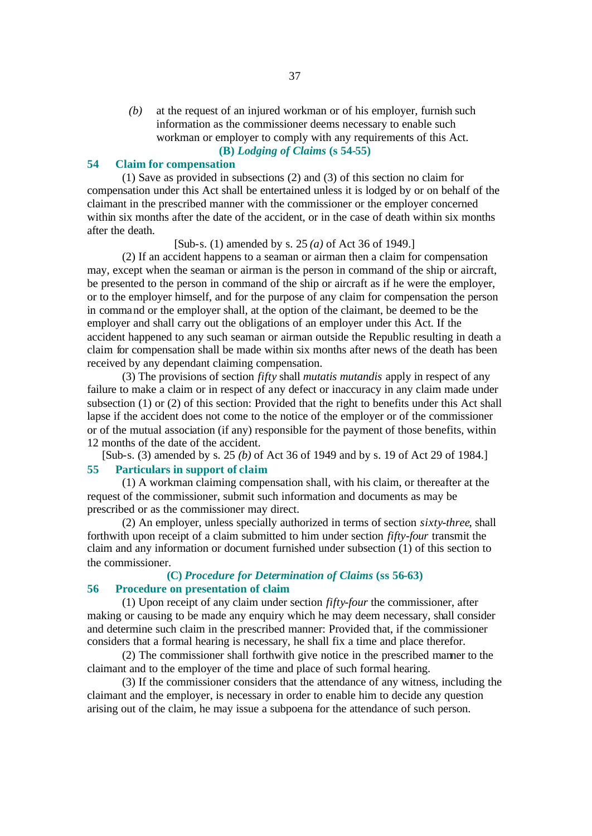*(b)* at the request of an injured workman or of his employer, furnish such information as the commissioner deems necessary to enable such workman or employer to comply with any requirements of this Act. **(B)** *Lodging of Claims* **(s 54-55)**

#### **54 Claim for compensation**

(1) Save as provided in subsections (2) and (3) of this section no claim for compensation under this Act shall be entertained unless it is lodged by or on behalf of the claimant in the prescribed manner with the commissioner or the employer concerned within six months after the date of the accident, or in the case of death within six months after the death.

[Sub-s. (1) amended by s. 25 *(a)* of Act 36 of 1949.]

(2) If an accident happens to a seaman or airman then a claim for compensation may, except when the seaman or airman is the person in command of the ship or aircraft, be presented to the person in command of the ship or aircraft as if he were the employer, or to the employer himself, and for the purpose of any claim for compensation the person in command or the employer shall, at the option of the claimant, be deemed to be the employer and shall carry out the obligations of an employer under this Act. If the accident happened to any such seaman or airman outside the Republic resulting in death a claim for compensation shall be made within six months after news of the death has been received by any dependant claiming compensation.

(3) The provisions of section *fifty* shall *mutatis mutandis* apply in respect of any failure to make a claim or in respect of any defect or inaccuracy in any claim made under subsection (1) or (2) of this section: Provided that the right to benefits under this Act shall lapse if the accident does not come to the notice of the employer or of the commissioner or of the mutual association (if any) responsible for the payment of those benefits, within 12 months of the date of the accident.

[Sub-s. (3) amended by s. 25 *(b)* of Act 36 of 1949 and by s. 19 of Act 29 of 1984.]

# **55 Particulars in support of claim**

(1) A workman claiming compensation shall, with his claim, or thereafter at the request of the commissioner, submit such information and documents as may be prescribed or as the commissioner may direct.

(2) An employer, unless specially authorized in terms of section *sixty-three*, shall forthwith upon receipt of a claim submitted to him under section *fifty-four* transmit the claim and any information or document furnished under subsection (1) of this section to the commissioner.

# **(C)** *Procedure for Determination of Claims* **(ss 56-63) 56 Procedure on presentation of claim**

# (1) Upon receipt of any claim under section *fifty-four* the commissioner, after

making or causing to be made any enquiry which he may deem necessary, shall consider and determine such claim in the prescribed manner: Provided that, if the commissioner considers that a formal hearing is necessary, he shall fix a time and place therefor.

(2) The commissioner shall forthwith give notice in the prescribed manner to the claimant and to the employer of the time and place of such formal hearing.

(3) If the commissioner considers that the attendance of any witness, including the claimant and the employer, is necessary in order to enable him to decide any question arising out of the claim, he may issue a subpoena for the attendance of such person.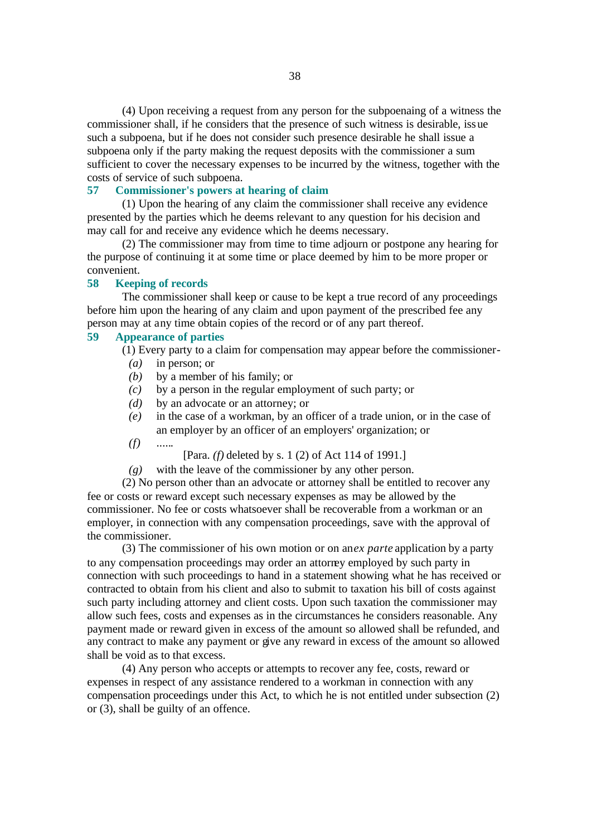(4) Upon receiving a request from any person for the subpoenaing of a witness the commissioner shall, if he considers that the presence of such witness is desirable, issue such a subpoena, but if he does not consider such presence desirable he shall issue a subpoena only if the party making the request deposits with the commissioner a sum sufficient to cover the necessary expenses to be incurred by the witness, together with the costs of service of such subpoena.

#### **57 Commissioner's powers at hearing of claim**

(1) Upon the hearing of any claim the commissioner shall receive any evidence presented by the parties which he deems relevant to any question for his decision and may call for and receive any evidence which he deems necessary.

(2) The commissioner may from time to time adjourn or postpone any hearing for the purpose of continuing it at some time or place deemed by him to be more proper or convenient.

#### **58 Keeping of records**

The commissioner shall keep or cause to be kept a true record of any proceedings before him upon the hearing of any claim and upon payment of the prescribed fee any person may at any time obtain copies of the record or of any part thereof.

#### **59 Appearance of parties**

(1) Every party to a claim for compensation may appear before the commissioner-

- *(a)* in person; or
- *(b)* by a member of his family; or
- *(c)* by a person in the regular employment of such party; or
- *(d)* by an advocate or an attorney; or
- *(e)* in the case of a workman, by an officer of a trade union, or in the case of an employer by an officer of an employers' organization; or
- *(f)* ......

[Para. *(f)* deleted by s. 1 (2) of Act 114 of 1991.]

*(g)* with the leave of the commissioner by any other person.

(2) No person other than an advocate or attorney shall be entitled to recover any fee or costs or reward except such necessary expenses as may be allowed by the commissioner. No fee or costs whatsoever shall be recoverable from a workman or an employer, in connection with any compensation proceedings, save with the approval of the commissioner.

(3) The commissioner of his own motion or on an*ex parte* application by a party to any compensation proceedings may order an attorney employed by such party in connection with such proceedings to hand in a statement showing what he has received or contracted to obtain from his client and also to submit to taxation his bill of costs against such party including attorney and client costs. Upon such taxation the commissioner may allow such fees, costs and expenses as in the circumstances he considers reasonable. Any payment made or reward given in excess of the amount so allowed shall be refunded, and any contract to make any payment or give any reward in excess of the amount so allowed shall be void as to that excess.

(4) Any person who accepts or attempts to recover any fee, costs, reward or expenses in respect of any assistance rendered to a workman in connection with any compensation proceedings under this Act, to which he is not entitled under subsection (2) or (3), shall be guilty of an offence.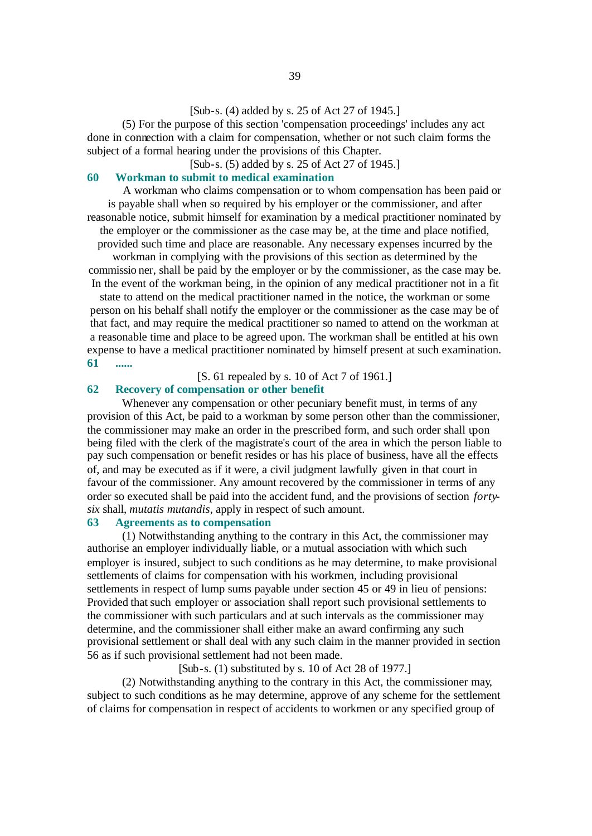# [Sub-s. (4) added by s. 25 of Act 27 of 1945.]

(5) For the purpose of this section 'compensation proceedings' includes any act done in connection with a claim for compensation, whether or not such claim forms the subject of a formal hearing under the provisions of this Chapter.

[Sub-s. (5) added by s. 25 of Act 27 of 1945.]

#### **60 Workman to submit to medical examination**

A workman who claims compensation or to whom compensation has been paid or is payable shall when so required by his employer or the commissioner, and after reasonable notice, submit himself for examination by a medical practitioner nominated by the employer or the commissioner as the case may be, at the time and place notified, provided such time and place are reasonable. Any necessary expenses incurred by the

workman in complying with the provisions of this section as determined by the commissio ner, shall be paid by the employer or by the commissioner, as the case may be. In the event of the workman being, in the opinion of any medical practitioner not in a fit

state to attend on the medical practitioner named in the notice, the workman or some person on his behalf shall notify the employer or the commissioner as the case may be of that fact, and may require the medical practitioner so named to attend on the workman at a reasonable time and place to be agreed upon. The workman shall be entitled at his own expense to have a medical practitioner nominated by himself present at such examination. **61 ......**

[S. 61 repealed by s. 10 of Act 7 of 1961.]

# **62 Recovery of compensation or other benefit**

Whenever any compensation or other pecuniary benefit must, in terms of any provision of this Act, be paid to a workman by some person other than the commissioner, the commissioner may make an order in the prescribed form, and such order shall upon being filed with the clerk of the magistrate's court of the area in which the person liable to pay such compensation or benefit resides or has his place of business, have all the effects of, and may be executed as if it were, a civil judgment lawfully given in that court in favour of the commissioner. Any amount recovered by the commissioner in terms of any order so executed shall be paid into the accident fund, and the provisions of section *fortysix* shall, *mutatis mutandis*, apply in respect of such amount.

# **63 Agreements as to compensation**

(1) Notwithstanding anything to the contrary in this Act, the commissioner may authorise an employer individually liable, or a mutual association with which such employer is insured, subject to such conditions as he may determine, to make provisional settlements of claims for compensation with his workmen, including provisional settlements in respect of lump sums payable under section 45 or 49 in lieu of pensions: Provided that such employer or association shall report such provisional settlements to the commissioner with such particulars and at such intervals as the commissioner may determine, and the commissioner shall either make an award confirming any such provisional settlement or shall deal with any such claim in the manner provided in section 56 as if such provisional settlement had not been made.

 $[Sub-s. (1)$  substituted by s. 10 of Act 28 of 1977.]

(2) Notwithstanding anything to the contrary in this Act, the commissioner may, subject to such conditions as he may determine, approve of any scheme for the settlement of claims for compensation in respect of accidents to workmen or any specified group of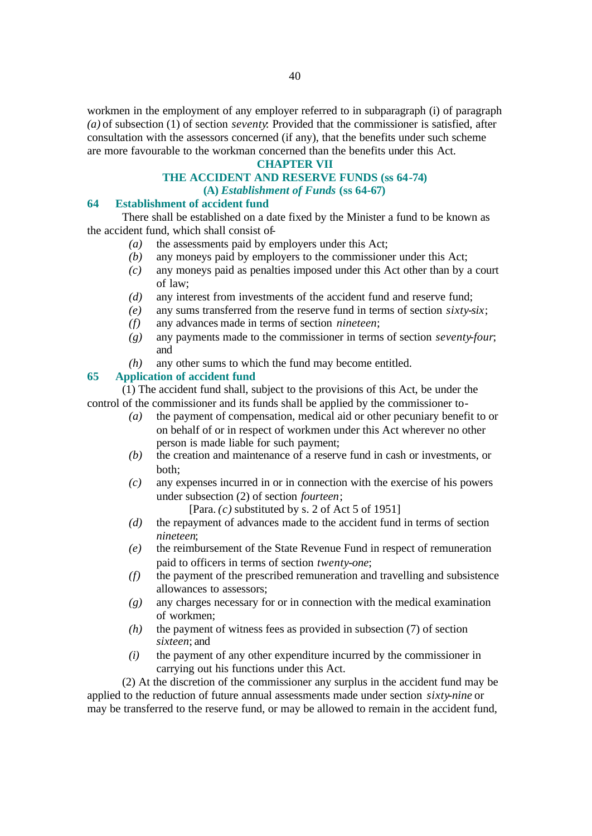workmen in the employment of any employer referred to in subparagraph (i) of paragraph *(a)* of subsection (1) of section *seventy*: Provided that the commissioner is satisfied, after consultation with the assessors concerned (if any), that the benefits under such scheme are more favourable to the workman concerned than the benefits under this Act.

#### **CHAPTER VII**

#### **THE ACCIDENT AND RESERVE FUNDS (ss 64-74) (A)** *Establishment of Funds* **(ss 64-67)**

#### **64 Establishment of accident fund**

There shall be established on a date fixed by the Minister a fund to be known as the accident fund, which shall consist of-

- *(a)* the assessments paid by employers under this Act;
- *(b)* any moneys paid by employers to the commissioner under this Act;
- *(c)* any moneys paid as penalties imposed under this Act other than by a court of law;
- *(d)* any interest from investments of the accident fund and reserve fund;
- *(e)* any sums transferred from the reserve fund in terms of section *sixty-six*;
- *(f)* any advances made in terms of section *nineteen*;
- *(g)* any payments made to the commissioner in terms of section *seventy-four*; and
- *(h)* any other sums to which the fund may become entitled.

# **65 Application of accident fund**

(1) The accident fund shall, subject to the provisions of this Act, be under the control of the commissioner and its funds shall be applied by the commissioner to-

- *(a)* the payment of compensation, medical aid or other pecuniary benefit to or on behalf of or in respect of workmen under this Act wherever no other person is made liable for such payment;
- *(b)* the creation and maintenance of a reserve fund in cash or investments, or both;
- *(c)* any expenses incurred in or in connection with the exercise of his powers under subsection (2) of section *fourteen*;

[Para. *(c)* substituted by s. 2 of Act 5 of 1951]

- *(d)* the repayment of advances made to the accident fund in terms of section *nineteen*;
- *(e)* the reimbursement of the State Revenue Fund in respect of remuneration paid to officers in terms of section *twenty-one*;
- *(f)* the payment of the prescribed remuneration and travelling and subsistence allowances to assessors;
- *(g)* any charges necessary for or in connection with the medical examination of workmen;
- *(h)* the payment of witness fees as provided in subsection (7) of section *sixteen*; and
- *(i)* the payment of any other expenditure incurred by the commissioner in carrying out his functions under this Act.

(2) At the discretion of the commissioner any surplus in the accident fund may be applied to the reduction of future annual assessments made under section *sixty-nine* or may be transferred to the reserve fund, or may be allowed to remain in the accident fund,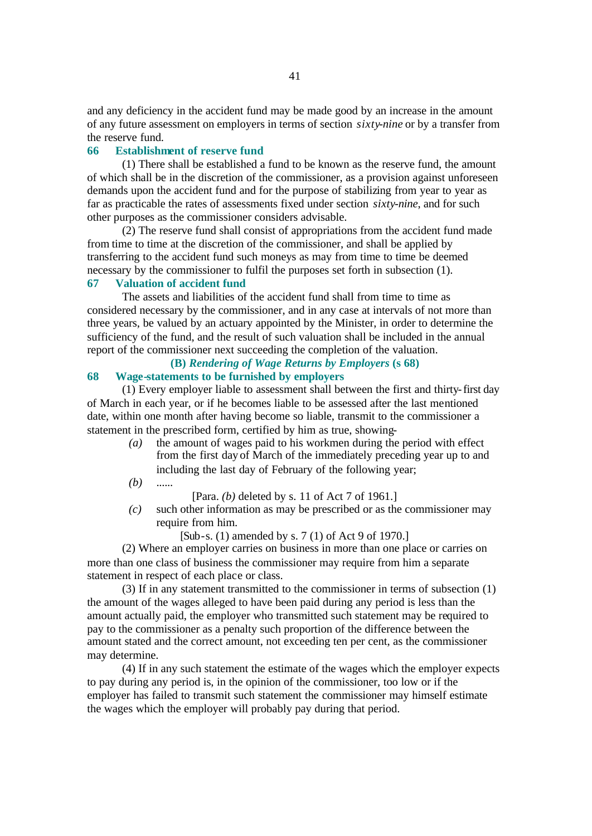and any deficiency in the accident fund may be made good by an increase in the amount of any future assessment on employers in terms of section *sixty-nine* or by a transfer from the reserve fund.

# **66 Establishment of reserve fund**

(1) There shall be established a fund to be known as the reserve fund, the amount of which shall be in the discretion of the commissioner, as a provision against unforeseen demands upon the accident fund and for the purpose of stabilizing from year to year as far as practicable the rates of assessments fixed under section *sixty-nine*, and for such other purposes as the commissioner considers advisable.

(2) The reserve fund shall consist of appropriations from the accident fund made from time to time at the discretion of the commissioner, and shall be applied by transferring to the accident fund such moneys as may from time to time be deemed necessary by the commissioner to fulfil the purposes set forth in subsection (1).

# **67 Valuation of accident fund**

The assets and liabilities of the accident fund shall from time to time as considered necessary by the commissioner, and in any case at intervals of not more than three years, be valued by an actuary appointed by the Minister, in order to determine the sufficiency of the fund, and the result of such valuation shall be included in the annual report of the commissioner next succeeding the completion of the valuation.

# **(B)** *Rendering of Wage Returns by Employers* **(s 68)**

# **68 Wage-statements to be furnished by employers**

(1) Every employer liable to assessment shall between the first and thirty-first day of March in each year, or if he becomes liable to be assessed after the last mentioned date, within one month after having become so liable, transmit to the commissioner a statement in the prescribed form, certified by him as true, showing-

- *(a)* the amount of wages paid to his workmen during the period with effect from the first day of March of the immediately preceding year up to and including the last day of February of the following year;
- *(b)* ......

[Para. *(b)* deleted by s. 11 of Act 7 of 1961.]

*(c)* such other information as may be prescribed or as the commissioner may require from him.

[Sub-s. (1) amended by s. 7 (1) of Act 9 of 1970.]

(2) Where an employer carries on business in more than one place or carries on more than one class of business the commissioner may require from him a separate statement in respect of each place or class.

(3) If in any statement transmitted to the commissioner in terms of subsection (1) the amount of the wages alleged to have been paid during any period is less than the amount actually paid, the employer who transmitted such statement may be required to pay to the commissioner as a penalty such proportion of the difference between the amount stated and the correct amount, not exceeding ten per cent, as the commissioner may determine.

(4) If in any such statement the estimate of the wages which the employer expects to pay during any period is, in the opinion of the commissioner, too low or if the employer has failed to transmit such statement the commissioner may himself estimate the wages which the employer will probably pay during that period.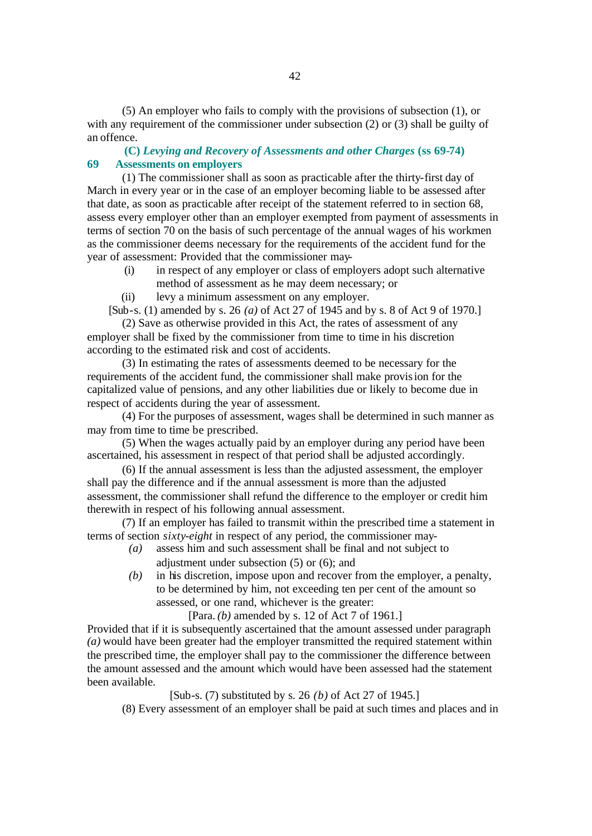(5) An employer who fails to comply with the provisions of subsection (1), or with any requirement of the commissioner under subsection (2) or (3) shall be guilty of an offence.

# **(C)** *Levying and Recovery of Assessments and other Charges* **(ss 69-74) 69 Assessments on employers**

(1) The commissioner shall as soon as practicable after the thirty-first day of March in every year or in the case of an employer becoming liable to be assessed after that date, as soon as practicable after receipt of the statement referred to in section 68, assess every employer other than an employer exempted from payment of assessments in terms of section 70 on the basis of such percentage of the annual wages of his workmen as the commissioner deems necessary for the requirements of the accident fund for the year of assessment: Provided that the commissioner may-

- (i) in respect of any employer or class of employers adopt such alternative method of assessment as he may deem necessary; or
- (ii) levy a minimum assessment on any employer.
- [Sub-s. (1) amended by s. 26 *(a)* of Act 27 of 1945 and by s. 8 of Act 9 of 1970.]

(2) Save as otherwise provided in this Act, the rates of assessment of any employer shall be fixed by the commissioner from time to time in his discretion according to the estimated risk and cost of accidents.

(3) In estimating the rates of assessments deemed to be necessary for the requirements of the accident fund, the commissioner shall make provision for the capitalized value of pensions, and any other liabilities due or likely to become due in respect of accidents during the year of assessment.

(4) For the purposes of assessment, wages shall be determined in such manner as may from time to time be prescribed.

(5) When the wages actually paid by an employer during any period have been ascertained, his assessment in respect of that period shall be adjusted accordingly.

(6) If the annual assessment is less than the adjusted assessment, the employer shall pay the difference and if the annual assessment is more than the adjusted assessment, the commissioner shall refund the difference to the employer or credit him therewith in respect of his following annual assessment.

(7) If an employer has failed to transmit within the prescribed time a statement in terms of section *sixty-eight* in respect of any period, the commissioner may-

- *(a)* assess him and such assessment shall be final and not subject to adjustment under subsection (5) or (6); and
- *(b)* in his discretion, impose upon and recover from the employer, a penalty, to be determined by him, not exceeding ten per cent of the amount so assessed, or one rand, whichever is the greater:

[Para. *(b)* amended by s. 12 of Act 7 of 1961.]

Provided that if it is subsequently ascertained that the amount assessed under paragraph *(a)* would have been greater had the employer transmitted the required statement within the prescribed time, the employer shall pay to the commissioner the difference between the amount assessed and the amount which would have been assessed had the statement been available.

[Sub-s. (7) substituted by s. 26 *(b)* of Act 27 of 1945.]

(8) Every assessment of an employer shall be paid at such times and places and in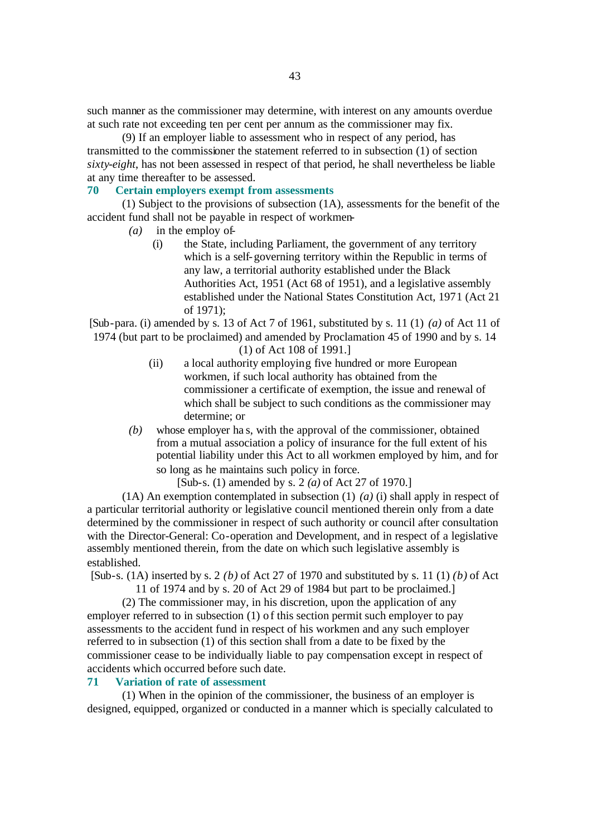such manner as the commissioner may determine, with interest on any amounts overdue at such rate not exceeding ten per cent per annum as the commissioner may fix.

(9) If an employer liable to assessment who in respect of any period, has transmitted to the commissioner the statement referred to in subsection (1) of section *sixty-eight*, has not been assessed in respect of that period, he shall nevertheless be liable at any time thereafter to be assessed.

#### **70 Certain employers exempt from assessments**

(1) Subject to the provisions of subsection (1A), assessments for the benefit of the accident fund shall not be payable in respect of workmen-

- *(a)* in the employ of-
	- (i) the State, including Parliament, the government of any territory which is a self-governing territory within the Republic in terms of any law, a territorial authority established under the Black Authorities Act, 1951 (Act 68 of 1951), and a legislative assembly established under the National States Constitution Act, 1971 (Act 21 of 1971);

[Sub-para. (i) amended by s. 13 of Act 7 of 1961, substituted by s. 11 (1) *(a)* of Act 11 of 1974 (but part to be proclaimed) and amended by Proclamation 45 of 1990 and by s. 14

(1) of Act 108 of 1991.]

- (ii) a local authority employing five hundred or more European workmen, if such local authority has obtained from the commissioner a certificate of exemption, the issue and renewal of which shall be subject to such conditions as the commissioner may determine; or
- *(b)* whose employer ha s, with the approval of the commissioner, obtained from a mutual association a policy of insurance for the full extent of his potential liability under this Act to all workmen employed by him, and for so long as he maintains such policy in force.

[Sub-s. (1) amended by s. 2 *(a)* of Act 27 of 1970.]

(1A) An exemption contemplated in subsection (1) *(a)* (i) shall apply in respect of a particular territorial authority or legislative council mentioned therein only from a date determined by the commissioner in respect of such authority or council after consultation with the Director-General: Co-operation and Development, and in respect of a legislative assembly mentioned therein, from the date on which such legislative assembly is established.

[Sub-s. (1A) inserted by s. 2 *(b)* of Act 27 of 1970 and substituted by s. 11 (1) *(b)* of Act

11 of 1974 and by s. 20 of Act 29 of 1984 but part to be proclaimed.]

(2) The commissioner may, in his discretion, upon the application of any employer referred to in subsection (1) of this section permit such employer to pay assessments to the accident fund in respect of his workmen and any such employer referred to in subsection (1) of this section shall from a date to be fixed by the commissioner cease to be individually liable to pay compensation except in respect of accidents which occurred before such date.

#### **71 Variation of rate of assessment**

(1) When in the opinion of the commissioner, the business of an employer is designed, equipped, organized or conducted in a manner which is specially calculated to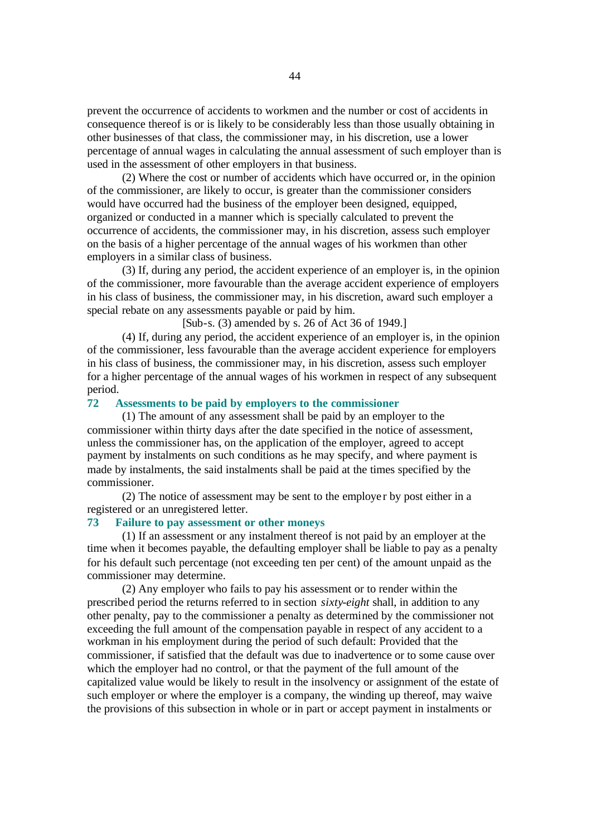prevent the occurrence of accidents to workmen and the number or cost of accidents in consequence thereof is or is likely to be considerably less than those usually obtaining in other businesses of that class, the commissioner may, in his discretion, use a lower percentage of annual wages in calculating the annual assessment of such employer than is used in the assessment of other employers in that business.

(2) Where the cost or number of accidents which have occurred or, in the opinion of the commissioner, are likely to occur, is greater than the commissioner considers would have occurred had the business of the employer been designed, equipped, organized or conducted in a manner which is specially calculated to prevent the occurrence of accidents, the commissioner may, in his discretion, assess such employer on the basis of a higher percentage of the annual wages of his workmen than other employers in a similar class of business.

(3) If, during any period, the accident experience of an employer is, in the opinion of the commissioner, more favourable than the average accident experience of employers in his class of business, the commissioner may, in his discretion, award such employer a special rebate on any assessments payable or paid by him.

[Sub-s. (3) amended by s. 26 of Act 36 of 1949.]

(4) If, during any period, the accident experience of an employer is, in the opinion of the commissioner, less favourable than the average accident experience for employers in his class of business, the commissioner may, in his discretion, assess such employer for a higher percentage of the annual wages of his workmen in respect of any subsequent period.

#### **72 Assessments to be paid by employers to the commissioner**

(1) The amount of any assessment shall be paid by an employer to the commissioner within thirty days after the date specified in the notice of assessment, unless the commissioner has, on the application of the employer, agreed to accept payment by instalments on such conditions as he may specify, and where payment is made by instalments, the said instalments shall be paid at the times specified by the commissioner.

(2) The notice of assessment may be sent to the employe r by post either in a registered or an unregistered letter.

# **73 Failure to pay assessment or other moneys**

(1) If an assessment or any instalment thereof is not paid by an employer at the time when it becomes payable, the defaulting employer shall be liable to pay as a penalty for his default such percentage (not exceeding ten per cent) of the amount unpaid as the commissioner may determine.

(2) Any employer who fails to pay his assessment or to render within the prescribed period the returns referred to in section *sixty-eight* shall, in addition to any other penalty, pay to the commissioner a penalty as determined by the commissioner not exceeding the full amount of the compensation payable in respect of any accident to a workman in his employment during the period of such default: Provided that the commissioner, if satisfied that the default was due to inadvertence or to some cause over which the employer had no control, or that the payment of the full amount of the capitalized value would be likely to result in the insolvency or assignment of the estate of such employer or where the employer is a company, the winding up thereof, may waive the provisions of this subsection in whole or in part or accept payment in instalments or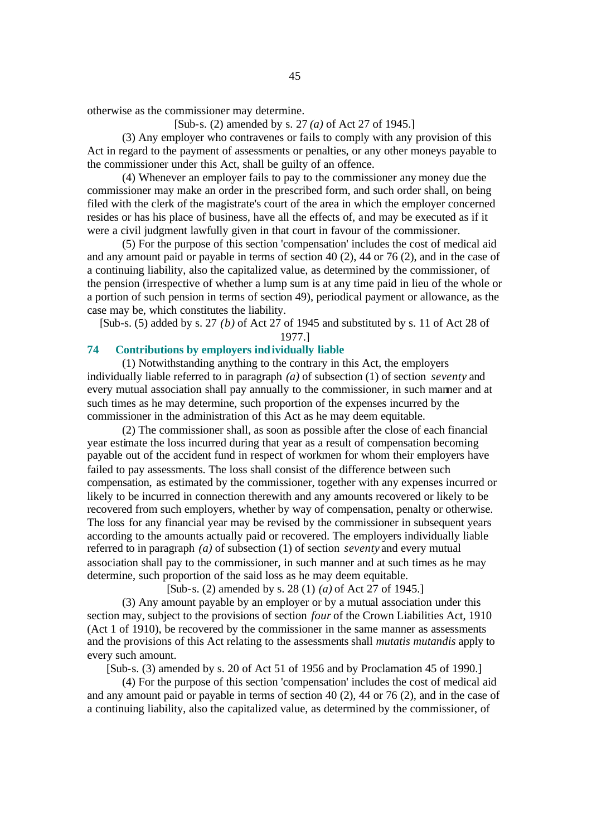otherwise as the commissioner may determine.

[Sub-s. (2) amended by s. 27 *(a)* of Act 27 of 1945.]

(3) Any employer who contravenes or fails to comply with any provision of this Act in regard to the payment of assessments or penalties, or any other moneys payable to the commissioner under this Act, shall be guilty of an offence.

(4) Whenever an employer fails to pay to the commissioner any money due the commissioner may make an order in the prescribed form, and such order shall, on being filed with the clerk of the magistrate's court of the area in which the employer concerned resides or has his place of business, have all the effects of, and may be executed as if it were a civil judgment lawfully given in that court in favour of the commissioner.

(5) For the purpose of this section 'compensation' includes the cost of medical aid and any amount paid or payable in terms of section 40 (2), 44 or 76 (2), and in the case of a continuing liability, also the capitalized value, as determined by the commissioner, of the pension (irrespective of whether a lump sum is at any time paid in lieu of the whole or a portion of such pension in terms of section 49), periodical payment or allowance, as the case may be, which constitutes the liability.

[Sub-s. (5) added by s. 27 *(b)* of Act 27 of 1945 and substituted by s. 11 of Act 28 of 1977.]

# **74 Contributions by employers individually liable**

(1) Notwithstanding anything to the contrary in this Act, the employers individually liable referred to in paragraph *(a)* of subsection (1) of section *seventy* and every mutual association shall pay annually to the commissioner, in such manner and at such times as he may determine, such proportion of the expenses incurred by the commissioner in the administration of this Act as he may deem equitable.

(2) The commissioner shall, as soon as possible after the close of each financial year estimate the loss incurred during that year as a result of compensation becoming payable out of the accident fund in respect of workmen for whom their employers have failed to pay assessments. The loss shall consist of the difference between such compensation, as estimated by the commissioner, together with any expenses incurred or likely to be incurred in connection therewith and any amounts recovered or likely to be recovered from such employers, whether by way of compensation, penalty or otherwise. The loss for any financial year may be revised by the commissioner in subsequent years according to the amounts actually paid or recovered. The employers individually liable referred to in paragraph *(a)* of subsection (1) of section *seventy* and every mutual association shall pay to the commissioner, in such manner and at such times as he may determine, such proportion of the said loss as he may deem equitable.

[Sub-s. (2) amended by s. 28 (1) *(a)* of Act 27 of 1945.]

(3) Any amount payable by an employer or by a mutual association under this section may, subject to the provisions of section *four* of the Crown Liabilities Act, 1910 (Act 1 of 1910), be recovered by the commissioner in the same manner as assessments and the provisions of this Act relating to the assessments shall *mutatis mutandis* apply to every such amount.

[Sub-s. (3) amended by s. 20 of Act 51 of 1956 and by Proclamation 45 of 1990.]

(4) For the purpose of this section 'compensation' includes the cost of medical aid and any amount paid or payable in terms of section 40 (2), 44 or 76 (2), and in the case of a continuing liability, also the capitalized value, as determined by the commissioner, of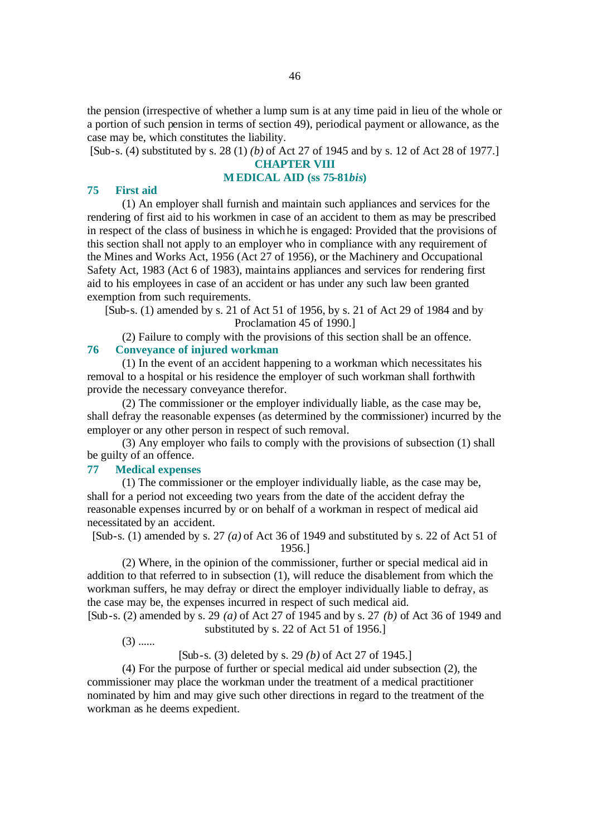the pension (irrespective of whether a lump sum is at any time paid in lieu of the whole or a portion of such pension in terms of section 49), periodical payment or allowance, as the case may be, which constitutes the liability.

[Sub-s. (4) substituted by s. 28 (1) *(b)* of Act 27 of 1945 and by s. 12 of Act 28 of 1977.]

### **CHAPTER VIII**

# **MEDICAL AID (ss 75-81***bis***)**

#### **75 First aid**

(1) An employer shall furnish and maintain such appliances and services for the rendering of first aid to his workmen in case of an accident to them as may be prescribed in respect of the class of business in which he is engaged: Provided that the provisions of this section shall not apply to an employer who in compliance with any requirement of the Mines and Works Act, 1956 (Act 27 of 1956), or the Machinery and Occupational Safety Act, 1983 (Act 6 of 1983), maintains appliances and services for rendering first aid to his employees in case of an accident or has under any such law been granted exemption from such requirements.

[Sub-s. (1) amended by s. 21 of Act 51 of 1956, by s. 21 of Act 29 of 1984 and by Proclamation 45 of 1990.]

(2) Failure to comply with the provisions of this section shall be an offence. **76 Conveyance of injured workman**

(1) In the event of an accident happening to a workman which necessitates his removal to a hospital or his residence the employer of such workman shall forthwith provide the necessary conveyance therefor.

(2) The commissioner or the employer individually liable, as the case may be, shall defray the reasonable expenses (as determined by the commissioner) incurred by the employer or any other person in respect of such removal.

(3) Any employer who fails to comply with the provisions of subsection (1) shall be guilty of an offence.

## **77 Medical expenses**

(1) The commissioner or the employer individually liable, as the case may be, shall for a period not exceeding two years from the date of the accident defray the reasonable expenses incurred by or on behalf of a workman in respect of medical aid necessitated by an accident.

[Sub-s. (1) amended by s. 27 *(a)* of Act 36 of 1949 and substituted by s. 22 of Act 51 of 1956.]

(2) Where, in the opinion of the commissioner, further or special medical aid in addition to that referred to in subsection (1), will reduce the disablement from which the workman suffers, he may defray or direct the employer individually liable to defray, as the case may be, the expenses incurred in respect of such medical aid.

[Sub-s. (2) amended by s. 29 *(a)* of Act 27 of 1945 and by s. 27 *(b)* of Act 36 of 1949 and substituted by s. 22 of Act 51 of 1956.]

 $(3)$  ......

[Sub-s. (3) deleted by s. 29 *(b)* of Act 27 of 1945.]

(4) For the purpose of further or special medical aid under subsection (2), the commissioner may place the workman under the treatment of a medical practitioner nominated by him and may give such other directions in regard to the treatment of the workman as he deems expedient.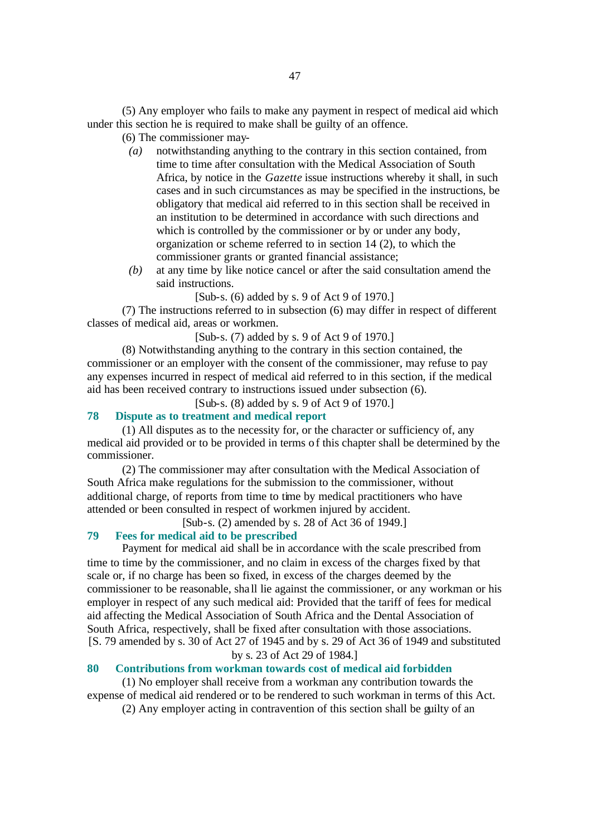(5) Any employer who fails to make any payment in respect of medical aid which under this section he is required to make shall be guilty of an offence.

# (6) The commissioner may-

- *(a)* notwithstanding anything to the contrary in this section contained, from time to time after consultation with the Medical Association of South Africa, by notice in the *Gazette* issue instructions whereby it shall, in such cases and in such circumstances as may be specified in the instructions, be obligatory that medical aid referred to in this section shall be received in an institution to be determined in accordance with such directions and which is controlled by the commissioner or by or under any body, organization or scheme referred to in section 14 (2), to which the commissioner grants or granted financial assistance;
- *(b)* at any time by like notice cancel or after the said consultation amend the said instructions.
	- [Sub-s. (6) added by s. 9 of Act 9 of 1970.]

(7) The instructions referred to in subsection (6) may differ in respect of different classes of medical aid, areas or workmen.

[Sub-s. (7) added by s. 9 of Act 9 of 1970.]

(8) Notwithstanding anything to the contrary in this section contained, the commissioner or an employer with the consent of the commissioner, may refuse to pay any expenses incurred in respect of medical aid referred to in this section, if the medical aid has been received contrary to instructions issued under subsection (6).

[Sub-s. (8) added by s. 9 of Act 9 of 1970.]

# **78 Dispute as to treatment and medical report**

(1) All disputes as to the necessity for, or the character or sufficiency of, any medical aid provided or to be provided in terms of this chapter shall be determined by the commissioner.

(2) The commissioner may after consultation with the Medical Association of South Africa make regulations for the submission to the commissioner, without additional charge, of reports from time to time by medical practitioners who have attended or been consulted in respect of workmen injured by accident.

[Sub-s. (2) amended by s. 28 of Act 36 of 1949.]

#### **79 Fees for medical aid to be prescribed**

Payment for medical aid shall be in accordance with the scale prescribed from time to time by the commissioner, and no claim in excess of the charges fixed by that scale or, if no charge has been so fixed, in excess of the charges deemed by the commissioner to be reasonable, sha ll lie against the commissioner, or any workman or his employer in respect of any such medical aid: Provided that the tariff of fees for medical aid affecting the Medical Association of South Africa and the Dental Association of South Africa, respectively, shall be fixed after consultation with those associations. [S. 79 amended by s. 30 of Act 27 of 1945 and by s. 29 of Act 36 of 1949 and substituted by s. 23 of Act 29 of 1984.]

# **80 Contributions from workman towards cost of medical aid forbidden**

(1) No employer shall receive from a workman any contribution towards the expense of medical aid rendered or to be rendered to such workman in terms of this Act.

(2) Any employer acting in contravention of this section shall be guilty of an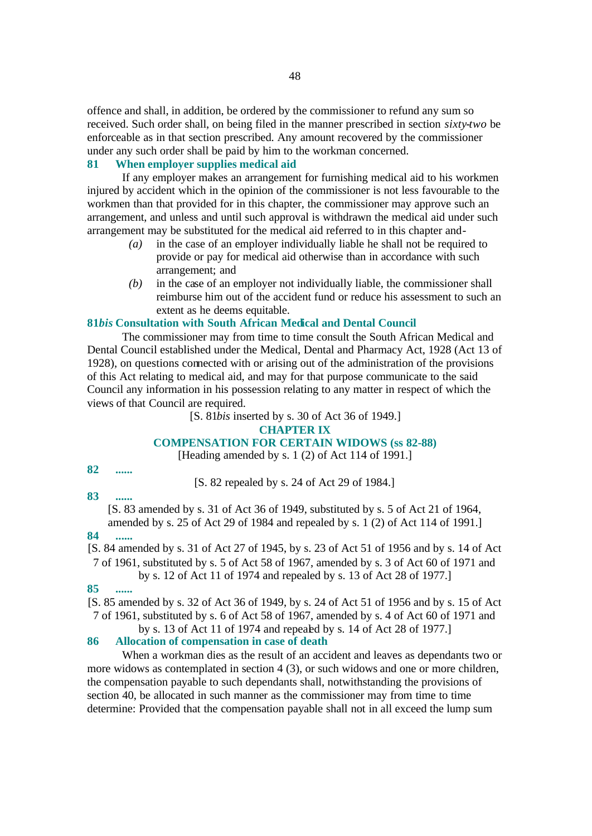offence and shall, in addition, be ordered by the commissioner to refund any sum so received. Such order shall, on being filed in the manner prescribed in section *sixty-two* be enforceable as in that section prescribed. Any amount recovered by the commissioner under any such order shall be paid by him to the workman concerned.

# **81 When employer supplies medical aid**

If any employer makes an arrangement for furnishing medical aid to his workmen injured by accident which in the opinion of the commissioner is not less favourable to the workmen than that provided for in this chapter, the commissioner may approve such an arrangement, and unless and until such approval is withdrawn the medical aid under such arrangement may be substituted for the medical aid referred to in this chapter and-

- *(a)* in the case of an employer individually liable he shall not be required to provide or pay for medical aid otherwise than in accordance with such arrangement; and
- *(b)* in the case of an employer not individually liable, the commissioner shall reimburse him out of the accident fund or reduce his assessment to such an extent as he deems equitable.

#### **81***bis* **Consultation with South African Medical and Dental Council**

The commissioner may from time to time consult the South African Medical and Dental Council established under the Medical, Dental and Pharmacy Act, 1928 (Act 13 of 1928), on questions connected with or arising out of the administration of the provisions of this Act relating to medical aid, and may for that purpose communicate to the said Council any information in his possession relating to any matter in respect of which the views of that Council are required.

[S. 81*bis* inserted by s. 30 of Act 36 of 1949.]

#### **CHAPTER IX**

#### **COMPENSATION FOR CERTAIN WIDOWS (ss 82-88)**

[Heading amended by s. 1 (2) of Act 114 of 1991.]

# **82 ......**

[S. 82 repealed by s. 24 of Act 29 of 1984.]

# **83 ......**

[S. 83 amended by s. 31 of Act 36 of 1949, substituted by s. 5 of Act 21 of 1964, amended by s. 25 of Act 29 of 1984 and repealed by s. 1 (2) of Act 114 of 1991.]

# **84 ......**

[S. 84 amended by s. 31 of Act 27 of 1945, by s. 23 of Act 51 of 1956 and by s. 14 of Act 7 of 1961, substituted by s. 5 of Act 58 of 1967, amended by s. 3 of Act 60 of 1971 and

by s. 12 of Act 11 of 1974 and repealed by s. 13 of Act 28 of 1977.]

#### **85 ......**

[S. 85 amended by s. 32 of Act 36 of 1949, by s. 24 of Act 51 of 1956 and by s. 15 of Act 7 of 1961, substituted by s. 6 of Act 58 of 1967, amended by s. 4 of Act 60 of 1971 and

# by s. 13 of Act 11 of 1974 and repealed by s. 14 of Act 28 of 1977.]

# **86 Allocation of compensation in case of death**

When a workman dies as the result of an accident and leaves as dependants two or more widows as contemplated in section 4 (3), or such widows and one or more children, the compensation payable to such dependants shall, notwithstanding the provisions of section 40, be allocated in such manner as the commissioner may from time to time determine: Provided that the compensation payable shall not in all exceed the lump sum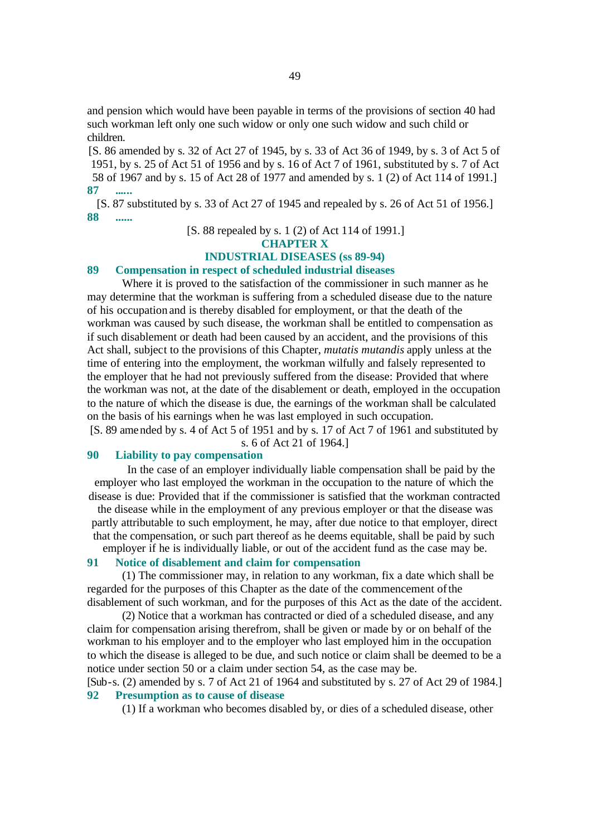and pension which would have been payable in terms of the provisions of section 40 had such workman left only one such widow or only one such widow and such child or children.

[S. 86 amended by s. 32 of Act 27 of 1945, by s. 33 of Act 36 of 1949, by s. 3 of Act 5 of 1951, by s. 25 of Act 51 of 1956 and by s. 16 of Act 7 of 1961, substituted by s. 7 of Act 58 of 1967 and by s. 15 of Act 28 of 1977 and amended by s. 1 (2) of Act 114 of 1991.] **87 ......**

[S. 87 substituted by s. 33 of Act 27 of 1945 and repealed by s. 26 of Act 51 of 1956.] **88 ......**

[S. 88 repealed by s. 1 (2) of Act 114 of 1991.]

#### **CHAPTER X**

#### **INDUSTRIAL DISEASES (ss 89-94)**

# **89 Compensation in respect of scheduled industrial diseases**

Where it is proved to the satisfaction of the commissioner in such manner as he may determine that the workman is suffering from a scheduled disease due to the nature of his occupation and is thereby disabled for employment, or that the death of the workman was caused by such disease, the workman shall be entitled to compensation as if such disablement or death had been caused by an accident, and the provisions of this Act shall, subject to the provisions of this Chapter, *mutatis mutandis* apply unless at the time of entering into the employment, the workman wilfully and falsely represented to the employer that he had not previously suffered from the disease: Provided that where the workman was not, at the date of the disablement or death, employed in the occupation to the nature of which the disease is due, the earnings of the workman shall be calculated on the basis of his earnings when he was last employed in such occupation.

[S. 89 amended by s. 4 of Act 5 of 1951 and by s. 17 of Act 7 of 1961 and substituted by s. 6 of Act 21 of 1964.]

# **90 Liability to pay compensation**

In the case of an employer individually liable compensation shall be paid by the employer who last employed the workman in the occupation to the nature of which the disease is due: Provided that if the commissioner is satisfied that the workman contracted the disease while in the employment of any previous employer or that the disease was partly attributable to such employment, he may, after due notice to that employer, direct that the compensation, or such part thereof as he deems equitable, shall be paid by such employer if he is individually liable, or out of the accident fund as the case may be.

#### **91 Notice of disablement and claim for compensation**

(1) The commissioner may, in relation to any workman, fix a date which shall be regarded for the purposes of this Chapter as the date of the commencement of the disablement of such workman, and for the purposes of this Act as the date of the accident.

(2) Notice that a workman has contracted or died of a scheduled disease, and any claim for compensation arising therefrom, shall be given or made by or on behalf of the workman to his employer and to the employer who last employed him in the occupation to which the disease is alleged to be due, and such notice or claim shall be deemed to be a notice under section 50 or a claim under section 54, as the case may be.

[Sub-s. (2) amended by s. 7 of Act 21 of 1964 and substituted by s. 27 of Act 29 of 1984.] **92 Presumption as to cause of disease**

(1) If a workman who becomes disabled by, or dies of a scheduled disease, other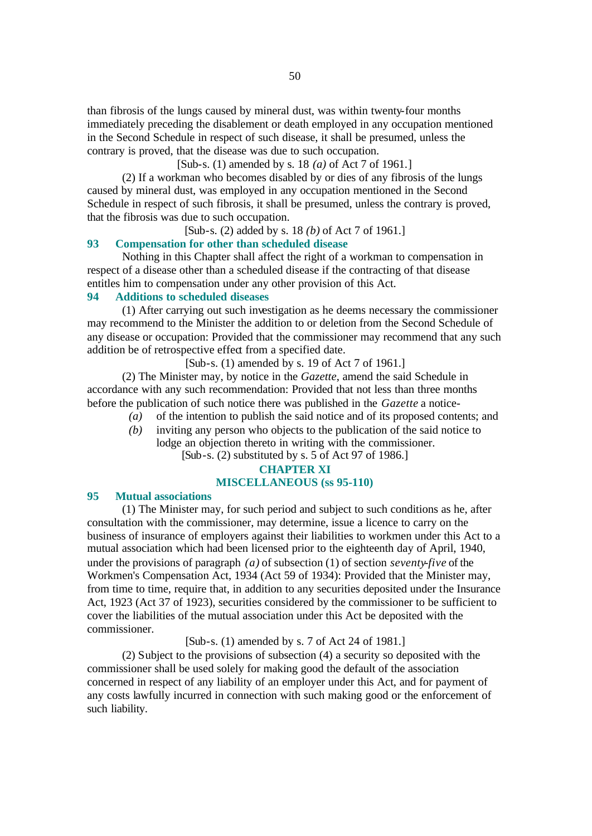than fibrosis of the lungs caused by mineral dust, was within twenty-four months immediately preceding the disablement or death employed in any occupation mentioned in the Second Schedule in respect of such disease, it shall be presumed, unless the contrary is proved, that the disease was due to such occupation.

[Sub-s. (1) amended by s. 18 *(a)* of Act 7 of 1961.]

(2) If a workman who becomes disabled by or dies of any fibrosis of the lungs caused by mineral dust, was employed in any occupation mentioned in the Second Schedule in respect of such fibrosis, it shall be presumed, unless the contrary is proved, that the fibrosis was due to such occupation.

[Sub-s. (2) added by s. 18 *(b)* of Act 7 of 1961.]

# **93 Compensation for other than scheduled disease**

Nothing in this Chapter shall affect the right of a workman to compensation in respect of a disease other than a scheduled disease if the contracting of that disease entitles him to compensation under any other provision of this Act.

# **94 Additions to scheduled diseases**

(1) After carrying out such investigation as he deems necessary the commissioner may recommend to the Minister the addition to or deletion from the Second Schedule of any disease or occupation: Provided that the commissioner may recommend that any such addition be of retrospective effect from a specified date.

[Sub-s. (1) amended by s. 19 of Act 7 of 1961.]

(2) The Minister may, by notice in the *Gazette*, amend the said Schedule in accordance with any such recommendation: Provided that not less than three months before the publication of such notice there was published in the *Gazette* a notice-

- *(a)* of the intention to publish the said notice and of its proposed contents; and
- *(b)* inviting any person who objects to the publication of the said notice to lodge an objection thereto in writing with the commissioner. [Sub-s. (2) substituted by s. 5 of Act 97 of 1986.]

# **CHAPTER XI MISCELLANEOUS (ss 95-110)**

# **95 Mutual associations**

(1) The Minister may, for such period and subject to such conditions as he, after consultation with the commissioner, may determine, issue a licence to carry on the business of insurance of employers against their liabilities to workmen under this Act to a mutual association which had been licensed prior to the eighteenth day of April, 1940, under the provisions of paragraph *(a)* of subsection (1) of section *seventy-five* of the Workmen's Compensation Act, 1934 (Act 59 of 1934): Provided that the Minister may, from time to time, require that, in addition to any securities deposited under the Insurance Act, 1923 (Act 37 of 1923), securities considered by the commissioner to be sufficient to cover the liabilities of the mutual association under this Act be deposited with the commissioner.

[Sub-s. (1) amended by s. 7 of Act 24 of 1981.]

(2) Subject to the provisions of subsection (4) a security so deposited with the commissioner shall be used solely for making good the default of the association concerned in respect of any liability of an employer under this Act, and for payment of any costs lawfully incurred in connection with such making good or the enforcement of such liability.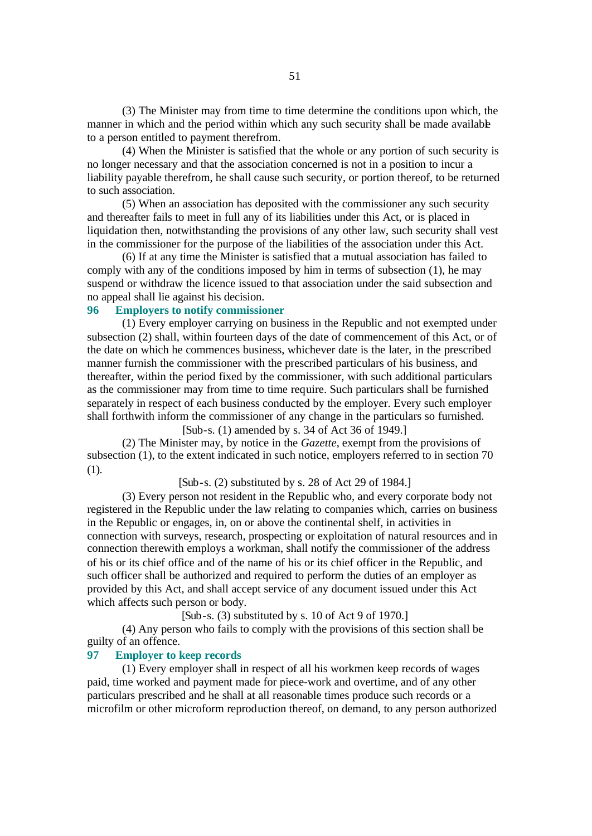(3) The Minister may from time to time determine the conditions upon which, the manner in which and the period within which any such security shall be made available to a person entitled to payment therefrom.

(4) When the Minister is satisfied that the whole or any portion of such security is no longer necessary and that the association concerned is not in a position to incur a liability payable therefrom, he shall cause such security, or portion thereof, to be returned to such association.

(5) When an association has deposited with the commissioner any such security and thereafter fails to meet in full any of its liabilities under this Act, or is placed in liquidation then, notwithstanding the provisions of any other law, such security shall vest in the commissioner for the purpose of the liabilities of the association under this Act.

(6) If at any time the Minister is satisfied that a mutual association has failed to comply with any of the conditions imposed by him in terms of subsection (1), he may suspend or withdraw the licence issued to that association under the said subsection and no appeal shall lie against his decision.

# **96 Employers to notify commissioner**

(1) Every employer carrying on business in the Republic and not exempted under subsection (2) shall, within fourteen days of the date of commencement of this Act, or of the date on which he commences business, whichever date is the later, in the prescribed manner furnish the commissioner with the prescribed particulars of his business, and thereafter, within the period fixed by the commissioner, with such additional particulars as the commissioner may from time to time require. Such particulars shall be furnished separately in respect of each business conducted by the employer. Every such employer shall forthwith inform the commissioner of any change in the particulars so furnished.

[Sub-s. (1) amended by s. 34 of Act 36 of 1949.]

(2) The Minister may, by notice in the *Gazette*, exempt from the provisions of subsection (1), to the extent indicated in such notice, employers referred to in section 70 (1).

[Sub-s. (2) substituted by s. 28 of Act 29 of 1984.]

(3) Every person not resident in the Republic who, and every corporate body not registered in the Republic under the law relating to companies which, carries on business in the Republic or engages, in, on or above the continental shelf, in activities in connection with surveys, research, prospecting or exploitation of natural resources and in connection therewith employs a workman, shall notify the commissioner of the address of his or its chief office and of the name of his or its chief officer in the Republic, and such officer shall be authorized and required to perform the duties of an employer as provided by this Act, and shall accept service of any document issued under this Act which affects such person or body.

[Sub-s. (3) substituted by s. 10 of Act 9 of 1970.]

(4) Any person who fails to comply with the provisions of this section shall be guilty of an offence.

#### **97 Employer to keep records**

(1) Every employer shall in respect of all his workmen keep records of wages paid, time worked and payment made for piece-work and overtime, and of any other particulars prescribed and he shall at all reasonable times produce such records or a microfilm or other microform reproduction thereof, on demand, to any person authorized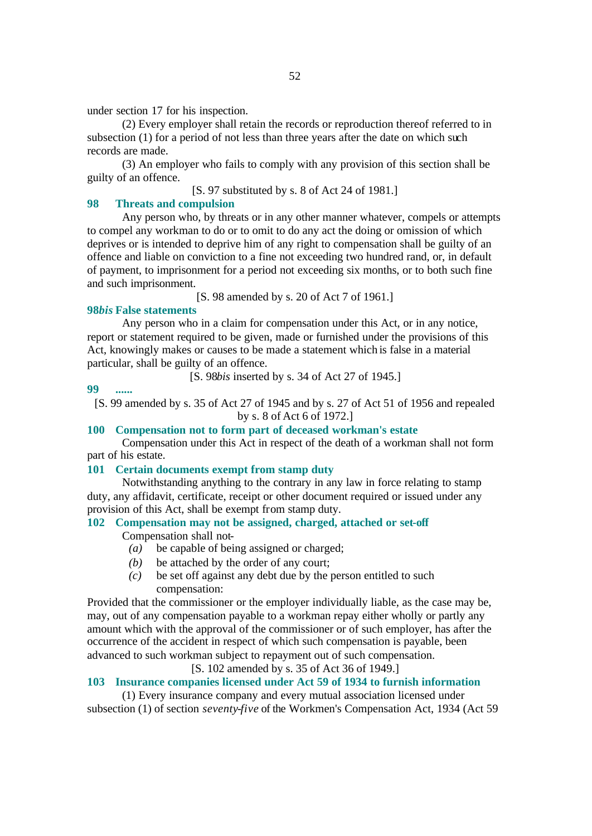under section 17 for his inspection.

(2) Every employer shall retain the records or reproduction thereof referred to in subsection (1) for a period of not less than three years after the date on which such records are made.

(3) An employer who fails to comply with any provision of this section shall be guilty of an offence.

[S. 97 substituted by s. 8 of Act 24 of 1981.]

## **98 Threats and compulsion**

Any person who, by threats or in any other manner whatever, compels or attempts to compel any workman to do or to omit to do any act the doing or omission of which deprives or is intended to deprive him of any right to compensation shall be guilty of an offence and liable on conviction to a fine not exceeding two hundred rand, or, in default of payment, to imprisonment for a period not exceeding six months, or to both such fine and such imprisonment.

[S. 98 amended by s. 20 of Act 7 of 1961.]

# **98***bis* **False statements**

Any person who in a claim for compensation under this Act, or in any notice, report or statement required to be given, made or furnished under the provisions of this Act, knowingly makes or causes to be made a statement which is false in a material particular, shall be guilty of an offence.

[S. 98*bis* inserted by s. 34 of Act 27 of 1945.]

**99 ......**

[S. 99 amended by s. 35 of Act 27 of 1945 and by s. 27 of Act 51 of 1956 and repealed by s. 8 of Act 6 of 1972.]

# **100 Compensation not to form part of deceased workman's estate**

Compensation under this Act in respect of the death of a workman shall not form part of his estate.

## **101 Certain documents exempt from stamp duty**

Notwithstanding anything to the contrary in any law in force relating to stamp duty, any affidavit, certificate, receipt or other document required or issued under any provision of this Act, shall be exempt from stamp duty.

# **102 Compensation may not be assigned, charged, attached or set-off**

Compensation shall not-

- *(a)* be capable of being assigned or charged;
- *(b)* be attached by the order of any court:
- *(c)* be set off against any debt due by the person entitled to such compensation:

Provided that the commissioner or the employer individually liable, as the case may be, may, out of any compensation payable to a workman repay either wholly or partly any amount which with the approval of the commissioner or of such employer, has after the occurrence of the accident in respect of which such compensation is payable, been advanced to such workman subject to repayment out of such compensation.

# [S. 102 amended by s. 35 of Act 36 of 1949.]

# **103 Insurance companies licensed under Act 59 of 1934 to furnish information**

(1) Every insurance company and every mutual association licensed under subsection (1) of section *seventy-five* of the Workmen's Compensation Act, 1934 (Act 59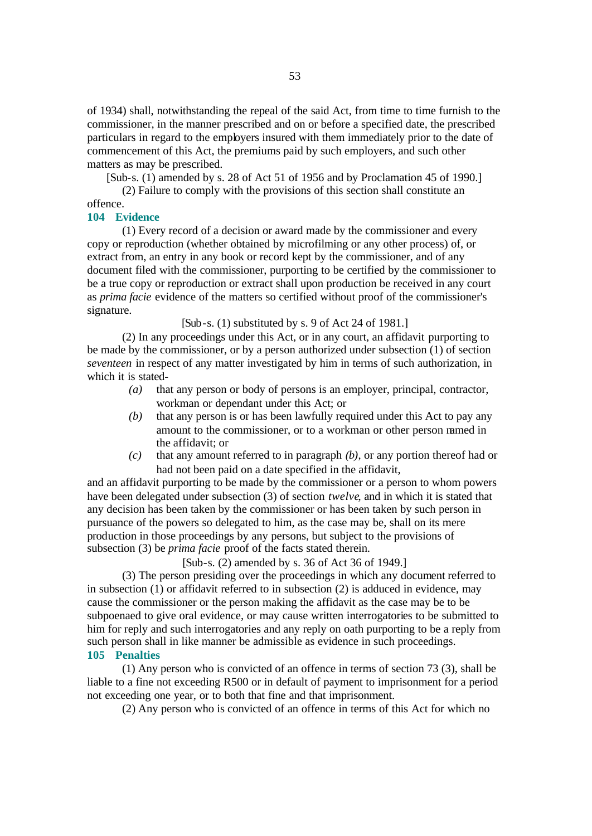of 1934) shall, notwithstanding the repeal of the said Act, from time to time furnish to the commissioner, in the manner prescribed and on or before a specified date, the prescribed particulars in regard to the employers insured with them immediately prior to the date of commencement of this Act, the premiums paid by such employers, and such other matters as may be prescribed.

[Sub-s. (1) amended by s. 28 of Act 51 of 1956 and by Proclamation 45 of 1990.]

(2) Failure to comply with the provisions of this section shall constitute an offence.

#### **104 Evidence**

(1) Every record of a decision or award made by the commissioner and every copy or reproduction (whether obtained by microfilming or any other process) of, or extract from, an entry in any book or record kept by the commissioner, and of any document filed with the commissioner, purporting to be certified by the commissioner to be a true copy or reproduction or extract shall upon production be received in any court as *prima facie* evidence of the matters so certified without proof of the commissioner's signature.

#### [Sub-s. (1) substituted by s. 9 of Act 24 of 1981.]

(2) In any proceedings under this Act, or in any court, an affidavit purporting to be made by the commissioner, or by a person authorized under subsection (1) of section *seventeen* in respect of any matter investigated by him in terms of such authorization, in which it is stated-

- *(a)* that any person or body of persons is an employer, principal, contractor, workman or dependant under this Act; or
- *(b)* that any person is or has been lawfully required under this Act to pay any amount to the commissioner, or to a workman or other person named in the affidavit; or
- *(c)* that any amount referred to in paragraph *(b)*, or any portion thereof had or had not been paid on a date specified in the affidavit,

and an affidavit purporting to be made by the commissioner or a person to whom powers have been delegated under subsection (3) of section *twelve*, and in which it is stated that any decision has been taken by the commissioner or has been taken by such person in pursuance of the powers so delegated to him, as the case may be, shall on its mere production in those proceedings by any persons, but subject to the provisions of subsection (3) be *prima facie* proof of the facts stated therein.

[Sub-s. (2) amended by s. 36 of Act 36 of 1949.]

(3) The person presiding over the proceedings in which any document referred to in subsection (1) or affidavit referred to in subsection (2) is adduced in evidence, may cause the commissioner or the person making the affidavit as the case may be to be subpoenaed to give oral evidence, or may cause written interrogatories to be submitted to him for reply and such interrogatories and any reply on oath purporting to be a reply from such person shall in like manner be admissible as evidence in such proceedings. **105 Penalties**

(1) Any person who is convicted of an offence in terms of section 73 (3), shall be liable to a fine not exceeding R500 or in default of payment to imprisonment for a period not exceeding one year, or to both that fine and that imprisonment.

(2) Any person who is convicted of an offence in terms of this Act for which no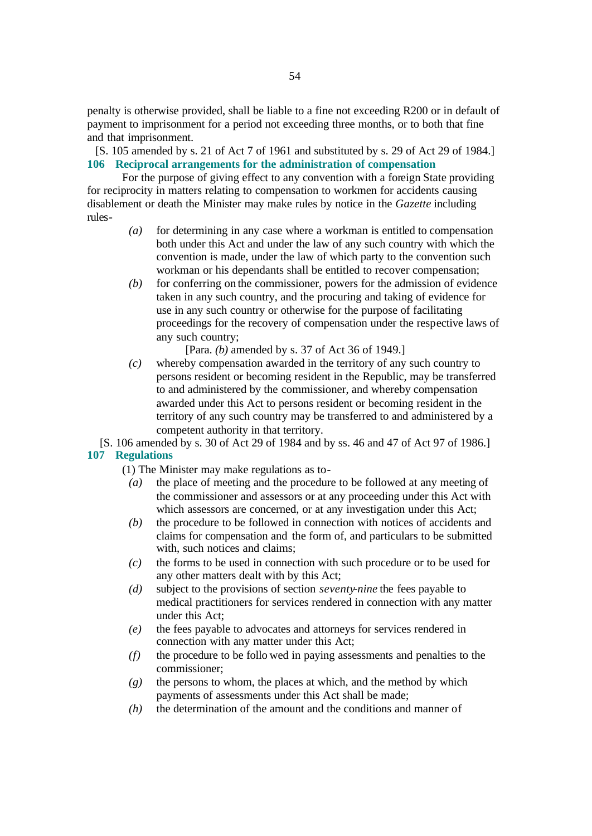penalty is otherwise provided, shall be liable to a fine not exceeding R200 or in default of payment to imprisonment for a period not exceeding three months, or to both that fine and that imprisonment.

[S. 105 amended by s. 21 of Act 7 of 1961 and substituted by s. 29 of Act 29 of 1984.] **106 Reciprocal arrangements for the administration of compensation**

For the purpose of giving effect to any convention with a foreign State providing for reciprocity in matters relating to compensation to workmen for accidents causing disablement or death the Minister may make rules by notice in the *Gazette* including rules-

- *(a)* for determining in any case where a workman is entitled to compensation both under this Act and under the law of any such country with which the convention is made, under the law of which party to the convention such workman or his dependants shall be entitled to recover compensation;
- *(b)* for conferring on the commissioner, powers for the admission of evidence taken in any such country, and the procuring and taking of evidence for use in any such country or otherwise for the purpose of facilitating proceedings for the recovery of compensation under the respective laws of any such country;

[Para. *(b)* amended by s. 37 of Act 36 of 1949.]

*(c)* whereby compensation awarded in the territory of any such country to persons resident or becoming resident in the Republic, may be transferred to and administered by the commissioner, and whereby compensation awarded under this Act to persons resident or becoming resident in the territory of any such country may be transferred to and administered by a competent authority in that territory.

[S. 106 amended by s. 30 of Act 29 of 1984 and by ss. 46 and 47 of Act 97 of 1986.] **107 Regulations**

(1) The Minister may make regulations as to-

- *(a)* the place of meeting and the procedure to be followed at any meeting of the commissioner and assessors or at any proceeding under this Act with which assessors are concerned, or at any investigation under this Act;
- *(b)* the procedure to be followed in connection with notices of accidents and claims for compensation and the form of, and particulars to be submitted with, such notices and claims;
- *(c)* the forms to be used in connection with such procedure or to be used for any other matters dealt with by this Act;
- *(d)* subject to the provisions of section *seventy-nine* the fees payable to medical practitioners for services rendered in connection with any matter under this Act;
- *(e)* the fees payable to advocates and attorneys for services rendered in connection with any matter under this Act;
- *(f)* the procedure to be follo wed in paying assessments and penalties to the commissioner;
- *(g)* the persons to whom, the places at which, and the method by which payments of assessments under this Act shall be made;
- *(h)* the determination of the amount and the conditions and manner of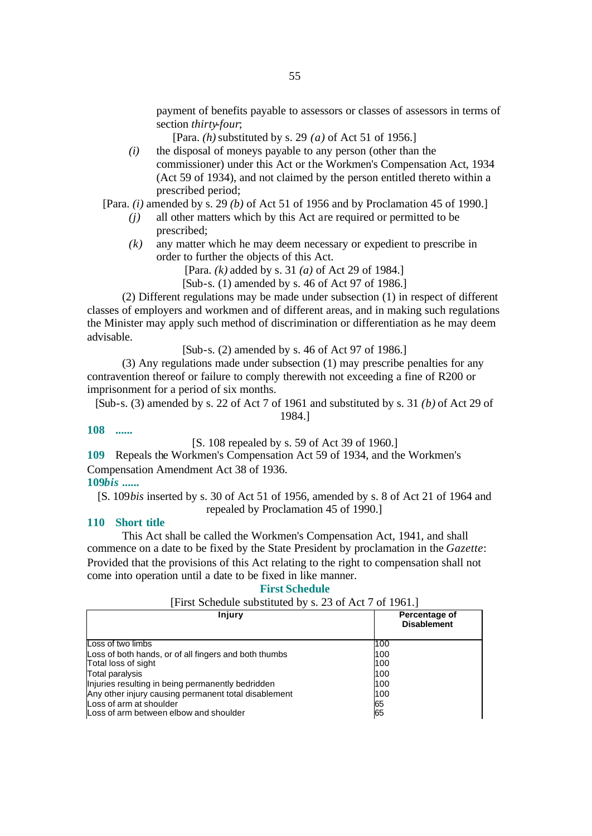payment of benefits payable to assessors or classes of assessors in terms of section *thirty-four*;

[Para. *(h)* substituted by s. 29 *(a)* of Act 51 of 1956.]

*(i)* the disposal of moneys payable to any person (other than the commissioner) under this Act or the Workmen's Compensation Act, 1934 (Act 59 of 1934), and not claimed by the person entitled thereto within a prescribed period;

[Para. *(i)* amended by s. 29 *(b)* of Act 51 of 1956 and by Proclamation 45 of 1990.]

- *(j)* all other matters which by this Act are required or permitted to be prescribed;
- *(k)* any matter which he may deem necessary or expedient to prescribe in order to further the objects of this Act.

[Para. *(k)* added by s. 31 *(a)* of Act 29 of 1984.]

[Sub-s. (1) amended by s. 46 of Act 97 of 1986.]

(2) Different regulations may be made under subsection (1) in respect of different classes of employers and workmen and of different areas, and in making such regulations the Minister may apply such method of discrimination or differentiation as he may deem advisable.

[Sub-s. (2) amended by s. 46 of Act 97 of 1986.]

(3) Any regulations made under subsection (1) may prescribe penalties for any contravention thereof or failure to comply therewith not exceeding a fine of R200 or imprisonment for a period of six months.

[Sub-s. (3) amended by s. 22 of Act 7 of 1961 and substituted by s. 31 *(b)* of Act 29 of 1984.]

**108 ......**

[S. 108 repealed by s. 59 of Act 39 of 1960.]

**109** Repeals the Workmen's Compensation Act 59 of 1934, and the Workmen's Compensation Amendment Act 38 of 1936.

# **109***bis* **......**

[S. 109*bis* inserted by s. 30 of Act 51 of 1956, amended by s. 8 of Act 21 of 1964 and repealed by Proclamation 45 of 1990.]

# **110 Short title**

This Act shall be called the Workmen's Compensation Act, 1941, and shall commence on a date to be fixed by the State President by proclamation in the *Gazette*: Provided that the provisions of this Act relating to the right to compensation shall not come into operation until a date to be fixed in like manner.

#### **First Schedule**

# [First Schedule substituted by s. 23 of Act 7 of 1961.]

| Injury                                                | Percentage of<br><b>Disablement</b> |
|-------------------------------------------------------|-------------------------------------|
| Loss of two limbs                                     | 100                                 |
| Loss of both hands, or of all fingers and both thumbs | 100                                 |
| Total loss of sight                                   | 100                                 |
| Total paralysis                                       | 100                                 |
| Injuries resulting in being permanently bedridden     | 100                                 |
| Any other injury causing permanent total disablement  | 100                                 |
| Loss of arm at shoulder                               | 65                                  |
| Loss of arm between elbow and shoulder                | 65                                  |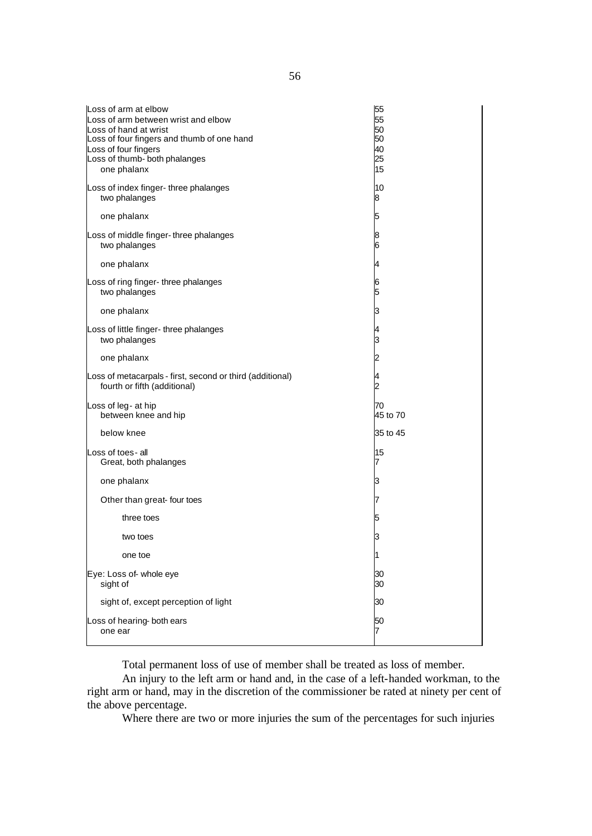| Loss of arm at elbow<br>Loss of arm between wrist and elbow<br>Loss of hand at wrist<br>Loss of four fingers and thumb of one hand<br>Loss of four fingers<br>Loss of thumb- both phalanges<br>one phalanx | 55<br>55<br>50<br>50<br>40<br>25<br>15 |
|------------------------------------------------------------------------------------------------------------------------------------------------------------------------------------------------------------|----------------------------------------|
| Loss of index finger- three phalanges<br>two phalanges                                                                                                                                                     | 10<br>8                                |
| one phalanx                                                                                                                                                                                                | 5                                      |
| Loss of middle finger-three phalanges<br>two phalanges                                                                                                                                                     | 8<br>6                                 |
| one phalanx                                                                                                                                                                                                | 4                                      |
| Loss of ring finger- three phalanges<br>two phalanges                                                                                                                                                      | 6<br>5                                 |
| one phalanx                                                                                                                                                                                                | 3                                      |
| Loss of little finger- three phalanges<br>two phalanges                                                                                                                                                    | 4<br>3                                 |
| one phalanx                                                                                                                                                                                                | 2                                      |
| Loss of metacarpals - first, second or third (additional)<br>fourth or fifth (additional)                                                                                                                  | 4<br>2                                 |
| Loss of leg- at hip<br>between knee and hip                                                                                                                                                                | 70<br>45 to 70                         |
| below knee                                                                                                                                                                                                 | 35 to 45                               |
| Loss of toes- all<br>Great, both phalanges                                                                                                                                                                 | 15<br>7                                |
| one phalanx                                                                                                                                                                                                | З                                      |
| Other than great- four toes                                                                                                                                                                                | 7                                      |
| three toes                                                                                                                                                                                                 | 5                                      |
| two toes                                                                                                                                                                                                   | 3                                      |
| one toe                                                                                                                                                                                                    | 1                                      |
| Eye: Loss of-whole eye<br>sight of                                                                                                                                                                         | 30<br>30                               |
| sight of, except perception of light                                                                                                                                                                       | 30                                     |
| Loss of hearing-both ears<br>one ear                                                                                                                                                                       | 50<br>7                                |

Total permanent loss of use of member shall be treated as loss of member.

An injury to the left arm or hand and, in the case of a left-handed workman, to the right arm or hand, may in the discretion of the commissioner be rated at ninety per cent of the above percentage.

Where there are two or more injuries the sum of the percentages for such injuries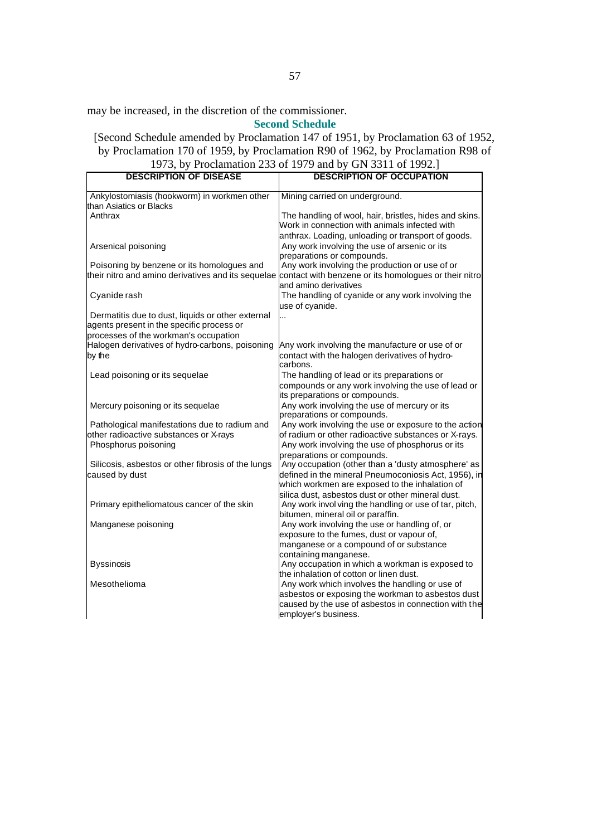may be increased, in the discretion of the commissioner.

**Second Schedule**

[Second Schedule amended by Proclamation 147 of 1951, by Proclamation 63 of 1952, by Proclamation 170 of 1959, by Proclamation R90 of 1962, by Proclamation R98 of 1973, by Proclamation 233 of 1979 and by GN 3311 of 1992.]

| <b>DESCRIPTION OF DISEASE</b>                                          | 1775, by Troclamation 255 or 1777 and by Giv 5511 or 1772.<br><b>DESCRIPTION OF OCCUPATION</b>           |
|------------------------------------------------------------------------|----------------------------------------------------------------------------------------------------------|
|                                                                        |                                                                                                          |
| Ankylostomiasis (hookworm) in workmen other<br>than Asiatics or Blacks | Mining carried on underground.                                                                           |
| Anthrax                                                                | The handling of wool, hair, bristles, hides and skins.                                                   |
|                                                                        | Work in connection with animals infected with                                                            |
|                                                                        | anthrax. Loading, unloading or transport of goods.                                                       |
| Arsenical poisoning                                                    | Any work involving the use of arsenic or its<br>preparations or compounds.                               |
| Poisoning by benzene or its homologues and                             | Any work involving the production or use of or                                                           |
|                                                                        | their nitro and amino derivatives and its sequelae contact with benzene or its homologues or their nitro |
|                                                                        | and amino derivatives                                                                                    |
| Cyanide rash                                                           | The handling of cyanide or any work involving the                                                        |
| Dermatitis due to dust, liquids or other external                      | use of cyanide.                                                                                          |
| agents present in the specific process or                              |                                                                                                          |
| processes of the workman's occupation                                  |                                                                                                          |
| Halogen derivatives of hydro-carbons, poisoning                        | Any work involving the manufacture or use of or                                                          |
| by the                                                                 | contact with the halogen derivatives of hydro-                                                           |
|                                                                        | carbons.                                                                                                 |
| Lead poisoning or its sequelae                                         | The handling of lead or its preparations or                                                              |
|                                                                        | compounds or any work involving the use of lead or                                                       |
|                                                                        | its preparations or compounds.                                                                           |
| Mercury poisoning or its sequelae                                      | Any work involving the use of mercury or its<br>preparations or compounds.                               |
| Pathological manifestations due to radium and                          | Any work involving the use or exposure to the action                                                     |
| other radioactive substances or X-rays                                 | of radium or other radioactive substances or X-rays.                                                     |
| Phosphorus poisoning                                                   | Any work involving the use of phosphorus or its                                                          |
|                                                                        | preparations or compounds.<br>Any occupation (other than a 'dusty atmosphere' as                         |
| Silicosis, asbestos or other fibrosis of the lungs<br>caused by dust   | defined in the mineral Pneumoconiosis Act, 1956), in                                                     |
|                                                                        | which workmen are exposed to the inhalation of                                                           |
|                                                                        | silica dust, asbestos dust or other mineral dust.                                                        |
| Primary epitheliomatous cancer of the skin                             | Any work invol ving the handling or use of tar, pitch,                                                   |
|                                                                        | bitumen, mineral oil or paraffin.                                                                        |
| Manganese poisoning                                                    | Any work involving the use or handling of, or                                                            |
|                                                                        | exposure to the fumes, dust or vapour of,                                                                |
|                                                                        | manganese or a compound of or substance                                                                  |
|                                                                        | containing manganese.                                                                                    |
| <b>Byssinosis</b>                                                      | Any occupation in which a workman is exposed to                                                          |
|                                                                        | the inhalation of cotton or linen dust.                                                                  |
| Mesothelioma                                                           | Any work which involves the handling or use of<br>asbestos or exposing the workman to asbestos dust      |
|                                                                        | caused by the use of asbestos in connection with the                                                     |
|                                                                        | employer's business.                                                                                     |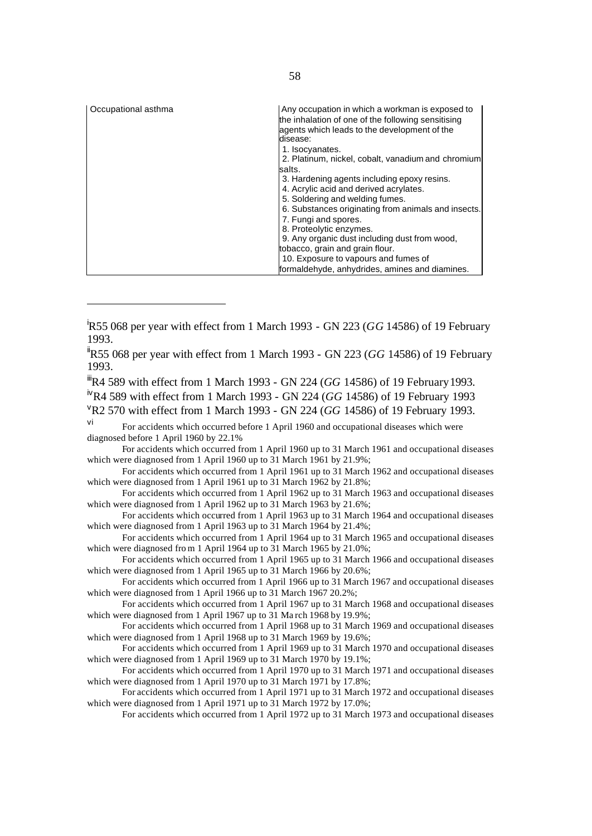| Occupational asthma | Any occupation in which a workman is exposed to<br>the inhalation of one of the following sensitising<br>agents which leads to the development of the |
|---------------------|-------------------------------------------------------------------------------------------------------------------------------------------------------|
|                     | disease:                                                                                                                                              |
|                     | 1. Isocyanates.                                                                                                                                       |
|                     | 2. Platinum, nickel, cobalt, vanadium and chromium                                                                                                    |
|                     | salts.                                                                                                                                                |
|                     | 3. Hardening agents including epoxy resins.                                                                                                           |
|                     | 4. Acrylic acid and derived acrylates.                                                                                                                |
|                     | 5. Soldering and welding fumes.                                                                                                                       |
|                     | 6. Substances originating from animals and insects.                                                                                                   |
|                     | 7. Fungi and spores.                                                                                                                                  |
|                     | 8. Proteolytic enzymes.                                                                                                                               |
|                     | 9. Any organic dust including dust from wood,                                                                                                         |
|                     | tobacco, grain and grain flour.                                                                                                                       |
|                     | 10. Exposure to vapours and fumes of                                                                                                                  |
|                     | formaldehyde, anhydrides, amines and diamines.                                                                                                        |

<sup>ii</sup>R55 068 per year with effect from 1 March 1993 - GN 223 (GG 14586) of 19 February 1993.

<sup>iii</sup>R4 589 with effect from 1 March 1993 - GN 224 (*GG* 14586) of 19 February 1993. ivR4 589 with effect from 1 March 1993 - GN 224 (*GG* 14586) of 19 February 1993 <sup>v</sup>R2 570 with effect from 1 March 1993 - GN 224 (*GG* 14586) of 19 February 1993.

vi For accidents which occurred before 1 April 1960 and occupational diseases which were diagnosed before 1 April 1960 by 22.1%

For accidents which occurred from 1 April 1960 up to 31 March 1961 and occupational diseases which were diagnosed from 1 April 1960 up to 31 March 1961 by 21.9%;

For accidents which occurred from 1 April 1961 up to 31 March 1962 and occupational diseases which were diagnosed from 1 April 1961 up to  $31$  March 1962 by 21.8%;

For accidents which occurred from 1 April 1962 up to 31 March 1963 and occupational diseases which were diagnosed from 1 April 1962 up to 31 March 1963 by 21.6%;

For accidents which occurred from 1 April 1963 up to 31 March 1964 and occupational diseases which were diagnosed from 1 April 1963 up to  $31$  March 1964 by 21.4%;

For accidents which occurred from 1 April 1964 up to 31 March 1965 and occupational diseases which were diagnosed from 1 April 1964 up to  $31$  March 1965 by 21.0%;

For accidents which occurred from 1 April 1965 up to 31 March 1966 and occupational diseases which were diagnosed from 1 April 1965 up to 31 March 1966 by 20.6%;

For accidents which occurred from 1 April 1966 up to 31 March 1967 and occupational diseases which were diagnosed from 1 April 1966 up to 31 March 1967 20.2%;

For accidents which occurred from 1 April 1967 up to 31 March 1968 and occupational diseases which were diagnosed from 1 April 1967 up to 31 March 1968 by 19.9%;

For accidents which occurred from 1 April 1968 up to 31 March 1969 and occupational diseases which were diagnosed from 1 April 1968 up to 31 March 1969 by 19.6%;

For accidents which occurred from 1 April 1969 up to 31 March 1970 and occupational diseases which were diagnosed from 1 April 1969 up to 31 March 1970 by 19.1%;

For accidents which occurred from 1 April 1970 up to 31 March 1971 and occupational diseases which were diagnosed from 1 April 1970 up to  $31$  March 1971 by 17.8%;

For accidents which occurred from 1 April 1971 up to 31 March 1972 and occupational diseases which were diagnosed from 1 April 1971 up to 31 March 1972 by 17.0%;

For accidents which occurred from 1 April 1972 up to 31 March 1973 and occupational diseases

<sup>i</sup>R55 068 per year with effect from 1 March 1993 - GN 223 (*GG* 14586) of 19 February 1993.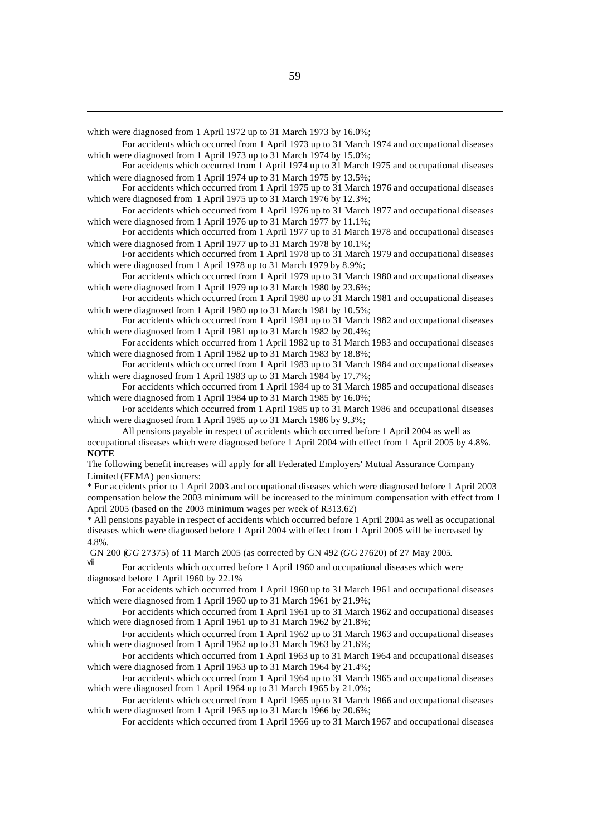which were diagnosed from 1 April 1972 up to 31 March 1973 by 16.0%;

For accidents which occurred from 1 April 1973 up to 31 March 1974 and occupational diseases which were diagnosed from 1 April 1973 up to 31 March 1974 by 15.0%;

For accidents which occurred from 1 April 1974 up to 31 March 1975 and occupational diseases which were diagnosed from 1 April 1974 up to 31 March 1975 by 13.5%;

For accidents which occurred from 1 April 1975 up to 31 March 1976 and occupational diseases which were diagnosed from 1 April 1975 up to 31 March 1976 by 12.3%;

For accidents which occurred from 1 April 1976 up to 31 March 1977 and occupational diseases which were diagnosed from 1 April 1976 up to 31 March 1977 by 11.1%;

For accidents which occurred from 1 April 1977 up to 31 March 1978 and occupational diseases which were diagnosed from 1 April 1977 up to 31 March 1978 by 10.1%;

For accidents which occurred from 1 April 1978 up to 31 March 1979 and occupational diseases which were diagnosed from 1 April 1978 up to 31 March 1979 by 8.9%;

For accidents which occurred from 1 April 1979 up to 31 March 1980 and occupational diseases which were diagnosed from 1 April 1979 up to 31 March 1980 by 23.6%;

For accidents which occurred from 1 April 1980 up to 31 March 1981 and occupational diseases which were diagnosed from 1 April 1980 up to 31 March 1981 by 10.5%;

For accidents which occurred from 1 April 1981 up to 31 March 1982 and occupational diseases which were diagnosed from 1 April 1981 up to 31 March 1982 by 20.4%;

For accidents which occurred from 1 April 1982 up to 31 March 1983 and occupational diseases which were diagnosed from 1 April 1982 up to 31 March 1983 by 18.8%;

For accidents which occurred from 1 April 1983 up to 31 March 1984 and occupational diseases which were diagnosed from 1 April 1983 up to 31 March 1984 by 17.7%;

For accidents which occurred from 1 April 1984 up to 31 March 1985 and occupational diseases which were diagnosed from 1 April 1984 up to 31 March 1985 by 16.0%;

For accidents which occurred from 1 April 1985 up to 31 March 1986 and occupational diseases which were diagnosed from 1 April 1985 up to 31 March 1986 by 9.3%;

All pensions payable in respect of accidents which occurred before 1 April 2004 as well as occupational diseases which were diagnosed before 1 April 2004 with effect from 1 April 2005 by 4.8%. **NOTE**

The following benefit increases will apply for all Federated Employers' Mutual Assurance Company Limited (FEMA) pensioners:

\* For accidents prior to 1 April 2003 and occupational diseases which were diagnosed before 1 April 2003 compensation below the 2003 minimum will be increased to the minimum compensation with effect from 1 April 2005 (based on the 2003 minimum wages per week of R313.62)

\* All pensions payable in respect of accidents which occurred before 1 April 2004 as well as occupational diseases which were diagnosed before 1 April 2004 with effect from 1 April 2005 will be increased by 4.8%.

GN 200 (*GG* 27375) of 11 March 2005 (as corrected by GN 492 (*GG* 27620) of 27 May 2005.

vii For accidents which occurred before 1 April 1960 and occupational diseases which were diagnosed before 1 April 1960 by 22.1%

For accidents which occurred from 1 April 1960 up to 31 March 1961 and occupational diseases which were diagnosed from 1 April 1960 up to 31 March 1961 by 21.9%;

For accidents which occurred from 1 April 1961 up to 31 March 1962 and occupational diseases which were diagnosed from 1 April 1961 up to 31 March 1962 by 21.8%;

For accidents which occurred from 1 April 1962 up to 31 March 1963 and occupational diseases which were diagnosed from 1 April 1962 up to 31 March 1963 by 21.6%;

For accidents which occurred from 1 April 1963 up to 31 March 1964 and occupational diseases which were diagnosed from 1 April 1963 up to 31 March 1964 by 21.4%;

For accidents which occurred from 1 April 1964 up to 31 March 1965 and occupational diseases which were diagnosed from 1 April 1964 up to  $3\overline{1}$  March 1965 by 21.0%;

For accidents which occurred from 1 April 1965 up to 31 March 1966 and occupational diseases which were diagnosed from 1 April 1965 up to 31 March 1966 by 20.6%;

For accidents which occurred from 1 April 1966 up to 31 March 1967 and occupational diseases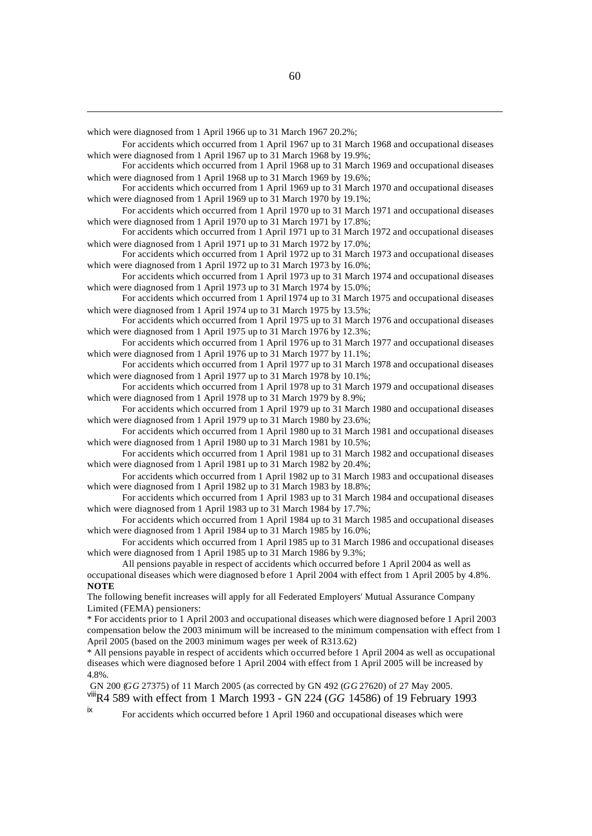which were diagnosed from 1 April 1966 up to 31 March 1967 20.2%;

For accidents which occurred from 1 April 1967 up to 31 March 1968 and occupational diseases which were diagnosed from 1 April 1967 up to 31 March 1968 by 19.9%;

For accidents which occurred from 1 April 1968 up to 31 March 1969 and occupational diseases which were diagnosed from 1 April 1968 up to 31 March 1969 by 19.6%;

For accidents which occurred from 1 April 1969 up to 31 March 1970 and occupational diseases which were diagnosed from 1 April 1969 up to 31 March 1970 by 19.1%;

For accidents which occurred from 1 April 1970 up to 31 March 1971 and occupational diseases which were diagnosed from 1 April 1970 up to 31 March 1971 by 17.8%;

For accidents which occurred from 1 April 1971 up to 31 March 1972 and occupational diseases which were diagnosed from 1 April 1971 up to 31 March 1972 by 17.0%;

For accidents which occurred from 1 April 1972 up to 31 March 1973 and occupational diseases which were diagnosed from 1 April 1972 up to 31 March 1973 by 16.0%;

For accidents which occurred from 1 April 1973 up to 31 March 1974 and occupational diseases which were diagnosed from 1 April 1973 up to 31 March 1974 by 15.0%;

For accidents which occurred from 1 April 1974 up to 31 March 1975 and occupational diseases which were diagnosed from 1 April 1974 up to 31 March 1975 by 13.5%;

For accidents which occurred from 1 April 1975 up to 31 March 1976 and occupational diseases which were diagnosed from 1 April 1975 up to 31 March 1976 by 12.3%;

For accidents which occurred from 1 April 1976 up to 31 March 1977 and occupational diseases which were diagnosed from 1 April 1976 up to 31 March 1977 by 11.1%;

For accidents which occurred from 1 April 1977 up to 31 March 1978 and occupational diseases which were diagnosed from 1 April 1977 up to 31 March 1978 by 10.1%;

For accidents which occurred from 1 April 1978 up to 31 March 1979 and occupational diseases which were diagnosed from 1 April 1978 up to 31 March 1979 by 8.9%;

For accidents which occurred from 1 April 1979 up to 31 March 1980 and occupational diseases which were diagnosed from 1 April 1979 up to 31 March 1980 by 23.6%;

For accidents which occurred from 1 April 1980 up to 31 March 1981 and occupational diseases which were diagnosed from 1 April 1980 up to 31 March 1981 by 10.5%;

For accidents which occurred from 1 April 1981 up to 31 March 1982 and occupational diseases which were diagnosed from 1 April 1981 up to 31 March 1982 by 20.4%;

For accidents which occurred from 1 April 1982 up to 31 March 1983 and occupational diseases which were diagnosed from 1 April 1982 up to 31 March 1983 by 18.8%;

For accidents which occurred from 1 April 1983 up to 31 March 1984 and occupational diseases which were diagnosed from 1 April 1983 up to 31 March 1984 by 17.7%;

For accidents which occurred from 1 April 1984 up to 31 March 1985 and occupational diseases which were diagnosed from 1 April 1984 up to 31 March 1985 by 16.0%;

For accidents which occurred from 1 April 1985 up to 31 March 1986 and occupational diseases which were diagnosed from 1 April 1985 up to 31 March 1986 by 9.3%;

All pensions payable in respect of accidents which occurred before 1 April 2004 as well as occupational diseases which were diagnosed b efore 1 April 2004 with effect from 1 April 2005 by 4.8%. **NOTE**

The following benefit increases will apply for all Federated Employers' Mutual Assurance Company Limited (FEMA) pensioners:

\* For accidents prior to 1 April 2003 and occupational diseases which were diagnosed before 1 April 2003 compensation below the 2003 minimum will be increased to the minimum compensation with effect from 1 April 2005 (based on the 2003 minimum wages per week of R313.62)

\* All pensions payable in respect of accidents which occurred before 1 April 2004 as well as occupational diseases which were diagnosed before 1 April 2004 with effect from 1 April 2005 will be increased by 4.8%.

 GN 200 (*GG* 27375) of 11 March 2005 (as corrected by GN 492 (*GG* 27620) of 27 May 2005. viiiR4 589 with effect from 1 March 1993 - GN 224 (*GG* 14586) of 19 February 1993

ix For accidents which occurred before 1 April 1960 and occupational diseases which were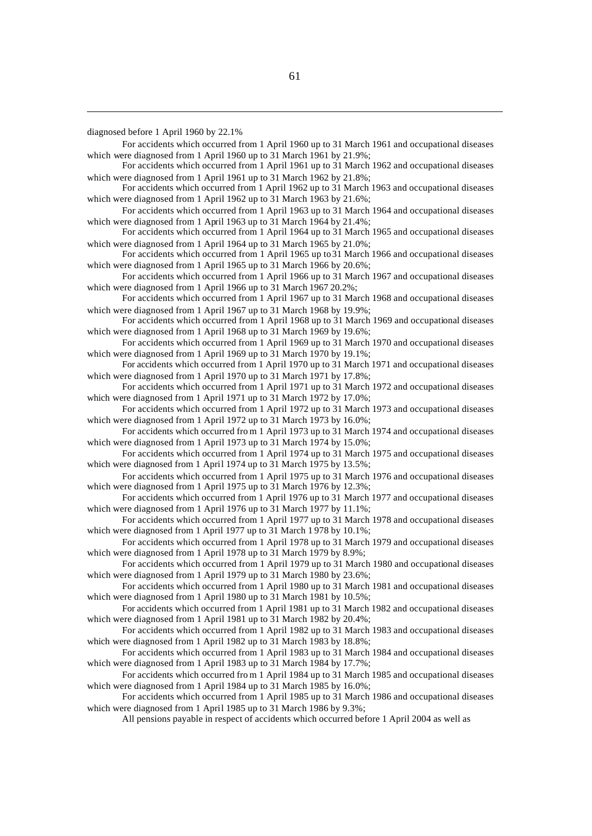diagnosed before 1 April 1960 by 22.1%

For accidents which occurred from 1 April 1960 up to 31 March 1961 and occupational diseases which were diagnosed from 1 April 1960 up to 31 March 1961 by 21.9%;

For accidents which occurred from 1 April 1961 up to 31 March 1962 and occupational diseases which were diagnosed from 1 April 1961 up to 31 March 1962 by 21.8%;

For accidents which occurred from 1 April 1962 up to 31 March 1963 and occupational diseases which were diagnosed from 1 April 1962 up to 31 March 1963 by 21.6%;

For accidents which occurred from 1 April 1963 up to 31 March 1964 and occupational diseases which were diagnosed from 1 April 1963 up to 31 March 1964 by 21.4%;

For accidents which occurred from 1 April 1964 up to 31 March 1965 and occupational diseases which were diagnosed from 1 April 1964 up to 31 March 1965 by 21.0%;

For accidents which occurred from 1 April 1965 up to 31 March 1966 and occupational diseases which were diagnosed from 1 April 1965 up to 31 March 1966 by 20.6%;

For accidents which occurred from 1 April 1966 up to 31 March 1967 and occupational diseases which were diagnosed from 1 April 1966 up to 31 March 1967 20.2%;

For accidents which occurred from 1 April 1967 up to 31 March 1968 and occupational diseases which were diagnosed from 1 April 1967 up to 31 March 1968 by 19.9%;

For accidents which occurred from 1 April 1968 up to 31 March 1969 and occupational diseases which were diagnosed from 1 April 1968 up to 31 March 1969 by 19.6%;

For accidents which occurred from 1 April 1969 up to 31 March 1970 and occupational diseases which were diagnosed from 1 April 1969 up to 31 March 1970 by 19.1%;

For accidents which occurred from 1 April 1970 up to 31 March 1971 and occupational diseases which were diagnosed from 1 April 1970 up to 31 March 1971 by 17.8%;

For accidents which occurred from 1 April 1971 up to 31 March 1972 and occupational diseases which were diagnosed from 1 April 1971 up to 31 March 1972 by 17.0%;

For accidents which occurred from 1 April 1972 up to 31 March 1973 and occupational diseases which were diagnosed from 1 April 1972 up to 31 March 1973 by 16.0%;

For accidents which occurred fro m 1 April 1973 up to 31 March 1974 and occupational diseases which were diagnosed from 1 April 1973 up to 31 March 1974 by 15.0%;

For accidents which occurred from 1 April 1974 up to 31 March 1975 and occupational diseases which were diagnosed from 1 April 1974 up to 31 March 1975 by 13.5%;

For accidents which occurred from 1 April 1975 up to 31 March 1976 and occupational diseases which were diagnosed from 1 April 1975 up to 31 March 1976 by 12.3%;

For accidents which occurred from 1 April 1976 up to 31 March 1977 and occupational diseases which were diagnosed from 1 April 1976 up to 31 March 1977 by 11.1%;

- For accidents which occurred from 1 April 1977 up to 31 March 1978 and occupational diseases which were diagnosed from 1 April 1977 up to 31 March 1 978 by 10.1%;
- For accidents which occurred from 1 April 1978 up to 31 March 1979 and occupational diseases which were diagnosed from 1 April 1978 up to 31 March 1979 by 8.9%;

For accidents which occurred from 1 April 1979 up to 31 March 1980 and occupational diseases which were diagnosed from 1 April 1979 up to 31 March 1980 by 23.6%;

For accidents which occurred from 1 April 1980 up to 31 March 1981 and occupational diseases which were diagnosed from 1 April 1980 up to 31 March 1981 by 10.5%;

For accidents which occurred from 1 April 1981 up to 31 March 1982 and occupational diseases which were diagnosed from 1 April 1981 up to 31 March 1982 by 20.4%;

For accidents which occurred from 1 April 1982 up to 31 March 1983 and occupational diseases which were diagnosed from 1 April 1982 up to 31 March 1983 by 18.8%;

For accidents which occurred from 1 April 1983 up to 31 March 1984 and occupational diseases which were diagnosed from 1 April 1983 up to 31 March 1984 by 17.7%;

For accidents which occurred fro m 1 April 1984 up to 31 March 1985 and occupational diseases which were diagnosed from 1 April 1984 up to 31 March 1985 by 16.0%;

For accidents which occurred from 1 April 1985 up to 31 March 1986 and occupational diseases which were diagnosed from 1 April 1985 up to 31 March 1986 by 9.3%;

All pensions payable in respect of accidents which occurred before 1 April 2004 as well as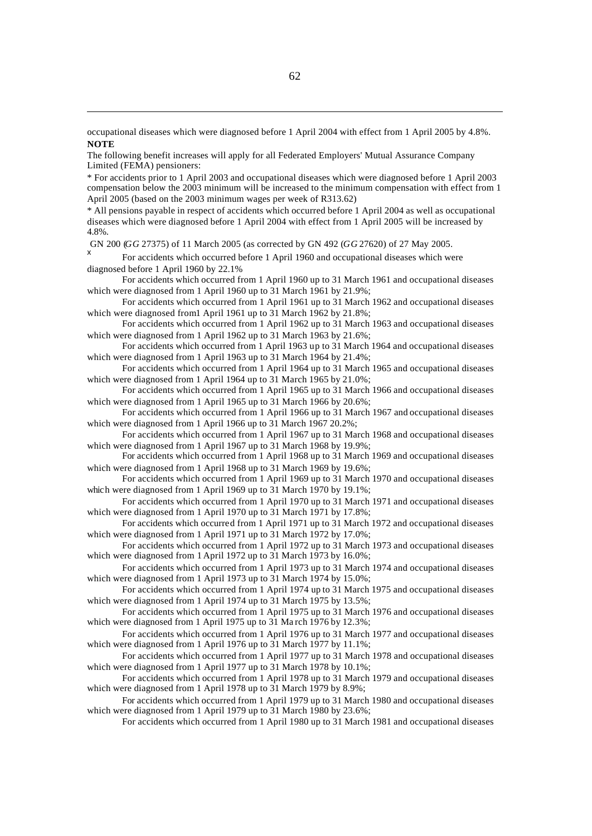occupational diseases which were diagnosed before 1 April 2004 with effect from 1 April 2005 by 4.8%. **NOTE**

The following benefit increases will apply for all Federated Employers' Mutual Assurance Company Limited (FEMA) pensioners:

\* For accidents prior to 1 April 2003 and occupational diseases which were diagnosed before 1 April 2003 compensation below the 2003 minimum will be increased to the minimum compensation with effect from 1 April 2005 (based on the 2003 minimum wages per week of R313.62)

\* All pensions payable in respect of accidents which occurred before 1 April 2004 as well as occupational diseases which were diagnosed before 1 April 2004 with effect from 1 April 2005 will be increased by 4.8%.

GN 200 (*GG* 27375) of 11 March 2005 (as corrected by GN 492 (*GG* 27620) of 27 May 2005.

x For accidents which occurred before 1 April 1960 and occupational diseases which were diagnosed before 1 April 1960 by 22.1%

For accidents which occurred from 1 April 1960 up to 31 March 1961 and occupational diseases which were diagnosed from 1 April 1960 up to 31 March 1961 by 21.9%;

For accidents which occurred from 1 April 1961 up to 31 March 1962 and occupational diseases which were diagnosed from 1 April 1961 up to 31 March 1962 by 21.8%;

For accidents which occurred from 1 April 1962 up to 31 March 1963 and occupational diseases which were diagnosed from 1 April 1962 up to 31 March 1963 by 21.6%;

For accidents which occurred from 1 April 1963 up to 31 March 1964 and occupational diseases which were diagnosed from 1 April 1963 up to 31 March 1964 by 21.4%;

For accidents which occurred from 1 April 1964 up to 31 March 1965 and occupational diseases which were diagnosed from 1 April 1964 up to 31 March 1965 by 21.0%;

For accidents which occurred from 1 April 1965 up to 31 March 1966 and occupational diseases which were diagnosed from 1 April 1965 up to 31 March 1966 by 20.6%:

For accidents which occurred from 1 April 1966 up to 31 March 1967 and occupational diseases which were diagnosed from 1 April 1966 up to 31 March 1967 20.2%;

For accidents which occurred from 1 April 1967 up to 31 March 1968 and occupational diseases which were diagnosed from 1 April 1967 up to 31 March 1968 by 19.9%;

For accidents which occurred from 1 April 1968 up to 31 March 1969 and occupational diseases which were diagnosed from 1 April 1968 up to 31 March 1969 by 19.6%;

For accidents which occurred from 1 April 1969 up to 31 March 1970 and occupational diseases which were diagnosed from 1 April 1969 up to 31 March 1970 by 19.1%;

For accidents which occurred from 1 April 1970 up to 31 March 1971 and occupational diseases which were diagnosed from 1 April 1970 up to 31 March 1971 by 17.8%;

For accidents which occurred from 1 April 1971 up to 31 March 1972 and occupational diseases which were diagnosed from 1 April 1971 up to 31 March 1972 by 17.0%;

For accidents which occurred from 1 April 1972 up to 31 March 1973 and occupational diseases which were diagnosed from 1 April 1972 up to 31 March 1973 by 16.0%;

For accidents which occurred from 1 April 1973 up to 31 March 1974 and occupational diseases which were diagnosed from 1 April 1973 up to  $31$  March 1974 by 15.0%;

For accidents which occurred from 1 April 1974 up to 31 March 1975 and occupational diseases which were diagnosed from 1 April 1974 up to 31 March 1975 by 13.5%;

For accidents which occurred from 1 April 1975 up to 31 March 1976 and occupational diseases which were diagnosed from 1 April 1975 up to 31 Ma rch 1976 by 12.3%;

For accidents which occurred from 1 April 1976 up to 31 March 1977 and occupational diseases which were diagnosed from 1 April 1976 up to 31 March 1977 by 11.1%;

For accidents which occurred from 1 April 1977 up to 31 March 1978 and occupational diseases which were diagnosed from 1 April 1977 up to 31 March 1978 by 10.1%;

For accidents which occurred from 1 April 1978 up to 31 March 1979 and occupational diseases which were diagnosed from 1 April 1978 up to 31 March 1979 by 8.9%;

For accidents which occurred from 1 April 1979 up to 31 March 1980 and occupational diseases which were diagnosed from 1 April 1979 up to 31 March 1980 by 23.6%;

For accidents which occurred from 1 April 1980 up to 31 March 1981 and occupational diseases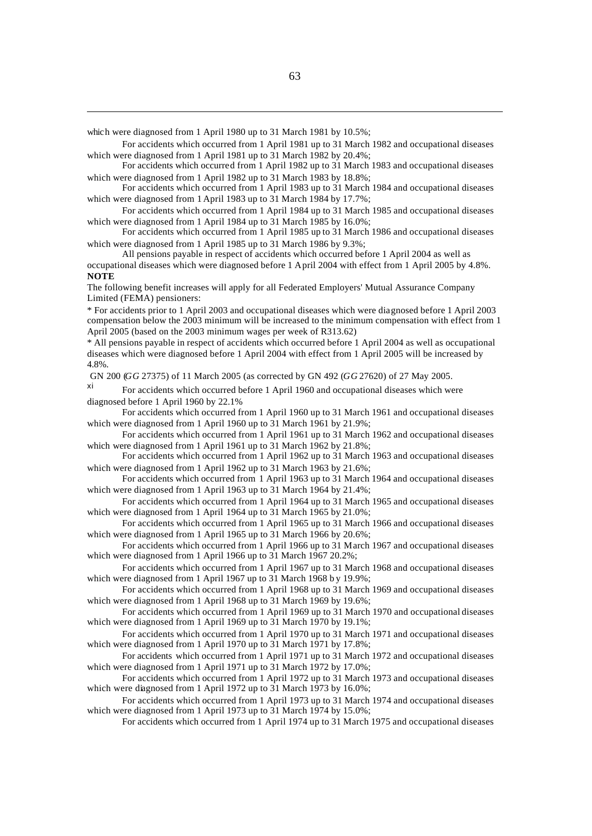which were diagnosed from 1 April 1980 up to 31 March 1981 by 10.5%;

For accidents which occurred from 1 April 1981 up to 31 March 1982 and occupational diseases which were diagnosed from 1 April 1981 up to 31 March 1982 by 20.4%;

For accidents which occurred from 1 April 1982 up to 31 March 1983 and occupational diseases which were diagnosed from 1 April 1982 up to 31 March 1983 by 18.8%;

For accidents which occurred from 1 April 1983 up to 31 March 1984 and occupational diseases which were diagnosed from 1 April 1983 up to 31 March 1984 by 17.7%;

For accidents which occurred from 1 April 1984 up to 31 March 1985 and occupational diseases which were diagnosed from 1 April 1984 up to 31 March 1985 by 16.0%;

For accidents which occurred from 1 April 1985 up to 31 March 1986 and occupational diseases which were diagnosed from 1 April 1985 up to 31 March 1986 by 9.3%;

All pensions payable in respect of accidents which occurred before 1 April 2004 as well as occupational diseases which were diagnosed before 1 April 2004 with effect from 1 April 2005 by 4.8%. **NOTE**

The following benefit increases will apply for all Federated Employers' Mutual Assurance Company Limited (FEMA) pensioners:

\* For accidents prior to 1 April 2003 and occupational diseases which were diagnosed before 1 April 2003 compensation below the 2003 minimum will be increased to the minimum compensation with effect from 1 April 2005 (based on the 2003 minimum wages per week of R313.62)

\* All pensions payable in respect of accidents which occurred before 1 April 2004 as well as occupational diseases which were diagnosed before 1 April 2004 with effect from 1 April 2005 will be increased by 4.8%.

GN 200 (*GG* 27375) of 11 March 2005 (as corrected by GN 492 (*GG* 27620) of 27 May 2005.

For accidents which occurred before 1 April 1960 and occupational diseases which were diagnosed before 1 April 1960 by 22.1%

For accidents which occurred from 1 April 1960 up to 31 March 1961 and occupational diseases which were diagnosed from 1 April 1960 up to 31 March 1961 by 21.9%;

For accidents which occurred from 1 April 1961 up to 31 March 1962 and occupational diseases which were diagnosed from 1 April 1961 up to 31 March 1962 by 21.8%;

For accidents which occurred from 1 April 1962 up to 31 March 1963 and occupational diseases which were diagnosed from 1 April 1962 up to 31 March 1963 by 21.6%;

For accidents which occurred from 1 April 1963 up to 31 March 1964 and occupational diseases which were diagnosed from 1 April 1963 up to 31 March 1964 by 21.4%;

For accidents which occurred from 1 April 1964 up to 31 March 1965 and occupational diseases which were diagnosed from 1 April 1964 up to 31 March 1965 by 21.0%;

For accidents which occurred from 1 April 1965 up to 31 March 1966 and occupational diseases which were diagnosed from 1 April 1965 up to 31 March 1966 by 20.6%;

For accidents which occurred from 1 April 1966 up to 31 March 1967 and occupational diseases which were diagnosed from 1 April 1966 up to 31 March 1967 20.2%;

For accidents which occurred from 1 April 1967 up to 31 March 1968 and occupational diseases which were diagnosed from 1 April 1967 up to 31 March 1968 by 19.9%;

For accidents which occurred from 1 April 1968 up to 31 March 1969 and occupational diseases which were diagnosed from 1 April 1968 up to 31 March 1969 by 19.6%;

For accidents which occurred from 1 April 1969 up to 31 March 1970 and occupational diseases which were diagnosed from 1 April 1969 up to 31 March 1970 by 19.1%;

For accidents which occurred from 1 April 1970 up to 31 March 1971 and occupational diseases which were diagnosed from 1 April 1970 up to 31 March 1971 by 17.8%;

For accidents which occurred from 1 April 1971 up to 31 March 1972 and occupational diseases which were diagnosed from 1 April 1971 up to 31 March 1972 by 17.0%;

For accidents which occurred from 1 April 1972 up to 31 March 1973 and occupational diseases which were diagnosed from 1 April 1972 up to  $31$  March 1973 by 16.0%;

For accidents which occurred from 1 April 1973 up to 31 March 1974 and occupational diseases which were diagnosed from 1 April 1973 up to  $31$  March 1974 by 15.0%;

For accidents which occurred from 1 April 1974 up to 31 March 1975 and occupational diseases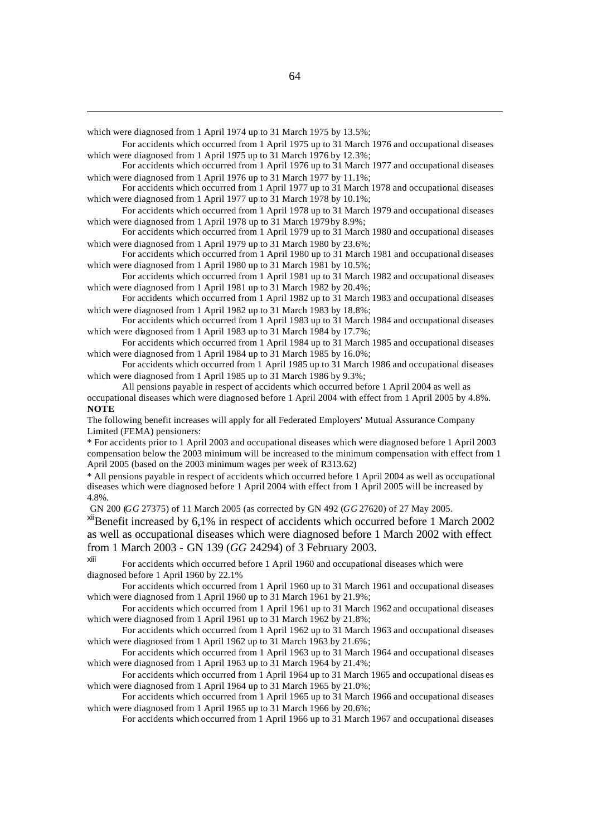which were diagnosed from 1 April 1974 up to 31 March 1975 by 13.5%;

For accidents which occurred from 1 April 1975 up to 31 March 1976 and occupational diseases which were diagnosed from 1 April 1975 up to 31 March 1976 by 12.3%;

For accidents which occurred from 1 April 1976 up to 31 March 1977 and occupational diseases which were diagnosed from 1 April 1976 up to 31 March 1977 by 11.1%;

For accidents which occurred from 1 April 1977 up to 31 March 1978 and occupational diseases which were diagnosed from 1 April 1977 up to 31 March 1978 by 10.1%;

For accidents which occurred from 1 April 1978 up to 31 March 1979 and occupational diseases which were diagnosed from 1 April 1978 up to 31 March 1979 by 8.9%;

For accidents which occurred from 1 April 1979 up to 31 March 1980 and occupational diseases which were diagnosed from 1 April 1979 up to 31 March 1980 by 23.6%;

For accidents which occurred from 1 April 1980 up to 31 March 1981 and occupational diseases which were diagnosed from 1 April 1980 up to 31 March 1981 by 10.5%;

For accidents which occurred from 1 April 1981 up to 31 March 1982 and occupational diseases which were diagnosed from 1 April 1981 up to 31 March 1982 by 20.4%;

For accidents which occurred from 1 April 1982 up to 31 March 1983 and occupational diseases which were diagnosed from 1 April 1982 up to 31 March 1983 by 18.8%;

For accidents which occurred from 1 April 1983 up to 31 March 1984 and occupational diseases which were diagnosed from 1 April 1983 up to 31 March 1984 by 17.7%;

For accidents which occurred from 1 April 1984 up to 31 March 1985 and occupational diseases which were diagnosed from 1 April 1984 up to 31 March 1985 by 16.0%;

For accidents which occurred from 1 April 1985 up to 31 March 1986 and occupational diseases which were diagnosed from 1 April 1985 up to 31 March 1986 by 9.3%;

All pensions payable in respect of accidents which occurred before 1 April 2004 as well as occupational diseases which were diagnosed before 1 April 2004 with effect from 1 April 2005 by 4.8%. **NOTE**

The following benefit increases will apply for all Federated Employers' Mutual Assurance Company Limited (FEMA) pensioners:

\* For accidents prior to 1 April 2003 and occupational diseases which were diagnosed before 1 April 2003 compensation below the 2003 minimum will be increased to the minimum compensation with effect from 1 April 2005 (based on the 2003 minimum wages per week of R313.62)

\* All pensions payable in respect of accidents which occurred before 1 April 2004 as well as occupational diseases which were diagnosed before 1 April 2004 with effect from 1 April 2005 will be increased by 4.8%.

GN 200 (*GG* 27375) of 11 March 2005 (as corrected by GN 492 (*GG* 27620) of 27 May 2005.

xiiBenefit increased by 6,1% in respect of accidents which occurred before 1 March 2002 as well as occupational diseases which were diagnosed before 1 March 2002 with effect from 1 March 2003 - GN 139 (*GG* 24294) of 3 February 2003.

xiii For accidents which occurred before 1 April 1960 and occupational diseases which were diagnosed before 1 April 1960 by 22.1%

For accidents which occurred from 1 April 1960 up to 31 March 1961 and occupational diseases which were diagnosed from 1 April 1960 up to 31 March 1961 by 21.9%;

For accidents which occurred from 1 April 1961 up to 31 March 1962 and occupational diseases which were diagnosed from 1 April 1961 up to 31 March 1962 by 21.8%;

For accidents which occurred from 1 April 1962 up to 31 March 1963 and occupational diseases which were diagnosed from 1 April 1962 up to 31 March 1963 by 21.6%;

For accidents which occurred from 1 April 1963 up to 31 March 1964 and occupational diseases which were diagnosed from 1 April 1963 up to 31 March 1964 by 21.4%;

For accidents which occurred from 1 April 1964 up to 31 March 1965 and occupational diseas es which were diagnosed from 1 April 1964 up to 31 March 1965 by 21.0%;

For accidents which occurred from 1 April 1965 up to 31 March 1966 and occupational diseases which were diagnosed from 1 April 1965 up to 31 March 1966 by 20.6%;

For accidents which occurred from 1 April 1966 up to 31 March 1967 and occupational diseases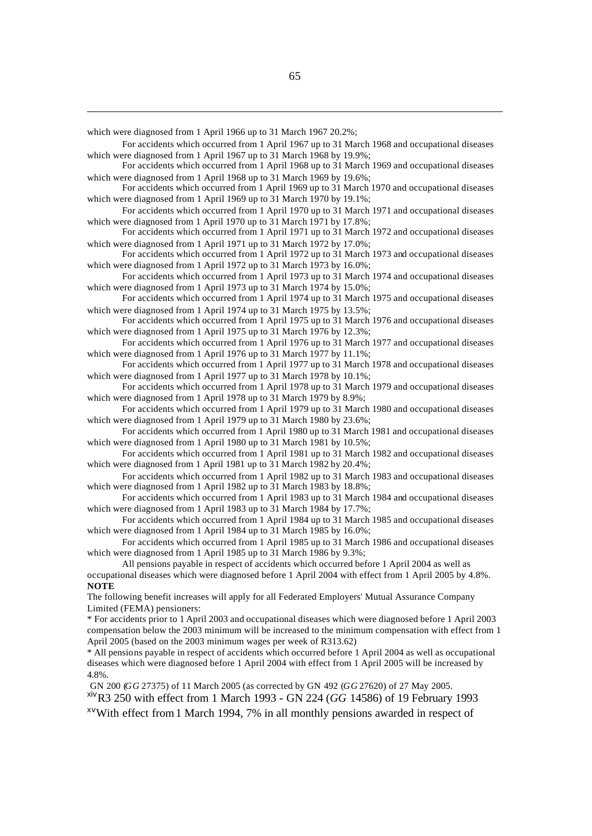which were diagnosed from 1 April 1966 up to 31 March 1967 20.2%;

For accidents which occurred from 1 April 1967 up to 31 March 1968 and occupational diseases which were diagnosed from 1 April 1967 up to 31 March 1968 by 19.9%;

For accidents which occurred from 1 April 1968 up to 31 March 1969 and occupational diseases which were diagnosed from 1 April 1968 up to 31 March 1969 by 19.6%;

For accidents which occurred from 1 April 1969 up to 31 March 1970 and occupational diseases which were diagnosed from 1 April 1969 up to 31 March 1970 by 19.1%;

For accidents which occurred from 1 April 1970 up to 31 March 1971 and occupational diseases which were diagnosed from 1 April 1970 up to 31 March 1971 by 17.8%;

For accidents which occurred from 1 April 1971 up to 31 March 1972 and occupational diseases which were diagnosed from 1 April 1971 up to 31 March 1972 by 17.0%;

For accidents which occurred from 1 April 1972 up to 31 March 1973 and occupational diseases which were diagnosed from 1 April 1972 up to 31 March 1973 by 16.0%;

For accidents which occurred from 1 April 1973 up to 31 March 1974 and occupational diseases which were diagnosed from 1 April 1973 up to 31 March 1974 by 15.0%;

For accidents which occurred from 1 April 1974 up to 31 March 1975 and occupational diseases which were diagnosed from 1 April 1974 up to 31 March 1975 by 13.5%;

For accidents which occurred from 1 April 1975 up to 31 March 1976 and occupational diseases which were diagnosed from 1 April 1975 up to 31 March 1976 by 12.3%;

For accidents which occurred from 1 April 1976 up to 31 March 1977 and occupational diseases which were diagnosed from 1 April 1976 up to 31 March 1977 by 11.1%;

For accidents which occurred from 1 April 1977 up to 31 March 1978 and occupational diseases which were diagnosed from 1 April 1977 up to 31 March 1978 by 10.1%;

For accidents which occurred from 1 April 1978 up to 31 March 1979 and occupational diseases which were diagnosed from 1 April 1978 up to 31 March 1979 by 8.9%;

For accidents which occurred from 1 April 1979 up to 31 March 1980 and occupational diseases which were diagnosed from 1 April 1979 up to 31 March 1980 by 23.6%;

For accidents which occurred from 1 April 1980 up to 31 March 1981 and occupational diseases which were diagnosed from 1 April 1980 up to 31 March 1981 by 10.5%;

For accidents which occurred from 1 April 1981 up to 31 March 1982 and occupational diseases which were diagnosed from 1 April 1981 up to 31 March 1982 by 20.4%;

For accidents which occurred from 1 April 1982 up to 31 March 1983 and occupational diseases which were diagnosed from 1 April 1982 up to 31 March 1983 by 18.8%;

For accidents which occurred from 1 April 1983 up to 31 March 1984 and occupational diseases which were diagnosed from 1 April 1983 up to 31 March 1984 by 17.7%;

For accidents which occurred from 1 April 1984 up to 31 March 1985 and occupational diseases which were diagnosed from 1 April 1984 up to 31 March 1985 by 16.0%;

For accidents which occurred from 1 April 1985 up to 31 March 1986 and occupational diseases which were diagnosed from 1 April 1985 up to 31 March 1986 by 9.3%;

All pensions payable in respect of accidents which occurred before 1 April 2004 as well as occupational diseases which were diagnosed before 1 April 2004 with effect from 1 April 2005 by 4.8%. **NOTE**

The following benefit increases will apply for all Federated Employers' Mutual Assurance Company Limited (FEMA) pensioners:

\* For accidents prior to 1 April 2003 and occupational diseases which were diagnosed before 1 April 2003 compensation below the 2003 minimum will be increased to the minimum compensation with effect from 1 April 2005 (based on the 2003 minimum wages per week of R313.62)

\* All pensions payable in respect of accidents which occurred before 1 April 2004 as well as occupational diseases which were diagnosed before 1 April 2004 with effect from 1 April 2005 will be increased by 4.8%.

GN 200 (*GG* 27375) of 11 March 2005 (as corrected by GN 492 (*GG* 27620) of 27 May 2005.

xivR3 250 with effect from 1 March 1993 - GN 224 (*GG* 14586) of 19 February 1993

 $x \vee$ With effect from 1 March 1994, 7% in all monthly pensions awarded in respect of